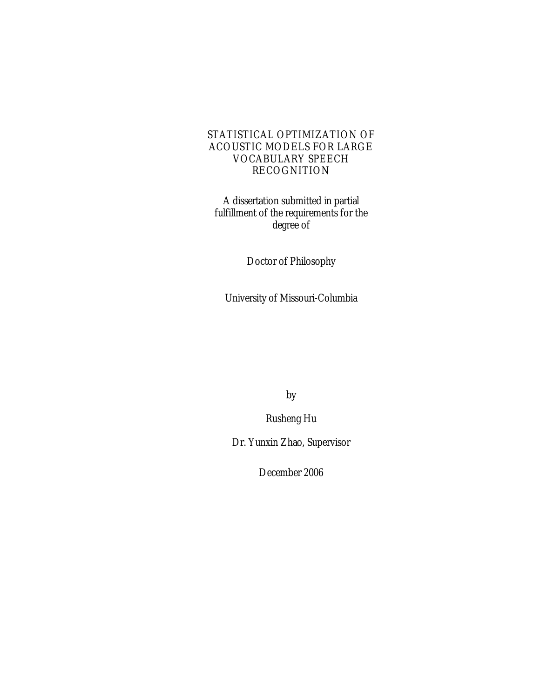## STATISTICAL OPTIMIZATION OF ACOUSTIC MODELS FOR LARGE VOCABULARY SPEECH RECOGNITION

A dissertation submitted in partial fulfillment of the requirements for the degree of

Doctor of Philosophy

University of Missouri-Columbia

by

Rusheng Hu

Dr. Yunxin Zhao, Supervisor

December 2006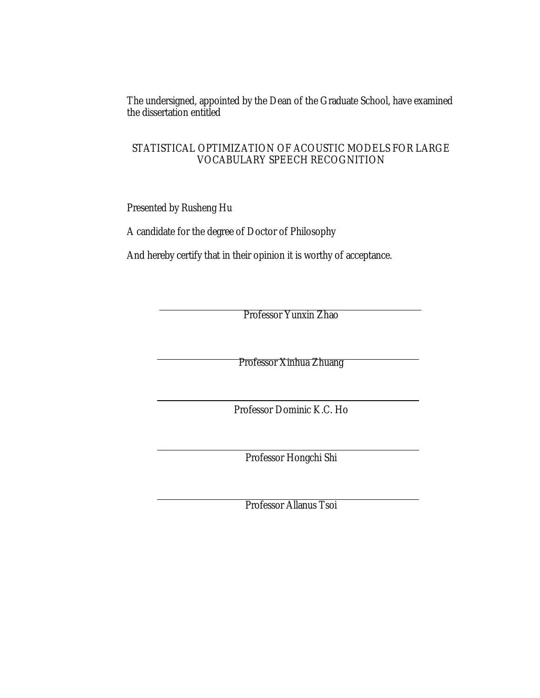The undersigned, appointed by the Dean of the Graduate School, have examined the dissertation entitled

## STATISTICAL OPTIMIZATION OF ACOUSTIC MODELS FOR LARGE VOCABULARY SPEECH RECOGNITION

Presented by Rusheng Hu

A candidate for the degree of Doctor of Philosophy

And hereby certify that in their opinion it is worthy of acceptance.

Professor Yunxin Zhao

Professor Xinhua Zhuang

Professor Dominic K.C. Ho

Professor Hongchi Shi

Professor Allanus Tsoi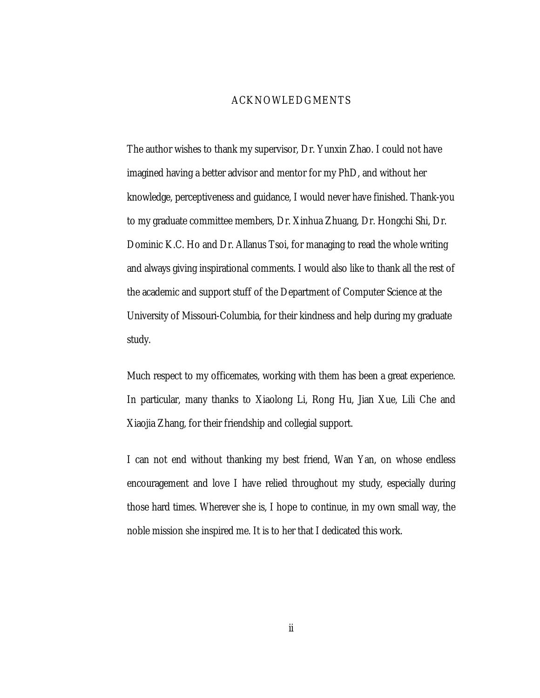#### ACKNOWLEDGMENTS

The author wishes to thank my supervisor, Dr. Yunxin Zhao. I could not have imagined having a better advisor and mentor for my PhD, and without her knowledge, perceptiveness and guidance, I would never have finished. Thank-you to my graduate committee members, Dr. Xinhua Zhuang, Dr. Hongchi Shi, Dr. Dominic K.C. Ho and Dr. Allanus Tsoi, for managing to read the whole writing and always giving inspirational comments. I would also like to thank all the rest of the academic and support stuff of the Department of Computer Science at the University of Missouri-Columbia, for their kindness and help during my graduate study.

Much respect to my officemates, working with them has been a great experience. In particular, many thanks to Xiaolong Li, Rong Hu, Jian Xue, Lili Che and Xiaojia Zhang, for their friendship and collegial support.

I can not end without thanking my best friend, Wan Yan, on whose endless encouragement and love I have relied throughout my study, especially during those hard times. Wherever she is, I hope to continue, in my own small way, the noble mission she inspired me. It is to her that I dedicated this work.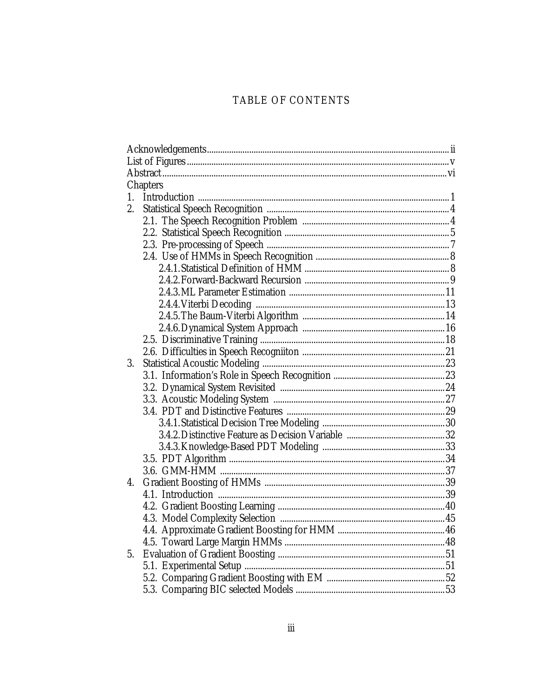# TABLE OF CONTENTS

|    | Chapters |  |  |  |
|----|----------|--|--|--|
|    |          |  |  |  |
| 2. |          |  |  |  |
|    |          |  |  |  |
|    |          |  |  |  |
|    |          |  |  |  |
|    |          |  |  |  |
|    |          |  |  |  |
|    |          |  |  |  |
|    |          |  |  |  |
|    |          |  |  |  |
|    |          |  |  |  |
|    |          |  |  |  |
|    |          |  |  |  |
|    |          |  |  |  |
| 3. |          |  |  |  |
|    |          |  |  |  |
|    |          |  |  |  |
|    |          |  |  |  |
|    |          |  |  |  |
|    |          |  |  |  |
|    |          |  |  |  |
|    |          |  |  |  |
|    |          |  |  |  |
|    |          |  |  |  |
| 4. |          |  |  |  |
|    |          |  |  |  |
|    |          |  |  |  |
|    |          |  |  |  |
|    |          |  |  |  |
|    |          |  |  |  |
| 5. |          |  |  |  |
|    |          |  |  |  |
|    |          |  |  |  |
|    |          |  |  |  |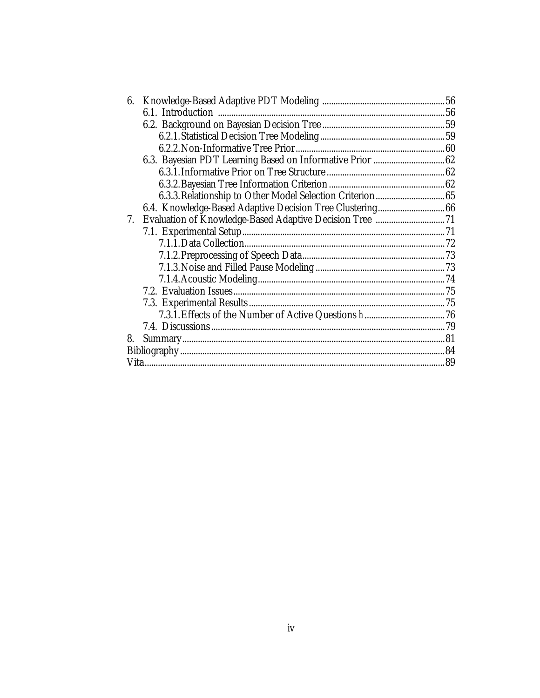| 6. |  |  |
|----|--|--|
|    |  |  |
|    |  |  |
|    |  |  |
|    |  |  |
|    |  |  |
|    |  |  |
|    |  |  |
|    |  |  |
|    |  |  |
| 7. |  |  |
|    |  |  |
|    |  |  |
|    |  |  |
|    |  |  |
|    |  |  |
|    |  |  |
|    |  |  |
|    |  |  |
|    |  |  |
| 8. |  |  |
|    |  |  |
|    |  |  |
|    |  |  |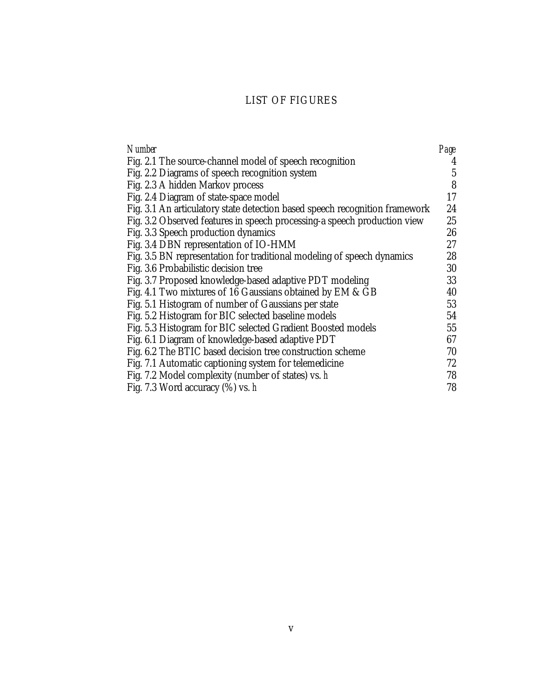# LIST OF FIGURES

| Number                                                                      | Page |
|-----------------------------------------------------------------------------|------|
| Fig. 2.1 The source-channel model of speech recognition                     | 4    |
| Fig. 2.2 Diagrams of speech recognition system                              | 5    |
| Fig. 2.3 A hidden Markov process                                            | 8    |
| Fig. 2.4 Diagram of state-space model                                       | 17   |
| Fig. 3.1 An articulatory state detection based speech recognition framework | 24   |
| Fig. 3.2 Observed features in speech processing-a speech production view    | 25   |
| Fig. 3.3 Speech production dynamics                                         | 26   |
| Fig. 3.4 DBN representation of IO-HMM                                       | 27   |
| Fig. 3.5 BN representation for traditional modeling of speech dynamics      | 28   |
| Fig. 3.6 Probabilistic decision tree                                        | 30   |
| Fig. 3.7 Proposed knowledge-based adaptive PDT modeling                     | 33   |
| Fig. 4.1 Two mixtures of 16 Gaussians obtained by EM & GB                   | 40   |
| Fig. 5.1 Histogram of number of Gaussians per state                         | 53   |
| Fig. 5.2 Histogram for BIC selected baseline models                         | 54   |
| Fig. 5.3 Histogram for BIC selected Gradient Boosted models                 | 55   |
| Fig. 6.1 Diagram of knowledge-based adaptive PDT                            | 67   |
| Fig. 6.2 The BTIC based decision tree construction scheme                   | 70   |
| Fig. 7.1 Automatic captioning system for telemedicine                       | 72   |
| Fig. 7.2 Model complexity (number of states) vs. h                          | 78   |
| Fig. 7.3 Word accuracy $(\%)$ vs. h                                         | 78   |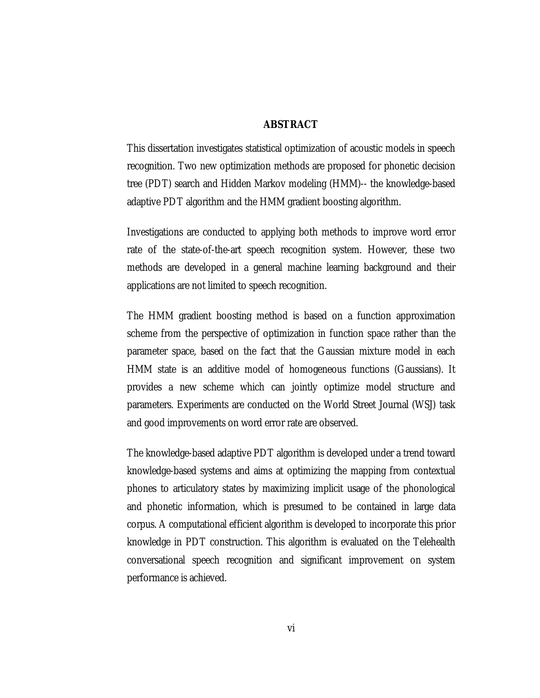### **ABSTRACT**

This dissertation investigates statistical optimization of acoustic models in speech recognition. Two new optimization methods are proposed for phonetic decision tree (PDT) search and Hidden Markov modeling (HMM)-- the knowledge-based adaptive PDT algorithm and the HMM gradient boosting algorithm.

Investigations are conducted to applying both methods to improve word error rate of the state-of-the-art speech recognition system. However, these two methods are developed in a general machine learning background and their applications are not limited to speech recognition.

The HMM gradient boosting method is based on a function approximation scheme from the perspective of optimization in function space rather than the parameter space, based on the fact that the Gaussian mixture model in each HMM state is an additive model of homogeneous functions (Gaussians). It provides a new scheme which can jointly optimize model structure and parameters. Experiments are conducted on the World Street Journal (WSJ) task and good improvements on word error rate are observed.

The knowledge-based adaptive PDT algorithm is developed under a trend toward knowledge-based systems and aims at optimizing the mapping from contextual phones to articulatory states by maximizing implicit usage of the phonological and phonetic information, which is presumed to be contained in large data corpus. A computational efficient algorithm is developed to incorporate this prior knowledge in PDT construction. This algorithm is evaluated on the Telehealth conversational speech recognition and significant improvement on system performance is achieved.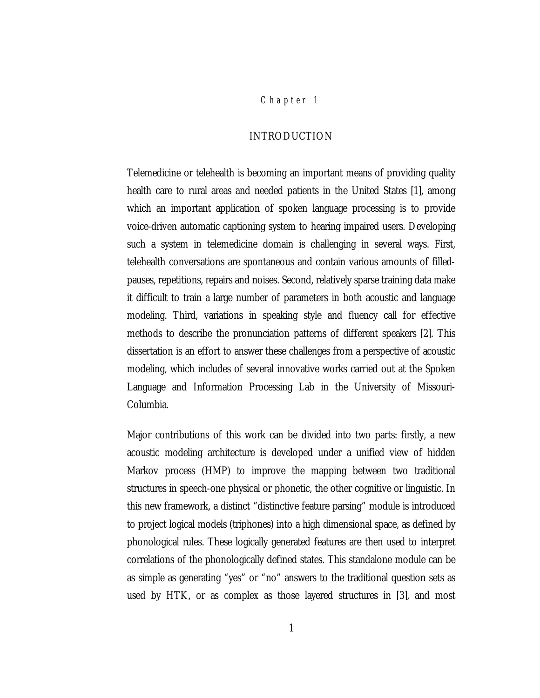## *Chap ter 1*

## INTRODUCTION

Telemedicine or telehealth is becoming an important means of providing quality health care to rural areas and needed patients in the United States [1], among which an important application of spoken language processing is to provide voice-driven automatic captioning system to hearing impaired users. Developing such a system in telemedicine domain is challenging in several ways. First, telehealth conversations are spontaneous and contain various amounts of filledpauses, repetitions, repairs and noises. Second, relatively sparse training data make it difficult to train a large number of parameters in both acoustic and language modeling. Third, variations in speaking style and fluency call for effective methods to describe the pronunciation patterns of different speakers [2]. This dissertation is an effort to answer these challenges from a perspective of acoustic modeling, which includes of several innovative works carried out at the Spoken Language and Information Processing Lab in the University of Missouri-Columbia.

Major contributions of this work can be divided into two parts: firstly, a new acoustic modeling architecture is developed under a unified view of hidden Markov process (HMP) to improve the mapping between two traditional structures in speech-one physical or phonetic, the other cognitive or linguistic. In this new framework, a distinct "distinctive feature parsing" module is introduced to project logical models (triphones) into a high dimensional space, as defined by phonological rules. These logically generated features are then used to interpret correlations of the phonologically defined states. This standalone module can be as simple as generating "yes" or "no" answers to the traditional question sets as used by HTK, or as complex as those layered structures in [3], and most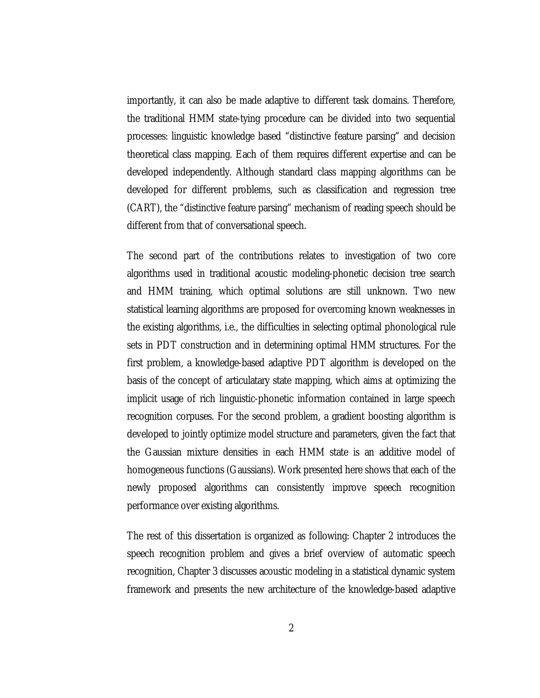importantly, it can also be made adaptive to different task domains. Therefore, the traditional HMM state-tying procedure can be divided into two sequential processes: linguistic knowledge based "distinctive feature parsing" and decision theoretical class mapping. Each of them requires different expertise and can be developed independently. Although standard class mapping algorithms can be developed for different problems, such as classification and regression tree (CART), the "distinctive feature parsing" mechanism of reading speech should be different from that of conversational speech.

The second part of the contributions relates to investigation of two core algorithms used in traditional acoustic modeling-phonetic decision tree search and HMM training, which optimal solutions are still unknown. Two new statistical learning algorithms are proposed for overcoming known weaknesses in the existing algorithms, i.e., the difficulties in selecting optimal phonological rule sets in PDT construction and in determining optimal HMM structures. For the first problem, a knowledge-based adaptive PDT algorithm is developed on the basis of the concept of articulatary state mapping, which aims at optimizing the implicit usage of rich linguistic-phonetic information contained in large speech recognition corpuses. For the second problem, a gradient boosting algorithm is developed to jointly optimize model structure and parameters, given the fact that the Gaussian mixture densities in each HMM state is an additive model of homogeneous functions (Gaussians). Work presented here shows that each of the newly proposed algorithms can consistently improve speech recognition performance over existing algorithms.

The rest of this dissertation is organized as following: Chapter 2 introduces the speech recognition problem and gives a brief overview of automatic speech recognition, Chapter 3 discusses acoustic modeling in a statistical dynamic system framework and presents the new architecture of the knowledge-based adaptive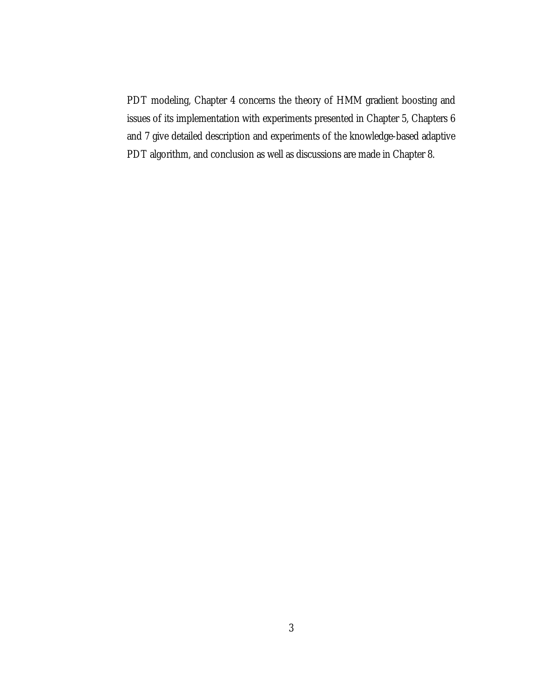PDT modeling, Chapter 4 concerns the theory of HMM gradient boosting and issues of its implementation with experiments presented in Chapter 5, Chapters 6 and 7 give detailed description and experiments of the knowledge-based adaptive PDT algorithm, and conclusion as well as discussions are made in Chapter 8.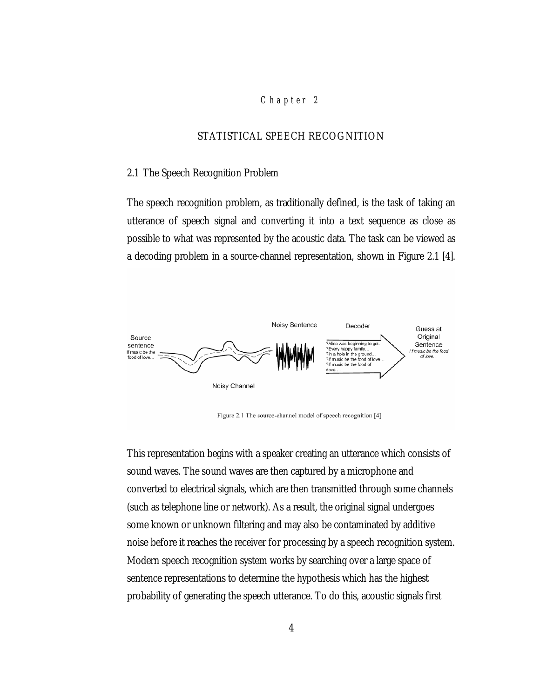#### *Chap ter 2*

## STATISTICAL SPEECH RECOGNITION

#### 2.1 The Speech Recognition Problem

The speech recognition problem, as traditionally defined, is the task of taking an utterance of speech signal and converting it into a text sequence as close as possible to what was represented by the acoustic data. The task can be viewed as a decoding problem in a source-channel representation, shown in Figure 2.1 [4].



Figure 2.1 The source-channel model of speech recognition [4]

This representation begins with a speaker creating an utterance which consists of sound waves. The sound waves are then captured by a microphone and converted to electrical signals, which are then transmitted through some channels (such as telephone line or network). As a result, the original signal undergoes some known or unknown filtering and may also be contaminated by additive noise before it reaches the receiver for processing by a speech recognition system. Modern speech recognition system works by searching over a large space of sentence representations to determine the hypothesis which has the highest probability of generating the speech utterance. To do this, acoustic signals first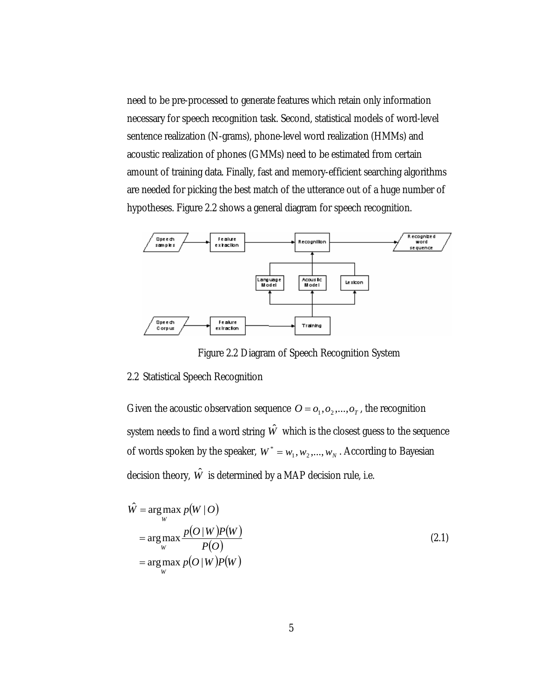need to be pre-processed to generate features which retain only information necessary for speech recognition task. Second, statistical models of word-level sentence realization (N-grams), phone-level word realization (HMMs) and acoustic realization of phones (GMMs) need to be estimated from certain amount of training data. Finally, fast and memory-efficient searching algorithms are needed for picking the best match of the utterance out of a huge number of hypotheses. Figure 2.2 shows a general diagram for speech recognition.



Figure 2.2 Diagram of Speech Recognition System

#### 2.2 Statistical Speech Recognition

Given the acoustic observation sequence  $O = O_1, O_2, \ldots, O_T$ , the recognition system needs to find a word string  $\hat{W}$  which is the closest guess to the sequence of words spoken by the speaker,  $W^* = w_1, w_2, ..., w_N$ . According to Bayesian decision theory,  $\hat{W}$  is determined by a MAP decision rule, i.e.

$$
\hat{W} = \underset{W}{\arg \max_{W} p(W|O)}\n\n= \underset{W}{\arg \max_{W} p(O|W)P(W)}\n\n= \underset{W}{\arg \max_{W} p(O|W)P(W)}\n\n(2.1)
$$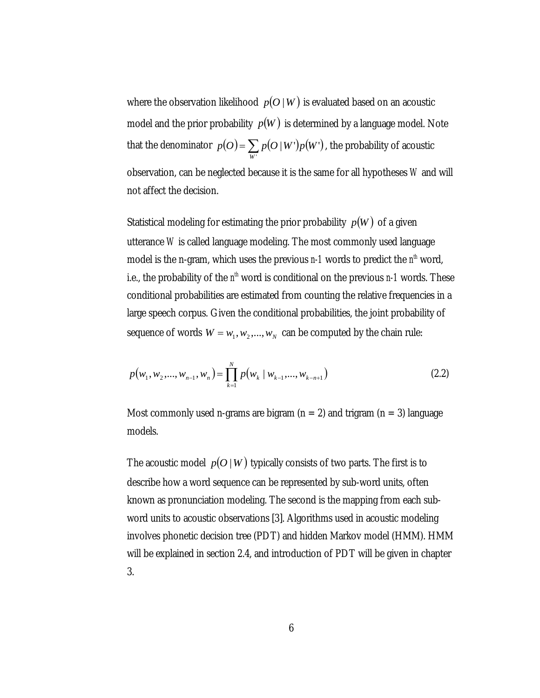where the observation likelihood  $p(O|W)$  is evaluated based on an acoustic model and the prior probability  $p(W)$  is determined by a language model. Note that the denominator  $p(O) = \sum_{w_i} p(O \mid W') p(W')$ *W*  $p(O) = \sum p(O|W')p(W')$ , the probability of acoustic observation, can be neglected because it is the same for all hypotheses *W* and will not affect the decision.

Statistical modeling for estimating the prior probability  $p(W)$  of a given utterance *W* is called language modeling. The most commonly used language model is the n-gram, which uses the previous  $n-1$  words to predict the  $n<sup>th</sup>$  word, i.e., the probability of the  $n^h$  word is conditional on the previous  $n-1$  words. These conditional probabilities are estimated from counting the relative frequencies in a large speech corpus. Given the conditional probabilities, the joint probability of sequence of words  $W = w_1, w_2, ..., w_N$  can be computed by the chain rule:

$$
p(w_1, w_2, \dots, w_{n-1}, w_n) = \prod_{k=1}^{N} p(w_k | w_{k-1}, \dots, w_{k-n+1})
$$
\n(2.2)

Most commonly used n-grams are bigram  $(n = 2)$  and trigram  $(n = 3)$  language models.

The acoustic model  $p(O | W)$  typically consists of two parts. The first is to describe how a word sequence can be represented by sub-word units, often known as pronunciation modeling. The second is the mapping from each subword units to acoustic observations [3]. Algorithms used in acoustic modeling involves phonetic decision tree (PDT) and hidden Markov model (HMM). HMM will be explained in section 2.4, and introduction of PDT will be given in chapter 3.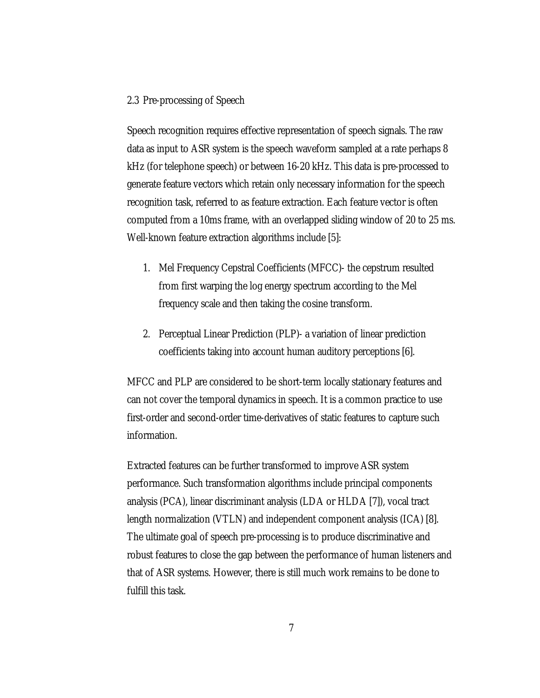### 2.3 Pre-processing of Speech

Speech recognition requires effective representation of speech signals. The raw data as input to ASR system is the speech waveform sampled at a rate perhaps 8 kHz (for telephone speech) or between 16-20 kHz. This data is pre-processed to generate feature vectors which retain only necessary information for the speech recognition task, referred to as feature extraction. Each feature vector is often computed from a 10ms frame, with an overlapped sliding window of 20 to 25 ms. Well-known feature extraction algorithms include [5]:

- 1. Mel Frequency Cepstral Coefficients (MFCC)- the cepstrum resulted from first warping the log energy spectrum according to the Mel frequency scale and then taking the cosine transform.
- 2. Perceptual Linear Prediction (PLP)- a variation of linear prediction coefficients taking into account human auditory perceptions [6].

MFCC and PLP are considered to be short-term locally stationary features and can not cover the temporal dynamics in speech. It is a common practice to use first-order and second-order time-derivatives of static features to capture such information.

Extracted features can be further transformed to improve ASR system performance. Such transformation algorithms include principal components analysis (PCA), linear discriminant analysis (LDA or HLDA [7]), vocal tract length normalization (VTLN) and independent component analysis (ICA) [8]. The ultimate goal of speech pre-processing is to produce discriminative and robust features to close the gap between the performance of human listeners and that of ASR systems. However, there is still much work remains to be done to fulfill this task.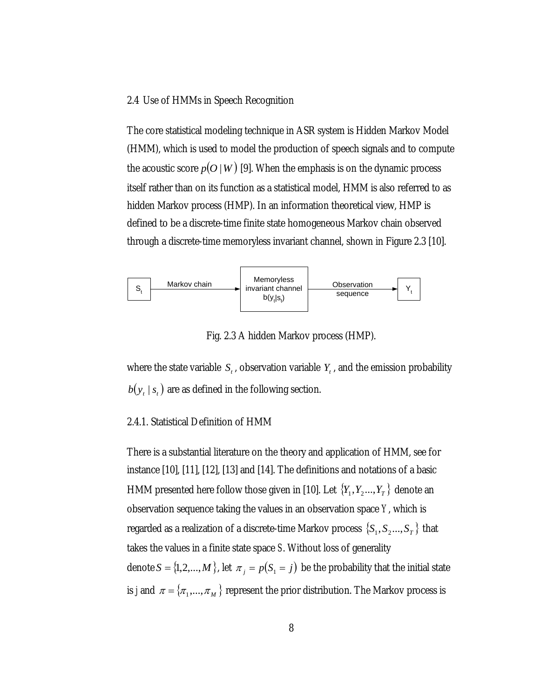#### 2.4 Use of HMMs in Speech Recognition

The core statistical modeling technique in ASR system is Hidden Markov Model (HMM), which is used to model the production of speech signals and to compute the acoustic score  $p(O|W)$  [9]. When the emphasis is on the dynamic process itself rather than on its function as a statistical model, HMM is also referred to as hidden Markov process (HMP). In an information theoretical view, HMP is defined to be a discrete-time finite state homogeneous Markov chain observed through a discrete-time memoryless invariant channel, shown in Figure 2.3 [10].



Fig. 2.3 A hidden Markov process (HMP).

where the state variable  $S_t$ , observation variable  $Y_t$ , and the emission probability  $b(y_t | s_t)$  are as defined in the following section.

## 2.4.1. Statistical Definition of HMM

There is a substantial literature on the theory and application of HMM, see for instance [10], [11], [12], [13] and [14]. The definitions and notations of a basic HMM presented here follow those given in [10]. Let  ${Y_1, Y_2,..., Y_T}$  denote an observation sequence taking the values in an observation space *Y*, which is regarded as a realization of a discrete-time Markov process  $\{S_1, S_2, ..., S_T\}$  that takes the values in a finite state space *S*. Without loss of generality denote  $S = \{1, 2, ..., M\}$ , let  $\pi_j = p(S_j = j)$  be the probability that the initial state is *j* and  $\pi = {\pi_1,...,\pi_M}$  represent the prior distribution. The Markov process is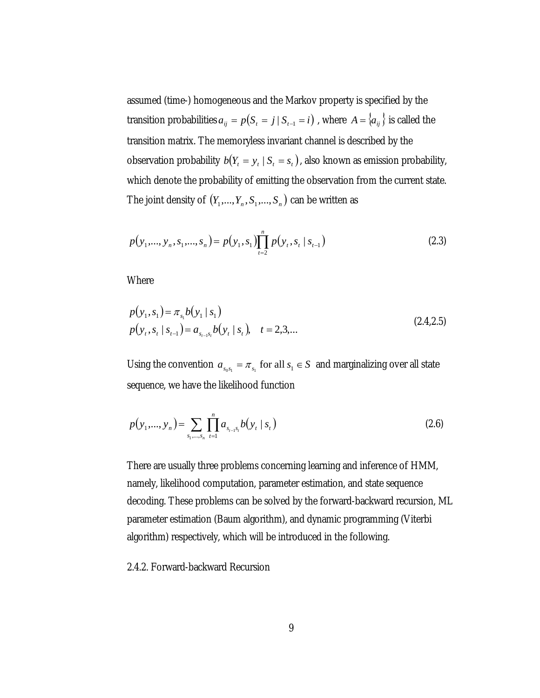assumed (time-) homogeneous and the Markov property is specified by the transition probabilities  $a_{ij} = p(S_i = j | S_{i-1} = i)$ , where  $A = \{a_{ij}\}\$ is called the transition matrix. The memoryless invariant channel is described by the observation probability  $b(Y_t = y_t | S_t = s_t)$ , also known as emission probability, which denote the probability of emitting the observation from the current state. The joint density of  $(Y_1, ..., Y_n, S_1, ..., S_n)$  can be written as

$$
p(y_1, \ldots, y_n, s_1, \ldots, s_n) = p(y_1, s_1) \prod_{t=2}^n p(y_t, s_t \mid s_{t-1})
$$
\n(2.3)

Where

$$
p(y_1, s_1) = \pi_{s_1} b(y_1 \mid s_1)
$$
  
\n
$$
p(y_t, s_t \mid s_{t-1}) = a_{s_{t-1}s_t} b(y_t \mid s_t), \quad t = 2, 3, ...
$$
\n(2.4,2.5)

Using the convention  $a_{s_0s_1} = \pi_{s_1}$  for all  $s_1 \in S$  and marginalizing over all state sequence, we have the likelihood function

$$
p(y_1,..., y_n) = \sum_{s_1,...,s_n} \prod_{t=1}^n a_{s_{t-1}s_t} b(y_t | s_t)
$$
 (2.6)

There are usually three problems concerning learning and inference of HMM, namely, likelihood computation, parameter estimation, and state sequence decoding. These problems can be solved by the forward-backward recursion, ML parameter estimation (Baum algorithm), and dynamic programming (Viterbi algorithm) respectively, which will be introduced in the following.

2.4.2. Forward-backward Recursion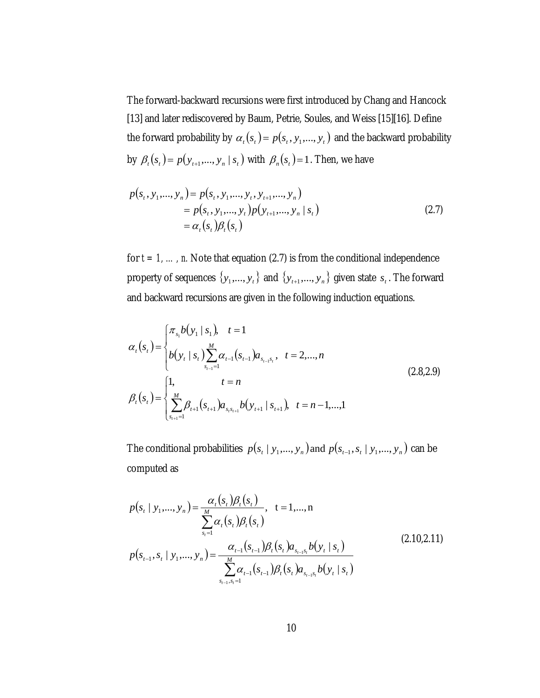The forward-backward recursions were first introduced by Chang and Hancock [13] and later rediscovered by Baum, Petrie, Soules, and Weiss [15][16]. Define the forward probability by  $\alpha_t(s_t) = p(s_t, y_1, \dots, y_t)$  and the backward probability by  $\beta_t(s_t) = p(y_{t+1},..., y_n | s_t)$  with  $\beta_t(s_t) = 1$ . Then, we have

$$
p(st, y1,..., yn) = p(st, y1,..., yt, yt+1,..., yn)
$$
  
=  $p(st, y1,..., yt)p(yt+1,..., yn | st)$   
=  $\alphat(st)\betat(st)$  (2.7)

for  $t = 1, ..., n$ . Note that equation (2.7) is from the conditional independence property of sequences  $\{y_1, ..., y_t\}$  and  $\{y_{t+1}, ..., y_n\}$  given state  $s_t$ . The forward and backward recursions are given in the following induction equations.

$$
\alpha_{t}(s_{t}) = \begin{cases} \pi_{s_{1}}b(y_{1} | s_{1}), & t = 1 \\ b(y_{t} | s_{t}) \sum_{s_{t-1}=1}^{M} \alpha_{t-1}(s_{t-1}) a_{s_{t-1}s_{t}}, & t = 2,...,n \end{cases}
$$
\n
$$
\beta_{t}(s_{t}) = \begin{cases} 1, & t = n \\ \sum_{s_{t+1}=1}^{M} \beta_{t+1}(s_{t+1}) a_{s_{t}s_{t+1}} b(y_{t+1} | s_{t+1}), & t = n-1,...,1 \end{cases}
$$
\n(2.8,2.9)

The conditional probabilities  $p(s_i | y_1, ..., y_n)$  and  $p(s_{i-1}, s_i | y_1, ..., y_n)$  can be computed as

$$
p(s_t | y_1, ..., y_n) = \frac{\alpha_t(s_t)\beta_t(s_t)}{\sum_{s_t=1}^M \alpha_t(s_t)\beta_t(s_t)}, \quad t = 1,...,n
$$
  

$$
p(s_{t-1}, s_t | y_1, ..., y_n) = \frac{\alpha_{t-1}(s_{t-1})\beta_t(s_t)a_{s_{t-1}s_t}b(y_t | s_t)}{\sum_{s_{t-1}, s_t=1}^M \alpha_{t-1}(s_{t-1})\beta_t(s_t)a_{s_{t-1}s_t}b(y_t | s_t)}
$$
(2.10,2.11)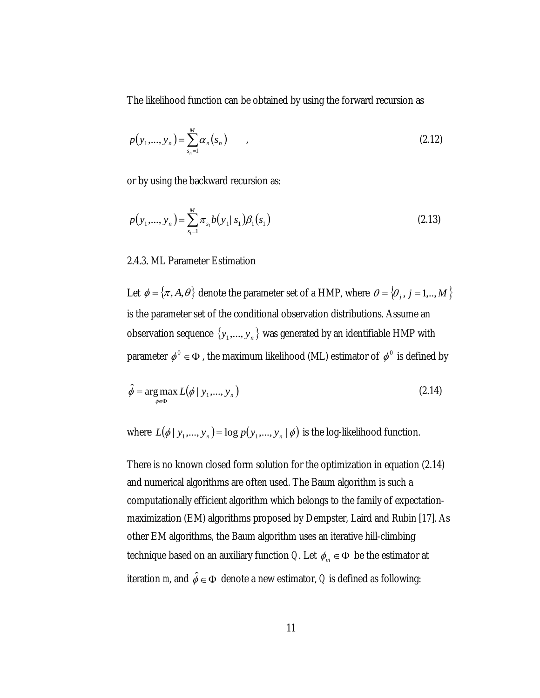The likelihood function can be obtained by using the forward recursion as

$$
p(y_1,..., y_n) = \sum_{s_n=1}^{M} \alpha_n(s_n) \qquad , \qquad (2.12)
$$

or by using the backward recursion as:

$$
p(y_1,..., y_n) = \sum_{s_1=1}^{M} \pi_{s_1} b(y_1 | s_1) \beta_1(s_1)
$$
\n(2.13)

#### 2.4.3. ML Parameter Estimation

Let  $\phi = \{\pi, A, \theta\}$  denote the parameter set of a HMP, where  $\theta = \{\theta_j, j = 1, ..., M\}$ is the parameter set of the conditional observation distributions. Assume an observation sequence  $\{y_1, ..., y_n\}$  was generated by an identifiable HMP with parameter  $\phi^0 \in \Phi$ , the maximum likelihood (ML) estimator of  $\phi^0$  is defined by

$$
\hat{\phi} = \underset{\phi \in \Phi}{\arg \max} L(\phi \mid y_1, \dots, y_n) \tag{2.14}
$$

where  $L(\phi | y_1, ..., y_n) = \log p(y_1, ..., y_n | \phi)$  is the log-likelihood function.

There is no known closed form solution for the optimization in equation (2.14) and numerical algorithms are often used. The Baum algorithm is such a computationally efficient algorithm which belongs to the family of expectationmaximization (EM) algorithms proposed by Dempster, Laird and Rubin [17]. As other EM algorithms, the Baum algorithm uses an iterative hill-climbing technique based on an auxiliary function *Q*. Let  $\phi_m \in \Phi$  be the estimator at iteration *m*, and  $\hat{\phi} \in \Phi$  denote a new estimator, *Q* is defined as following: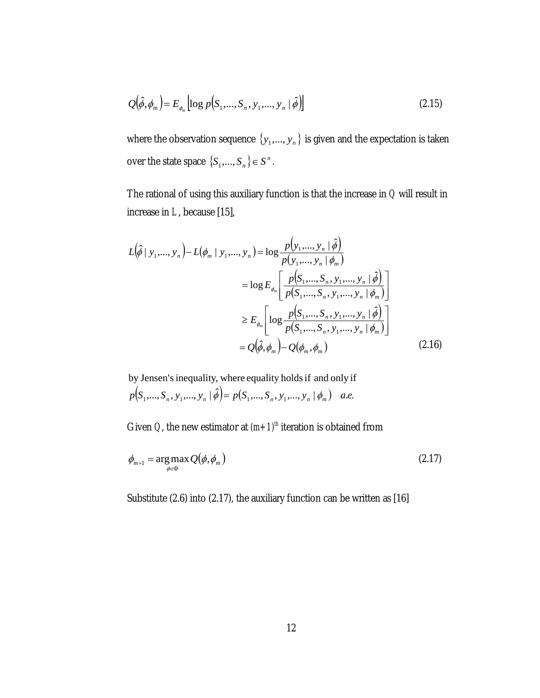$$
Q(\hat{\phi}, \phi_m) = E_{\phi_m} \left[ \log p(S_1, \dots, S_n, y_1, \dots, y_n \mid \hat{\phi}) \right]
$$
 (2.15)

where the observation sequence  $\{y_1,...,y_n\}$  is given and the expectation is taken over the state space  $\{S_1, ..., S_n\} \in S^n$ .

The rational of using this auxiliary function is that the increase in *Q* will result in increase in *L*, because [15],

$$
L(\hat{\phi} | y_1, ..., y_n) - L(\phi_m | y_1, ..., y_n) = \log \frac{p(y_1, ..., y_n | \hat{\phi})}{p(y_1, ..., y_n | \phi_m)}
$$
  
=  $\log E_{\phi_m} \left[ \frac{p(S_1, ..., S_n, y_1, ..., y_n | \hat{\phi})}{p(S_1, ..., S_n, y_1, ..., y_n | \phi_m)} \right]$   

$$
\geq E_{\phi_m} \left[ \log \frac{p(S_1, ..., S_n, y_1, ..., y_n | \hat{\phi})}{p(S_1, ..., S_n, y_1, ..., y_n | \phi_m)} \right]
$$
  
=  $Q(\hat{\phi}, \phi_m) - Q(\phi_m, \phi_m)$  (2.16)

 $p(S_1,...,S_n, y_1,..., y_n | \hat{\phi}) = p(S_1,...,S_n, y_1,..., y_n | \phi_m)$  a.e. by Jensen'sinequality, where equality holdsif and only if

Given *Q*, the new estimator at  $(m+1)^{th}$  iteration is obtained from

$$
\phi_{m+1} = \underset{\phi \in \Phi}{\arg \max} Q(\phi, \phi_m) \tag{2.17}
$$

Substitute (2.6) into (2.17), the auxiliary function can be written as [16]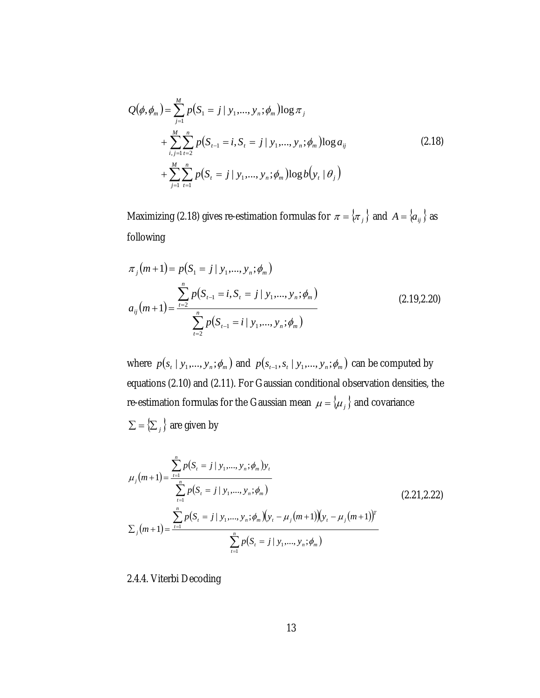$$
Q(\phi, \phi_m) = \sum_{j=1}^{M} p(S_1 = j | y_1, ..., y_n; \phi_m) \log \pi_j
$$
  
+ 
$$
\sum_{i,j=1}^{M} \sum_{t=2}^{n} p(S_{t-1} = i, S_t = j | y_1, ..., y_n; \phi_m) \log a_{ij}
$$
  
+ 
$$
\sum_{j=1}^{M} \sum_{t=1}^{n} p(S_t = j | y_1, ..., y_n; \phi_m) \log b(y_t | \theta_j)
$$
 (2.18)

Maximizing (2.18) gives re-estimation formulas for  $\pi = {\pi_j}$  and  $A = {\alpha_{ij}}$  as following

$$
\pi_j(m+1) = p(S_1 = j \mid y_1, \dots, y_n; \phi_m)
$$
  
\n
$$
a_{ij}(m+1) = \frac{\sum_{t=2}^n p(S_{t-1} = i, S_t = j \mid y_1, \dots, y_n; \phi_m)}{\sum_{t=2}^n p(S_{t-1} = i \mid y_1, \dots, y_n; \phi_m)}
$$
\n(2.19,2.20)

where  $p(s_i | y_1, ..., y_n; \phi_m)$  and  $p(s_{i-1}, s_i | y_1, ..., y_n; \phi_m)$  can be computed by equations (2.10) and (2.11). For Gaussian conditional observation densities, the re-estimation formulas for the Gaussian mean  $\mu = \{ \mu_j \}$  and covariance  $\sum = \left\{ \sum_j \right\}$  are given by

$$
\mu_{j}(m+1) = \frac{\sum_{t=1}^{n} p(S_{t} = j | y_{1},..., y_{n}; \phi_{m}) y_{t}}{\sum_{t=1}^{n} p(S_{t} = j | y_{1},..., y_{n}; \phi_{m})}
$$
\n
$$
\sum_{j}(m+1) = \frac{\sum_{t=1}^{n} p(S_{t} = j | y_{1},..., y_{n}; \phi_{m}) (y_{t} - \mu_{j}(m+1)) (y_{t} - \mu_{j}(m+1))^{T}}{\sum_{t=1}^{n} p(S_{t} = j | y_{1},..., y_{n}; \phi_{m})}
$$
\n(2.21,2.22)

2.4.4. Viterbi Decoding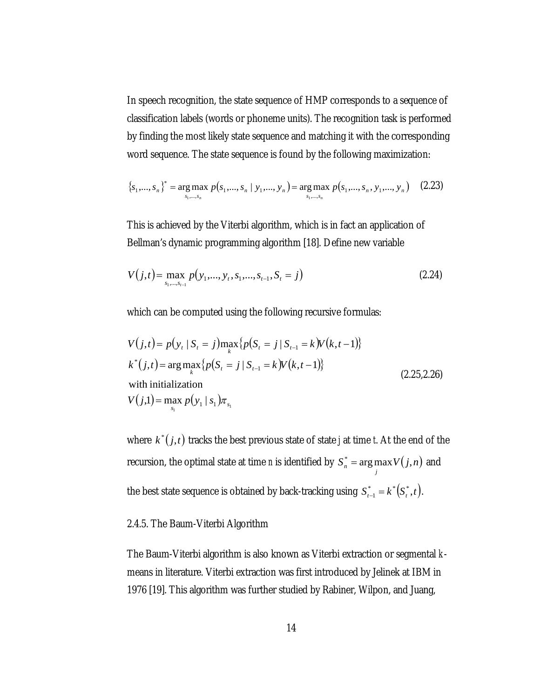In speech recognition, the state sequence of HMP corresponds to a sequence of classification labels (words or phoneme units). The recognition task is performed by finding the most likely state sequence and matching it with the corresponding word sequence. The state sequence is found by the following maximization:

$$
\{s_1, \ldots, s_n\}^* = \underset{s_1, \ldots, s_n}{\arg \max} \ p(s_1, \ldots, s_n \mid y_1, \ldots, y_n) = \underset{s_1, \ldots, s_n}{\arg \max} \ p(s_1, \ldots, s_n, y_1, \ldots, y_n) \tag{2.23}
$$

This is achieved by the Viterbi algorithm, which is in fact an application of Bellman's dynamic programming algorithm [18]. Define new variable

$$
V(j,t) = \max_{s_1,\dots,s_{t-1}} p(y_1,\dots,y_t,s_1,\dots,s_{t-1},S_t = j)
$$
\n(2.24)

which can be computed using the following recursive formulas:

$$
V(j,t) = p(y_t | S_t = j) \max_{k} \{ p(S_t = j | S_{t-1} = k) V(k, t-1) \}
$$
  
\n
$$
k^*(j,t) = \arg \max_{k} \{ p(S_t = j | S_{t-1} = k) V(k, t-1) \}
$$
  
\nwith initialization  
\n
$$
V(j,1) = \max_{s_1} p(y_1 | s_1) \pi_{s_1}
$$
\n(2.25,2.26)

where  $k^*(j,t)$  tracks the best previous state of state *j* at time *t*. At the end of the recursion, the optimal state at time *n* is identified by  $S_n^* = \argmax_j V(j,n)$  and the best state sequence is obtained by back-tracking using  $S_{t-1}^* = k^*(S_t^*, t)$ .

## 2.4.5. The Baum-Viterbi Algorithm

The Baum-Viterbi algorithm is also known as Viterbi extraction or segmental *k*means in literature. Viterbi extraction was first introduced by Jelinek at IBM in 1976 [19]. This algorithm was further studied by Rabiner, Wilpon, and Juang,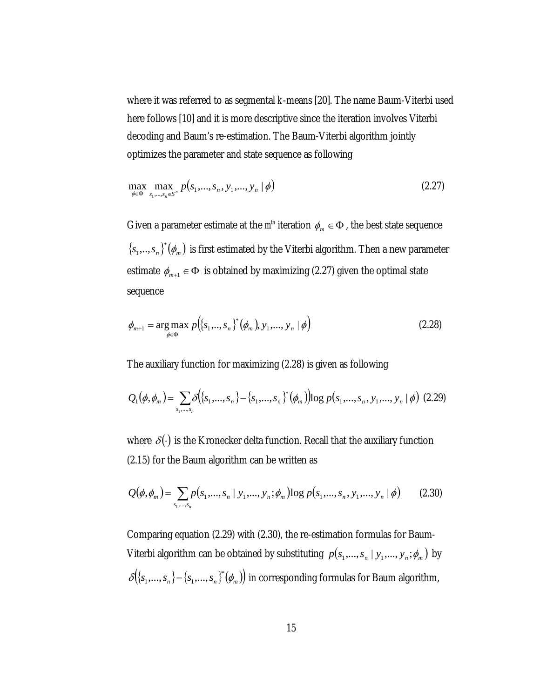where it was referred to as segmental *k*-means [20]. The name Baum-Viterbi used here follows [10] and it is more descriptive since the iteration involves Viterbi decoding and Baum's re-estimation. The Baum-Viterbi algorithm jointly optimizes the parameter and state sequence as following

$$
\max_{\phi \in \Phi} \max_{s_1, \dots, s_n \in S^n} p(s_1, \dots, s_n, y_1, \dots, y_n | \phi)
$$
\n(2.27)

Given a parameter estimate at the  $m^{\text{th}}$  iteration  $\phi_m \in \Phi$ , the best state sequence  ${s_{1},...,s_{n}}^{*}(\phi_{m})$  is first estimated by the Viterbi algorithm. Then a new parameter estimate  $\phi_{m+1} \in \Phi$  is obtained by maximizing (2.27) given the optimal state sequence

$$
\phi_{m+1} = \underset{\phi \in \Phi}{\arg \max} \ p\Big(\big\{s_1, \ldots, s_n\big\}^* \big(\phi_m\big), \, y_1, \ldots, \, y_n \mid \phi\Big) \tag{2.28}
$$

The auxiliary function for maximizing (2.28) is given as following

$$
Q_1(\phi, \phi_m) = \sum_{s_1, \dots, s_n} \delta\big(\{s_1, \dots, s_n\} - \{s_1, \dots, s_n\}^*(\phi_m)\big) \log p(s_1, \dots, s_n, y_1, \dots, y_n \mid \phi) \tag{2.29}
$$

where  $\delta(\cdot)$  is the Kronecker delta function. Recall that the auxiliary function (2.15) for the Baum algorithm can be written as

$$
Q(\phi, \phi_m) = \sum_{s_1, \dots, s_n} p(s_1, \dots, s_n \mid y_1, \dots, y_n; \phi_m) \log p(s_1, \dots, s_n, y_1, \dots, y_n \mid \phi)
$$
(2.30)

Comparing equation (2.29) with (2.30), the re-estimation formulas for Baum-Viterbi algorithm can be obtained by substituting  $p(s_1, ..., s_n | y_1, ..., y_n; \phi_m)$  by  $\delta({s_1,...,s_n}-s_{s_1},...,s_n)^*(\phi_m)$  in corresponding formulas for Baum algorithm,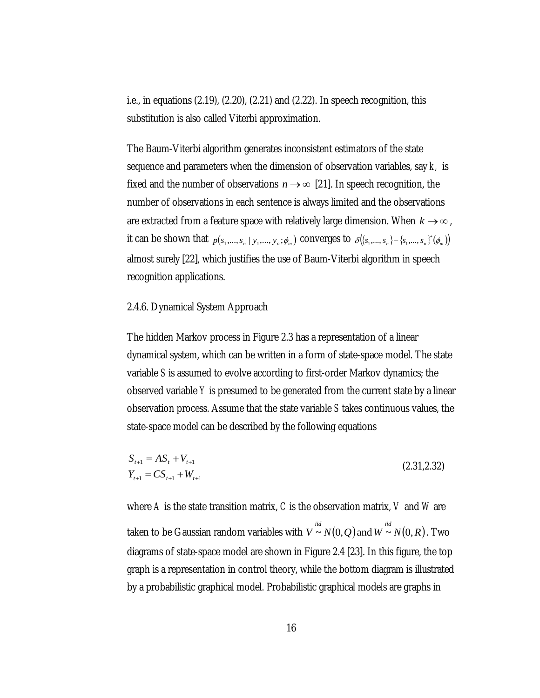i.e., in equations (2.19), (2.20), (2.21) and (2.22). In speech recognition, this substitution is also called Viterbi approximation.

The Baum-Viterbi algorithm generates inconsistent estimators of the state sequence and parameters when the dimension of observation variables, say *k,* is fixed and the number of observations  $n \rightarrow \infty$  [21]. In speech recognition, the number of observations in each sentence is always limited and the observations are extracted from a feature space with relatively large dimension. When  $k \rightarrow \infty$ , it can be shown that  $p(s_1,...,s_n \mid y_1,...,y_n;\phi_m)$  converges to  $\delta\big(\{s_1,...,s_n\}-\{s_1,...,s_n\}^*(\phi_m)\big)$ almost surely [22], which justifies the use of Baum-Viterbi algorithm in speech recognition applications.

#### 2.4.6. Dynamical System Approach

The hidden Markov process in Figure 2.3 has a representation of a linear dynamical system, which can be written in a form of state-space model. The state variable *S* is assumed to evolve according to first-order Markov dynamics; the observed variable *Y* is presumed to be generated from the current state by a linear observation process. Assume that the state variable *S* takes continuous values, the state-space model can be described by the following equations

$$
S_{t+1} = AS_t + V_{t+1}
$$
  
\n
$$
Y_{t+1} = CS_{t+1} + W_{t+1}
$$
\n(2.31,2.32)

where *A* is the state transition matrix, *C* is the observation matrix, *V* and *W* are taken to be Gaussian random variables with  $V \stackrel{\mathit{iid}}{\thicksim} N(0,Q)$  and  $W \stackrel{\mathit{iid}}{\thicksim} N(0,R)$  . Two diagrams of state-space model are shown in Figure 2.4 [23]. In this figure, the top graph is a representation in control theory, while the bottom diagram is illustrated by a probabilistic graphical model. Probabilistic graphical models are graphs in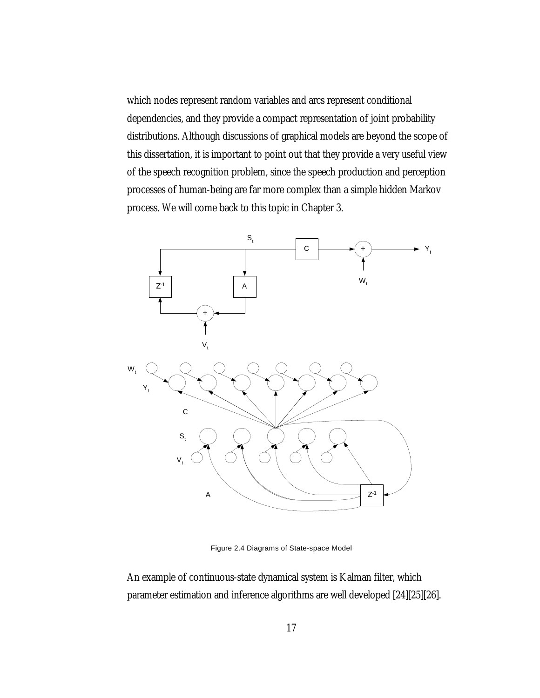which nodes represent random variables and arcs represent conditional dependencies, and they provide a compact representation of joint probability distributions. Although discussions of graphical models are beyond the scope of this dissertation, it is important to point out that they provide a very useful view of the speech recognition problem, since the speech production and perception processes of human-being are far more complex than a simple hidden Markov process. We will come back to this topic in Chapter 3.



Figure 2.4 Diagrams of State-space Model

An example of continuous-state dynamical system is Kalman filter, which parameter estimation and inference algorithms are well developed [24][25][26].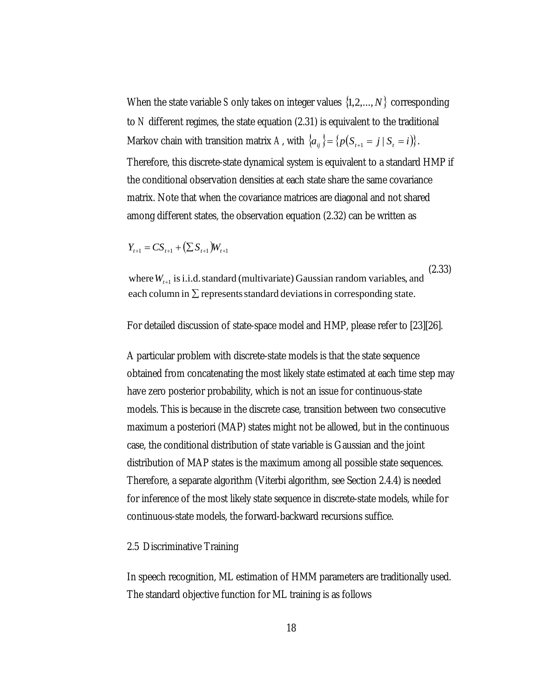When the state variable *S* only takes on integer values  $\{1, 2, ..., N\}$  corresponding to *N* different regimes, the state equation (2.31) is equivalent to the traditional Markov chain with transition matrix *A*, with  $\{a_{ij}\} = \{p(S_{t+1} = j \mid S_t = i)\}.$ Therefore, this discrete-state dynamical system is equivalent to a standard HMP if the conditional observation densities at each state share the same covariance matrix. Note that when the covariance matrices are diagonal and not shared among different states, the observation equation (2.32) can be written as

$$
Y_{t+1} = CS_{t+1} + (\sum S_{t+1})W_{t+1}
$$

each column in  $\Sigma$  represents standard deviations in corresponding state. where  $W_{t+1}$  is i.i.d. standard (multivariate) Gaussian random variables, and (2.33)

For detailed discussion of state-space model and HMP, please refer to [23][26].

A particular problem with discrete-state models is that the state sequence obtained from concatenating the most likely state estimated at each time step may have zero posterior probability, which is not an issue for continuous-state models. This is because in the discrete case, transition between two consecutive maximum a posteriori (MAP) states might not be allowed, but in the continuous case, the conditional distribution of state variable is Gaussian and the joint distribution of MAP states is the maximum among all possible state sequences. Therefore, a separate algorithm (Viterbi algorithm, see Section 2.4.4) is needed for inference of the most likely state sequence in discrete-state models, while for continuous-state models, the forward-backward recursions suffice.

#### 2.5 Discriminative Training

In speech recognition, ML estimation of HMM parameters are traditionally used. The standard objective function for ML training is as follows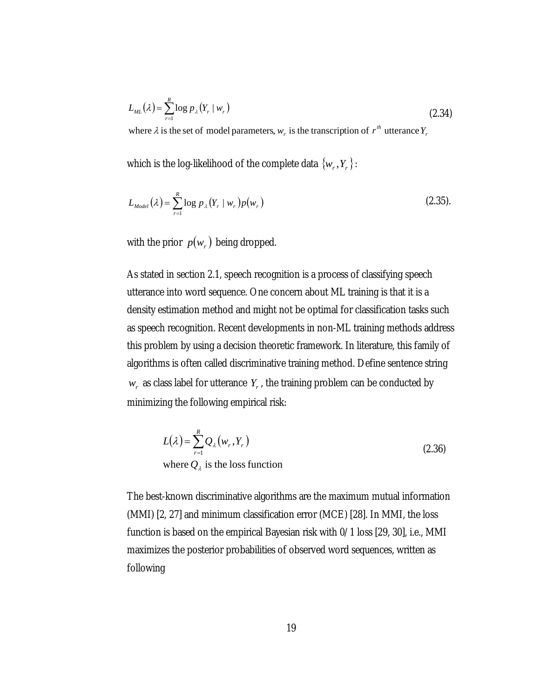$$
L_{ML}(\lambda) = \sum_{r=1}^{R} \log p_{\lambda}(Y_r \mid w_r)
$$
\n(2.34)

where  $\lambda$  is the set of model parameters,  $w_r$  is the transcription of  $r^{th}$  utterance  $Y_r$ 

which is the log-likelihood of the complete data  $\{w_r,Y_r\}$  :

$$
L_{Model}(\lambda) = \sum_{r=1}^{R} \log p_{\lambda}(Y_r \mid w_r) p(w_r)
$$
 (2.35).

with the prior  $p(w_r)$  being dropped.

As stated in section 2.1, speech recognition is a process of classifying speech utterance into word sequence. One concern about ML training is that it is a density estimation method and might not be optimal for classification tasks such as speech recognition. Recent developments in non-ML training methods address this problem by using a decision theoretic framework. In literature, this family of algorithms is often called discriminative training method. Define sentence string  $w_r$ , as class label for utterance  $Y_r$ , the training problem can be conducted by minimizing the following empirical risk:

$$
L(\lambda) = \sum_{r=1}^{R} Q_{\lambda}(w_r, Y_r)
$$
  
where  $Q_{\lambda}$  is the loss function (2.36)

The best-known discriminative algorithms are the maximum mutual information (MMI) [2, 27] and minimum classification error (MCE) [28]. In MMI, the loss function is based on the empirical Bayesian risk with 0/1 loss [29, 30], i.e., MMI maximizes the posterior probabilities of observed word sequences, written as following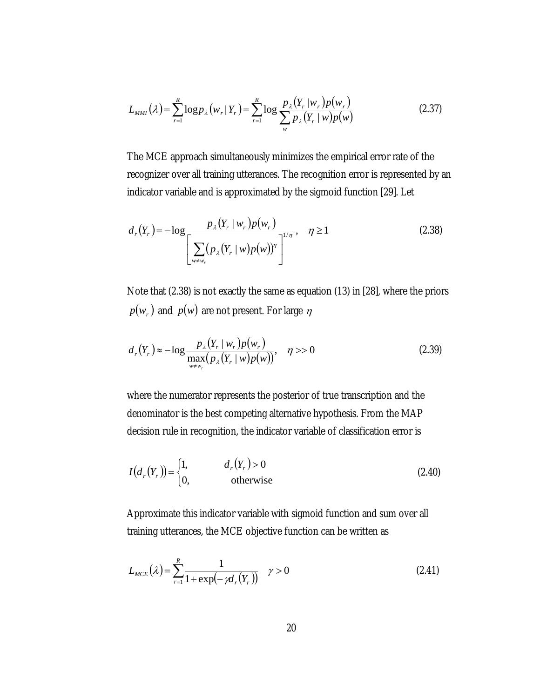$$
L_{MMI}(\lambda) = \sum_{r=1}^{R} \log p_{\lambda}(w_r | Y_r) = \sum_{r=1}^{R} \log \frac{p_{\lambda}(Y_r | w_r) p(w_r)}{\sum_{w} p_{\lambda}(Y_r | w) p(w)}
$$
(2.37)

The MCE approach simultaneously minimizes the empirical error rate of the recognizer over all training utterances. The recognition error is represented by an indicator variable and is approximated by the sigmoid function [29]. Let

$$
d_r(Y_r) = -\log \frac{p_{\lambda}(Y_r \mid w_r)p(w_r)}{\left[\sum_{w \neq w_r} (p_{\lambda}(Y_r \mid w)p(w))^{\eta}\right]^{1/\eta}}, \quad \eta \ge 1
$$
\n(2.38)

Note that (2.38) is not exactly the same as equation (13) in [28], where the priors  $p(w_r)$  and  $p(w)$  are not present. For large  $\eta$ 

$$
d_r(Y_r) \approx -\log \frac{p_{\lambda}(Y_r \mid w_r) p(w_r)}{\max_{w \neq w_r} (p_{\lambda}(Y_r \mid w) p(w))}, \quad \eta >> 0
$$
\n(2.39)

where the numerator represents the posterior of true transcription and the denominator is the best competing alternative hypothesis. From the MAP decision rule in recognition, the indicator variable of classification error is

$$
I(d_r(Y_r)) = \begin{cases} 1, & d_r(Y_r) > 0 \\ 0, & \text{otherwise} \end{cases}
$$
 (2.40)

Approximate this indicator variable with sigmoid function and sum over all training utterances, the MCE objective function can be written as

$$
L_{MCE}(\lambda) = \sum_{r=1}^{R} \frac{1}{1 + \exp(-\gamma d_r(Y_r))} \quad \gamma > 0
$$
\n(2.41)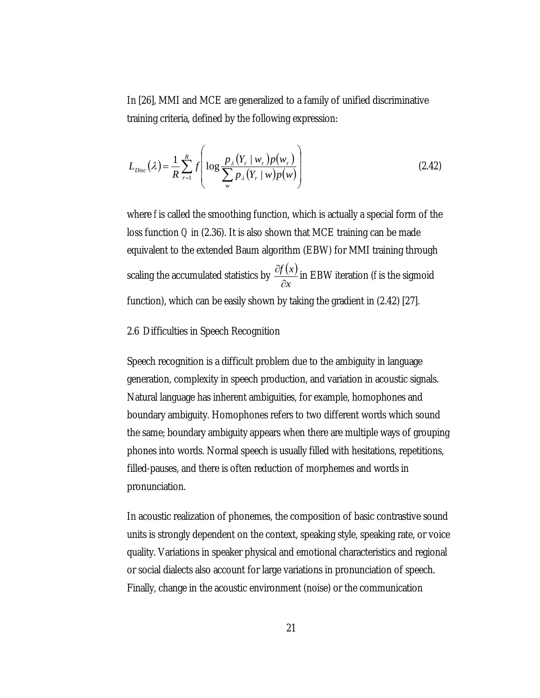In [26], MMI and MCE are generalized to a family of unified discriminative training criteria, defined by the following expression:

$$
L_{Disc}(\lambda) = \frac{1}{R} \sum_{r=1}^{R} f\left( \log \frac{p_{\lambda}(Y_r \mid w_r) p(w_r)}{\sum_{w} p_{\lambda}(Y_r \mid w) p(w)} \right)
$$
(2.42)

where *f* is called the smoothing function, which is actually a special form of the loss function *Q* in (2.36). It is also shown that MCE training can be made equivalent to the extended Baum algorithm (EBW) for MMI training through scaling the accumulated statistics by  $\frac{\partial f(x)}{\partial x}$ *x f x* ∂  $\frac{\partial f(x)}{\partial x}$  in EBW iteration (*f* is the sigmoid function), which can be easily shown by taking the gradient in (2.42) [27].

#### 2.6 Difficulties in Speech Recognition

Speech recognition is a difficult problem due to the ambiguity in language generation, complexity in speech production, and variation in acoustic signals. Natural language has inherent ambiguities, for example, homophones and boundary ambiguity. Homophones refers to two different words which sound the same; boundary ambiguity appears when there are multiple ways of grouping phones into words. Normal speech is usually filled with hesitations, repetitions, filled-pauses, and there is often reduction of morphemes and words in pronunciation.

In acoustic realization of phonemes, the composition of basic contrastive sound units is strongly dependent on the context, speaking style, speaking rate, or voice quality. Variations in speaker physical and emotional characteristics and regional or social dialects also account for large variations in pronunciation of speech. Finally, change in the acoustic environment (noise) or the communication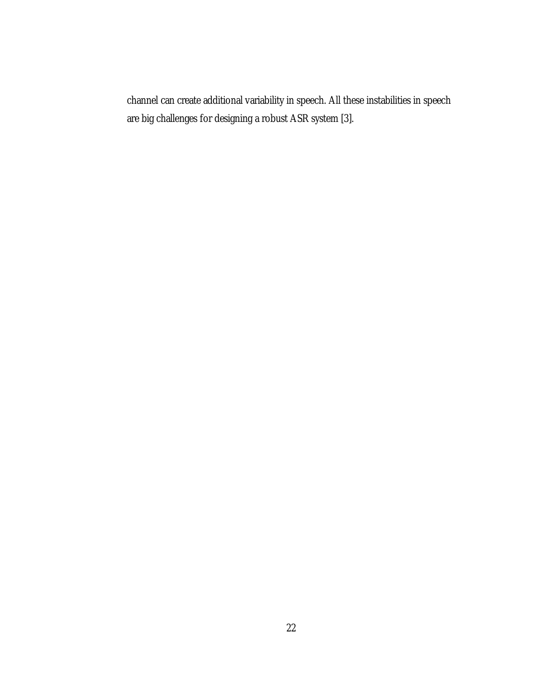channel can create additional variability in speech. All these instabilities in speech are big challenges for designing a robust ASR system [3].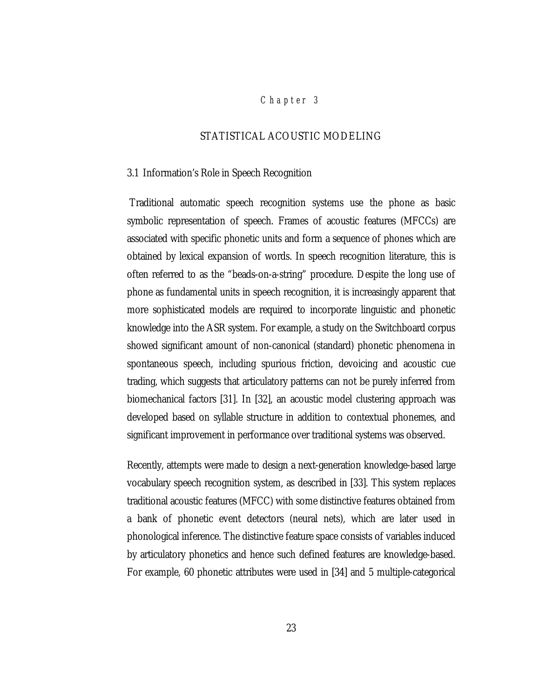## *Chap ter 3*

## STATISTICAL ACOUSTIC MODELING

#### 3.1 Information's Role in Speech Recognition

 Traditional automatic speech recognition systems use the phone as basic symbolic representation of speech. Frames of acoustic features (MFCCs) are associated with specific phonetic units and form a sequence of phones which are obtained by lexical expansion of words. In speech recognition literature, this is often referred to as the "beads-on-a-string" procedure. Despite the long use of phone as fundamental units in speech recognition, it is increasingly apparent that more sophisticated models are required to incorporate linguistic and phonetic knowledge into the ASR system. For example, a study on the Switchboard corpus showed significant amount of non-canonical (standard) phonetic phenomena in spontaneous speech, including spurious friction, devoicing and acoustic cue trading, which suggests that articulatory patterns can not be purely inferred from biomechanical factors [31]. In [32], an acoustic model clustering approach was developed based on syllable structure in addition to contextual phonemes, and significant improvement in performance over traditional systems was observed.

Recently, attempts were made to design a next-generation knowledge-based large vocabulary speech recognition system, as described in [33]. This system replaces traditional acoustic features (MFCC) with some distinctive features obtained from a bank of phonetic event detectors (neural nets), which are later used in phonological inference. The distinctive feature space consists of variables induced by articulatory phonetics and hence such defined features are knowledge-based. For example, 60 phonetic attributes were used in [34] and 5 multiple-categorical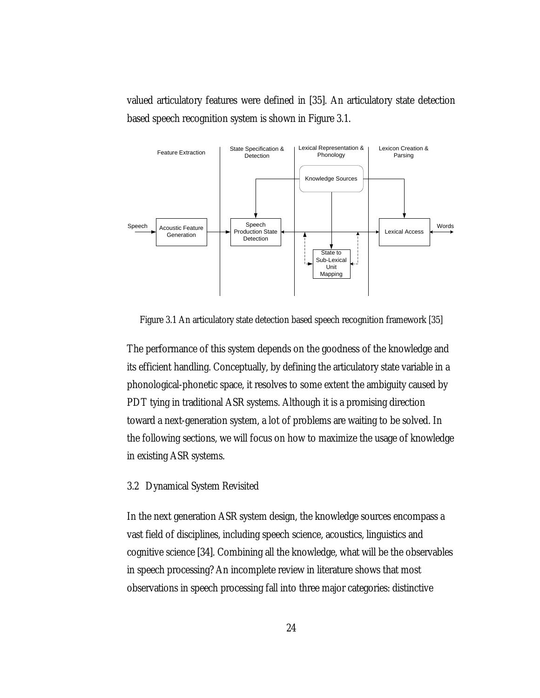valued articulatory features were defined in [35]. An articulatory state detection based speech recognition system is shown in Figure 3.1.



Figure 3.1 An articulatory state detection based speech recognition framework [35]

The performance of this system depends on the goodness of the knowledge and its efficient handling. Conceptually, by defining the articulatory state variable in a phonological-phonetic space, it resolves to some extent the ambiguity caused by PDT tying in traditional ASR systems. Although it is a promising direction toward a next-generation system, a lot of problems are waiting to be solved. In the following sections, we will focus on how to maximize the usage of knowledge in existing ASR systems.

#### 3.2 Dynamical System Revisited

In the next generation ASR system design, the knowledge sources encompass a vast field of disciplines, including speech science, acoustics, linguistics and cognitive science [34]. Combining all the knowledge, what will be the observables in speech processing? An incomplete review in literature shows that most observations in speech processing fall into three major categories: distinctive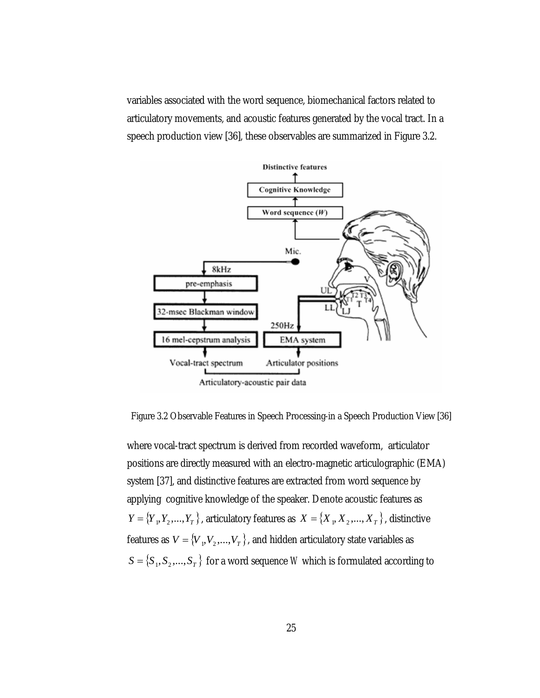variables associated with the word sequence, biomechanical factors related to articulatory movements, and acoustic features generated by the vocal tract. In a speech production view [36], these observables are summarized in Figure 3.2.



Figure 3.2 Observable Features in Speech Processing-in a Speech Production View [36]

where vocal-tract spectrum is derived from recorded waveform, articulator positions are directly measured with an electro-magnetic articulographic (EMA) system [37], and distinctive features are extracted from word sequence by applying cognitive knowledge of the speaker. Denote acoustic features as  ${Y} = \{Y_1, Y_2, ..., Y_T\}$ , articulatory features as  $X = \{X_1, X_2, ..., X_T\}$ , distinctive features as  $V = \{V_{1}, V_{2}, ..., V_{T}\}$ , and hidden articulatory state variables as  $S = \{S_1, S_2, ..., S_T\}$  for a word sequence *W* which is formulated according to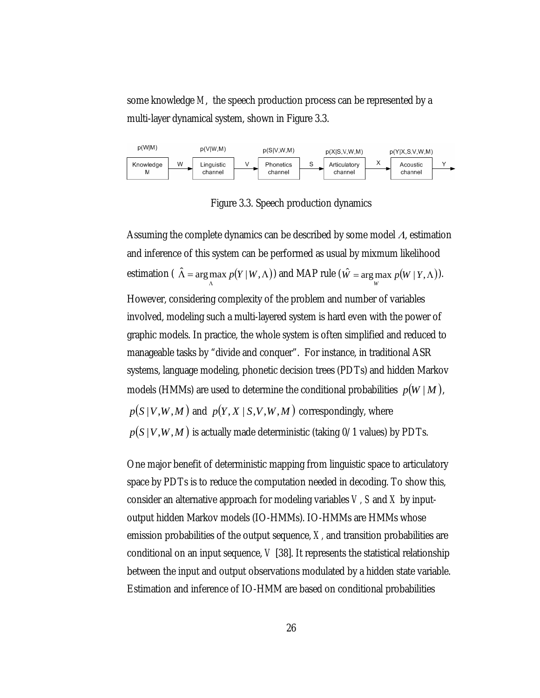some knowledge *M*, the speech production process can be represented by a multi-layer dynamical system, shown in Figure 3.3.



Figure 3.3. Speech production dynamics

Assuming the complete dynamics can be described by some model Λ, estimation and inference of this system can be performed as usual by mixmum likelihood estimation ( $\hat{\Lambda} = \arg \max p(Y | W, \Lambda)$ Λ  $\hat{\Lambda}$  = arg max  $p(Y | W, \Lambda)$  and MAP rule ( $\hat{W}$  = arg max  $p(W | Y, \Lambda)$ ). However, considering complexity of the problem and number of variables involved, modeling such a multi-layered system is hard even with the power of graphic models. In practice, the whole system is often simplified and reduced to manageable tasks by "divide and conquer". For instance, in traditional ASR systems, language modeling, phonetic decision trees (PDTs) and hidden Markov models (HMMs) are used to determine the conditional probabilities  $p(W \mid M)$ ,  $p(S|V,W,M)$  and  $p(Y, X|S, V, W, M)$  correspondingly, where  $p(S | V, W, M)$  is actually made deterministic (taking  $0/1$  values) by PDTs.

One major benefit of deterministic mapping from linguistic space to articulatory space by PDTs is to reduce the computation needed in decoding. To show this, consider an alternative approach for modeling variables *V, S* and *X* by inputoutput hidden Markov models (IO-HMMs). IO-HMMs are HMMs whose emission probabilities of the output sequence, *X,* and transition probabilities are conditional on an input sequence, *V* [38]. It represents the statistical relationship between the input and output observations modulated by a hidden state variable. Estimation and inference of IO-HMM are based on conditional probabilities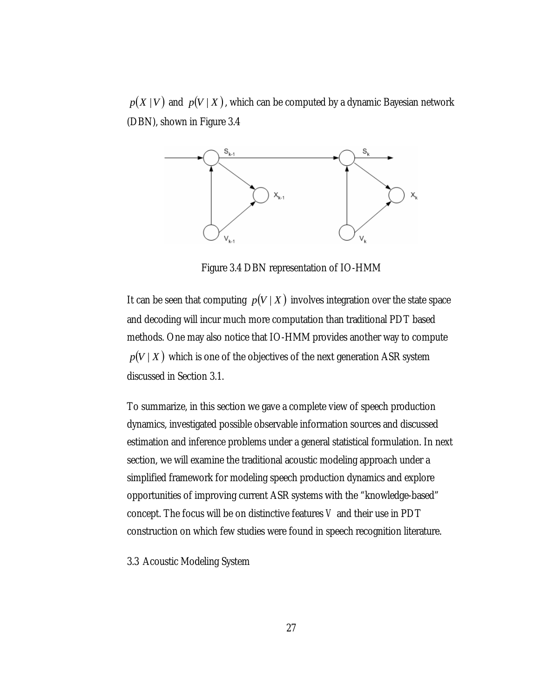$p(X \mid V)$  and  $p(V \mid X)$ , which can be computed by a dynamic Bayesian network (DBN), shown in Figure 3.4



Figure 3.4 DBN representation of IO-HMM

It can be seen that computing  $p(V | X)$  involves integration over the state space and decoding will incur much more computation than traditional PDT based methods. One may also notice that IO-HMM provides another way to compute  $p(V | X)$  which is one of the objectives of the next generation ASR system discussed in Section 3.1.

To summarize, in this section we gave a complete view of speech production dynamics, investigated possible observable information sources and discussed estimation and inference problems under a general statistical formulation. In next section, we will examine the traditional acoustic modeling approach under a simplified framework for modeling speech production dynamics and explore opportunities of improving current ASR systems with the "knowledge-based" concept. The focus will be on distinctive features *V* and their use in PDT construction on which few studies were found in speech recognition literature.

3.3 Acoustic Modeling System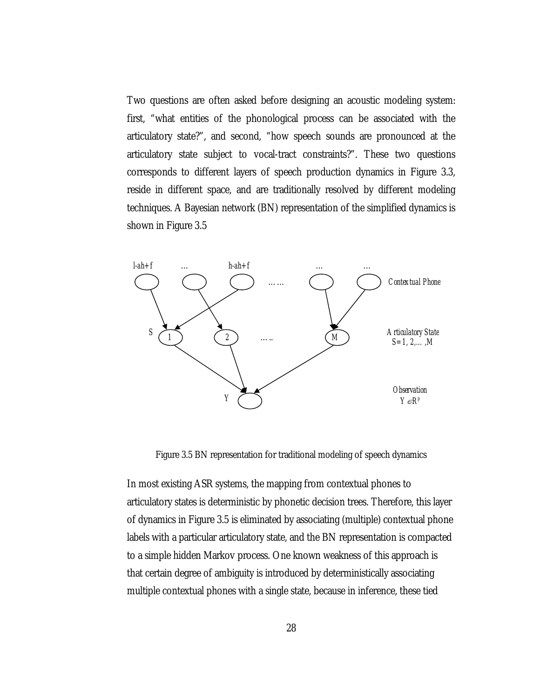Two questions are often asked before designing an acoustic modeling system: first, "what entities of the phonological process can be associated with the articulatory state?", and second, "how speech sounds are pronounced at the articulatory state subject to vocal-tract constraints?". These two questions corresponds to different layers of speech production dynamics in Figure 3.3, reside in different space, and are traditionally resolved by different modeling techniques. A Bayesian network (BN) representation of the simplified dynamics is shown in Figure 3.5



Figure 3.5 BN representation for traditional modeling of speech dynamics

In most existing ASR systems, the mapping from contextual phones to articulatory states is deterministic by phonetic decision trees. Therefore, this layer of dynamics in Figure 3.5 is eliminated by associating (multiple) contextual phone labels with a particular articulatory state, and the BN representation is compacted to a simple hidden Markov process. One known weakness of this approach is that certain degree of ambiguity is introduced by deterministically associating multiple contextual phones with a single state, because in inference, these tied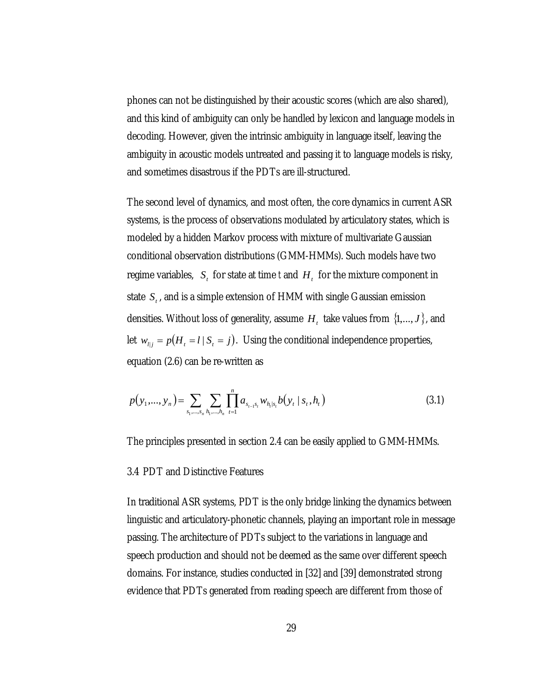phones can not be distinguished by their acoustic scores (which are also shared), and this kind of ambiguity can only be handled by lexicon and language models in decoding. However, given the intrinsic ambiguity in language itself, leaving the ambiguity in acoustic models untreated and passing it to language models is risky, and sometimes disastrous if the PDTs are ill-structured.

The second level of dynamics, and most often, the core dynamics in current ASR systems, is the process of observations modulated by articulatory states, which is modeled by a hidden Markov process with mixture of multivariate Gaussian conditional observation distributions (GMM-HMMs). Such models have two regime variables,  $S_t$  for state at time *t* and  $H_t$  for the mixture component in state  $S_t$ , and is a simple extension of HMM with single Gaussian emission densities. Without loss of generality, assume  $H_t$  take values from  $\{1,...,J\}$ , and let  $w_{ij} = p(H_i = l | S_i = j)$ . Using the conditional independence properties, equation (2.6) can be re-written as

$$
p(y_1,..., y_n) = \sum_{s_1,...,s_n} \sum_{h_1,...,h_n} \prod_{t=1}^n a_{s_{t-1}s_t} w_{h_t|s_t} b(y_t | s_t, h_t)
$$
(3.1)

The principles presented in section 2.4 can be easily applied to GMM-HMMs.

### 3.4 PDT and Distinctive Features

In traditional ASR systems, PDT is the only bridge linking the dynamics between linguistic and articulatory-phonetic channels, playing an important role in message passing. The architecture of PDTs subject to the variations in language and speech production and should not be deemed as the same over different speech domains. For instance, studies conducted in [32] and [39] demonstrated strong evidence that PDTs generated from reading speech are different from those of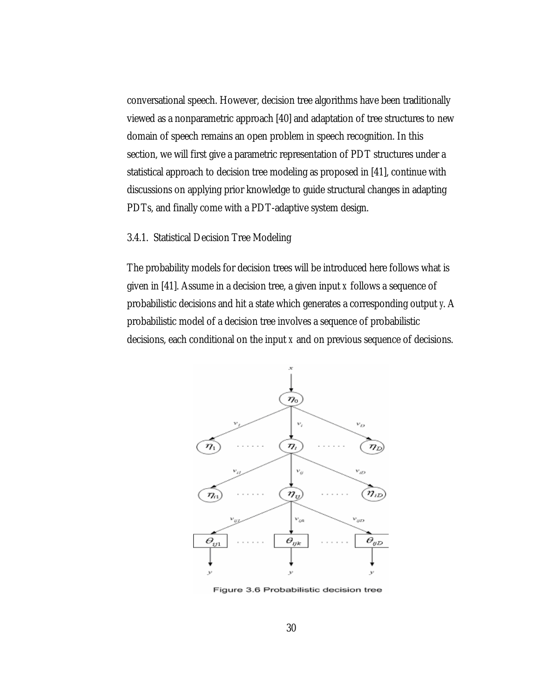conversational speech. However, decision tree algorithms have been traditionally viewed as a nonparametric approach [40] and adaptation of tree structures to new domain of speech remains an open problem in speech recognition. In this section, we will first give a parametric representation of PDT structures under a statistical approach to decision tree modeling as proposed in [41], continue with discussions on applying prior knowledge to guide structural changes in adapting PDTs, and finally come with a PDT-adaptive system design.

## 3.4.1. Statistical Decision Tree Modeling

The probability models for decision trees will be introduced here follows what is given in [41]. Assume in a decision tree, a given input *x* follows a sequence of probabilistic decisions and hit a state which generates a corresponding output *y*. A probabilistic model of a decision tree involves a sequence of probabilistic decisions, each conditional on the input *x* and on previous sequence of decisions.



Figure 3.6 Probabilistic decision tree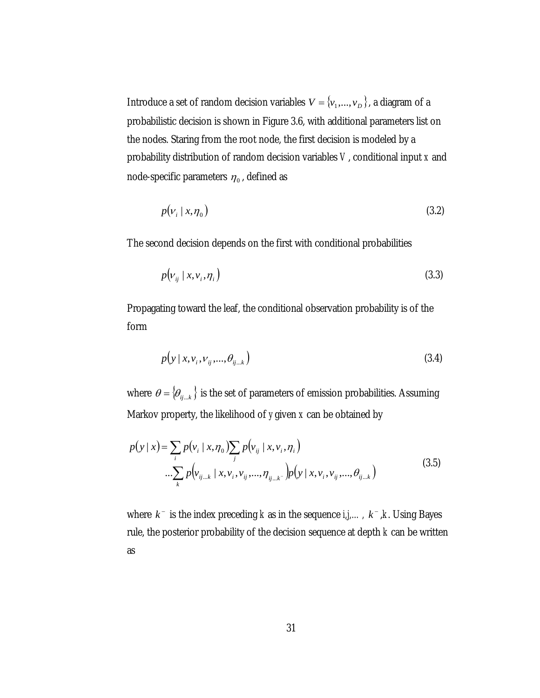Introduce a set of random decision variables  $V = \{v_1, \ldots, v_D\}$ , a diagram of a probabilistic decision is shown in Figure 3.6, with additional parameters list on the nodes. Staring from the root node, the first decision is modeled by a probability distribution of random decision variables *V*, conditional input *x* and node-specific parameters  $\eta_0$ , defined as

$$
p(v_i \mid x, \eta_0) \tag{3.2}
$$

The second decision depends on the first with conditional probabilities

$$
p(v_{ij} \mid x, v_i, \eta_i) \tag{3.3}
$$

Propagating toward the leaf, the conditional observation probability is of the form

$$
p(y|x, v_i, v_{ij}, \ldots, \theta_{ij \ldots k}) \tag{3.4}
$$

where  $\theta = \{\theta_{ij...k}\}\$ is the set of parameters of emission probabilities. Assuming Markov property, the likelihood of *y* given *x* can be obtained by

$$
p(y \mid x) = \sum_{i} p(v_i \mid x, \eta_0) \sum_{j} p(v_{ij} \mid x, v_i, \eta_i)
$$
  
....
$$
\sum_{k} p(v_{ij...k} \mid x, v_i, v_{ij}, ..., \eta_{ij...k} - p(y \mid x, v_i, v_{ij}, ..., \theta_{ij...k})
$$
(3.5)

where  $k^-$  is the index preceding *k* as in the sequence  $i, j, \ldots, k^-, k$ . Using Bayes rule, the posterior probability of the decision sequence at depth *k* can be written as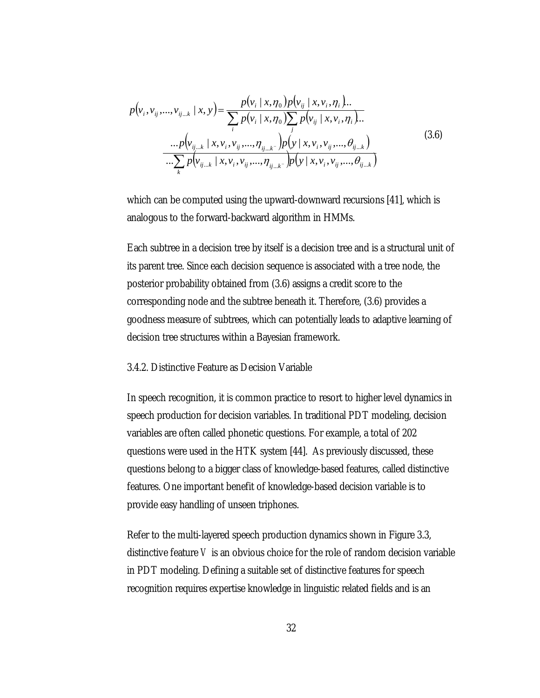$$
p(v_i, v_{ij},...,v_{ij...k} | x, y) = \frac{p(v_i | x, \eta_0) p(v_{ij} | x, v_i, \eta_i) ...}{\sum_i p(v_i | x, \eta_0) \sum_j p(v_{ij} | x, v_i, \eta_i) ...}
$$
  
\n
$$
... p(v_{ij...k} | x, v_i, v_{ij},..., \eta_{ij...k}) p(y | x, v_i, v_{ij},..., \theta_{ij...k})
$$
  
\n
$$
... \sum_k p(v_{ij...k} | x, v_i, v_{ij},..., \eta_{ij...k}) p(y | x, v_i, v_{ij},..., \theta_{ij...k})
$$
  
\n(3.6)

which can be computed using the upward-downward recursions [41], which is analogous to the forward-backward algorithm in HMMs.

Each subtree in a decision tree by itself is a decision tree and is a structural unit of its parent tree. Since each decision sequence is associated with a tree node, the posterior probability obtained from (3.6) assigns a credit score to the corresponding node and the subtree beneath it. Therefore, (3.6) provides a goodness measure of subtrees, which can potentially leads to adaptive learning of decision tree structures within a Bayesian framework.

### 3.4.2. Distinctive Feature as Decision Variable

In speech recognition, it is common practice to resort to higher level dynamics in speech production for decision variables. In traditional PDT modeling, decision variables are often called phonetic questions. For example, a total of 202 questions were used in the HTK system [44]. As previously discussed, these questions belong to a bigger class of knowledge-based features, called distinctive features. One important benefit of knowledge-based decision variable is to provide easy handling of unseen triphones.

Refer to the multi-layered speech production dynamics shown in Figure 3.3, distinctive feature *V* is an obvious choice for the role of random decision variable in PDT modeling. Defining a suitable set of distinctive features for speech recognition requires expertise knowledge in linguistic related fields and is an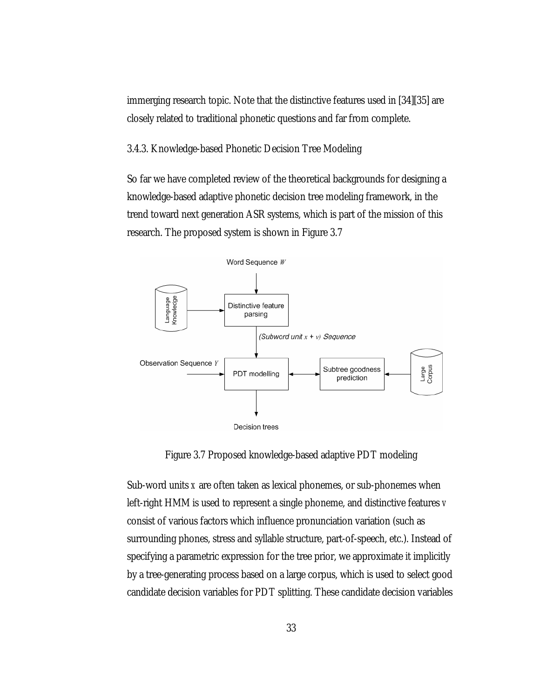immerging research topic. Note that the distinctive features used in [34][35] are closely related to traditional phonetic questions and far from complete.

3.4.3. Knowledge-based Phonetic Decision Tree Modeling

So far we have completed review of the theoretical backgrounds for designing a knowledge-based adaptive phonetic decision tree modeling framework, in the trend toward next generation ASR systems, which is part of the mission of this research. The proposed system is shown in Figure 3.7



Figure 3.7 Proposed knowledge-based adaptive PDT modeling

Sub-word units *x* are often taken as lexical phonemes, or sub-phonemes when left-right HMM is used to represent a single phoneme, and distinctive features *v* consist of various factors which influence pronunciation variation (such as surrounding phones, stress and syllable structure, part-of-speech, etc.). Instead of specifying a parametric expression for the tree prior, we approximate it implicitly by a tree-generating process based on a large corpus, which is used to select good candidate decision variables for PDT splitting. These candidate decision variables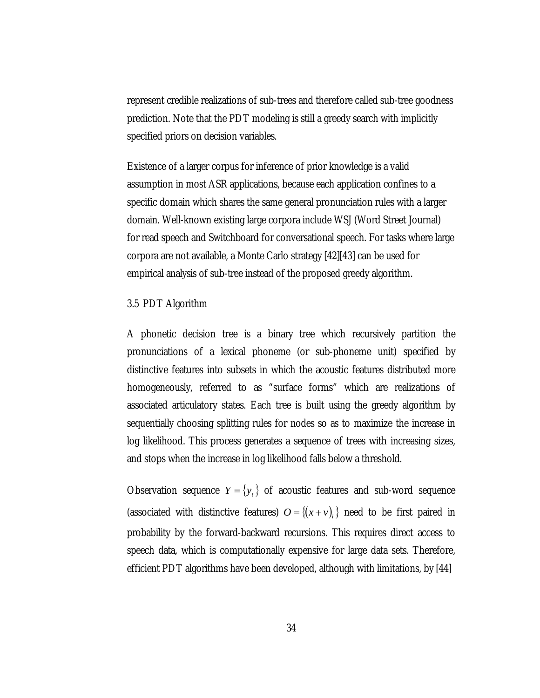represent credible realizations of sub-trees and therefore called sub-tree goodness prediction. Note that the PDT modeling is still a greedy search with implicitly specified priors on decision variables.

Existence of a larger corpus for inference of prior knowledge is a valid assumption in most ASR applications, because each application confines to a specific domain which shares the same general pronunciation rules with a larger domain. Well-known existing large corpora include WSJ (Word Street Journal) for read speech and Switchboard for conversational speech. For tasks where large corpora are not available, a Monte Carlo strategy [42][43] can be used for empirical analysis of sub-tree instead of the proposed greedy algorithm.

### 3.5 PDT Algorithm

A phonetic decision tree is a binary tree which recursively partition the pronunciations of a lexical phoneme (or sub-phoneme unit) specified by distinctive features into subsets in which the acoustic features distributed more homogeneously, referred to as "surface forms" which are realizations of associated articulatory states. Each tree is built using the greedy algorithm by sequentially choosing splitting rules for nodes so as to maximize the increase in log likelihood. This process generates a sequence of trees with increasing sizes, and stops when the increase in log likelihood falls below a threshold.

Observation sequence  $Y = \{y_t\}$  of acoustic features and sub-word sequence (associated with distinctive features)  $O = \{(x + v)_i\}$  need to be first paired in probability by the forward-backward recursions. This requires direct access to speech data, which is computationally expensive for large data sets. Therefore, efficient PDT algorithms have been developed, although with limitations, by [44]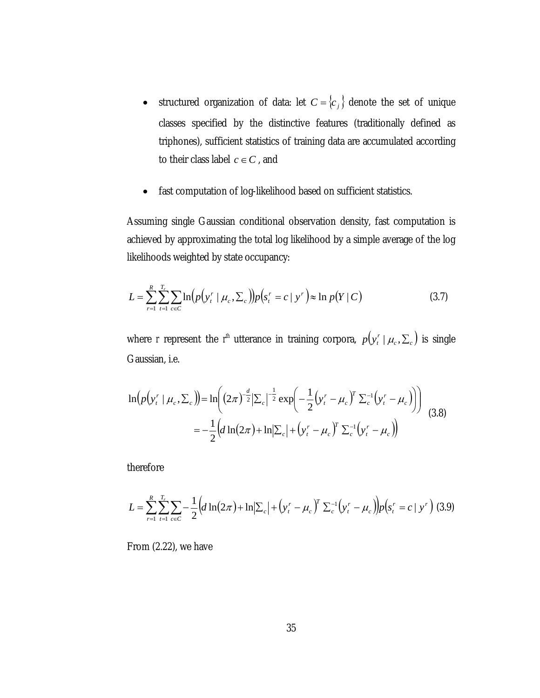- structured organization of data: let  $C = \{c_j\}$  denote the set of unique classes specified by the distinctive features (traditionally defined as triphones), sufficient statistics of training data are accumulated according to their class label  $c \in C$ , and
- fast computation of log-likelihood based on sufficient statistics.

Assuming single Gaussian conditional observation density, fast computation is achieved by approximating the total log likelihood by a simple average of the log likelihoods weighted by state occupancy:

$$
L = \sum_{r=1}^{R} \sum_{t=1}^{T_r} \sum_{c \in C} \ln(p(y_t^r \mid \mu_c, \Sigma_c)) p(s_t^r = c \mid y^r) \approx \ln p(Y \mid C)
$$
 (3.7)

where *r* represent the *r*<sup>th</sup> utterance in training corpora,  $p(y_i^r | \mu_c, \Sigma_c)$  is single Gaussian, i.e.

$$
\ln(p(y_t^r \mid \mu_c, \Sigma_c)) = \ln\left((2\pi)^{-\frac{d}{2}}|\Sigma_c|^{-\frac{1}{2}}\exp\left(-\frac{1}{2}(y_t^r - \mu_c)^T \Sigma_c^{-1}(y_t^r - \mu_c)\right)\right)
$$
  
= 
$$
-\frac{1}{2}\left(d\ln(2\pi) + \ln|\Sigma_c| + (y_t^r - \mu_c)^T \Sigma_c^{-1}(y_t^r - \mu_c)\right)
$$
(3.8)

therefore

$$
L = \sum_{r=1}^{R} \sum_{t=1}^{T_r} \sum_{c \in C} -\frac{1}{2} \Big( d \ln(2\pi) + \ln \big| \sum_{c} \big| + \big( y_t^r - \mu_c \big)^r \sum_{c}^{-1} \big( y_t^r - \mu_c \big) \Big) p \big( s_t^r = c \mid y^r \big) \tag{3.9}
$$

From (2.22), we have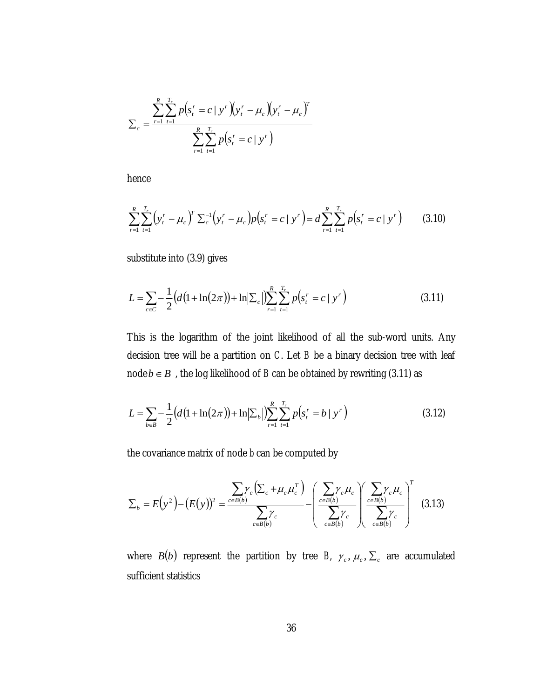$$
\sum_{c} \frac{\sum_{r=1}^{R} \sum_{t=1}^{T_r} p(s_t^r = c \mid y^r)(y_t^r - \mu_c)(y_t^r - \mu_c)^T}{\sum_{r=1}^{R} \sum_{t=1}^{T_r} p(s_t^r = c \mid y^r)}
$$

hence

$$
\sum_{r=1}^{R} \sum_{t=1}^{T_r} \left( y_t^r - \mu_c \right)^r \sum_{c=1}^{T} \left( y_t^r - \mu_c \right) p \left( s_t^r = c \mid y^r \right) = d \sum_{r=1}^{R} \sum_{t=1}^{T_r} p \left( s_t^r = c \mid y^r \right) \tag{3.10}
$$

substitute into (3.9) gives

$$
L = \sum_{c \in C} -\frac{1}{2} \left( d \left( 1 + \ln(2\pi) \right) + \ln \left| \sum_{c} \right| \right) \sum_{r=1}^{R} \sum_{t=1}^{T_r} p \left( s_t^r = c \mid y^r \right) \tag{3.11}
$$

This is the logarithm of the joint likelihood of all the sub-word units. Any decision tree will be a partition on *C*. Let *B* be a binary decision tree with leaf node *b*∈ *B* , the log likelihood of *B* can be obtained by rewriting (3.11) as

$$
L = \sum_{b \in B} -\frac{1}{2} \left( d \left( 1 + \ln(2\pi) \right) + \ln \left| \sum_{b} \right| \right) \sum_{r=1}^{R} \sum_{t=1}^{T_r} p \left( s_t^r = b \mid y^r \right) \tag{3.12}
$$

the covariance matrix of node *b* can be computed by

$$
\Sigma_b = E(y^2) - (E(y))^2 = \frac{\sum_{c \in B(b)} \gamma_c (\sum_c + \mu_c \mu_c^T)}{\sum_{c \in B(b)} \gamma_c} - \left(\frac{\sum_{c \in B(b)} \gamma_c \mu_c}{\sum_{c \in B(b)} \gamma_c} \right) \left(\frac{\sum_{c \in B(b)} \gamma_c \mu_c}{\sum_{c \in B(b)} \gamma_c}\right)^T
$$
(3.13)

where *B*(*b*) represent the partition by tree *B*,  $\gamma_c$ ,  $\mu_c$ ,  $\Sigma_c$  are accumulated sufficient statistics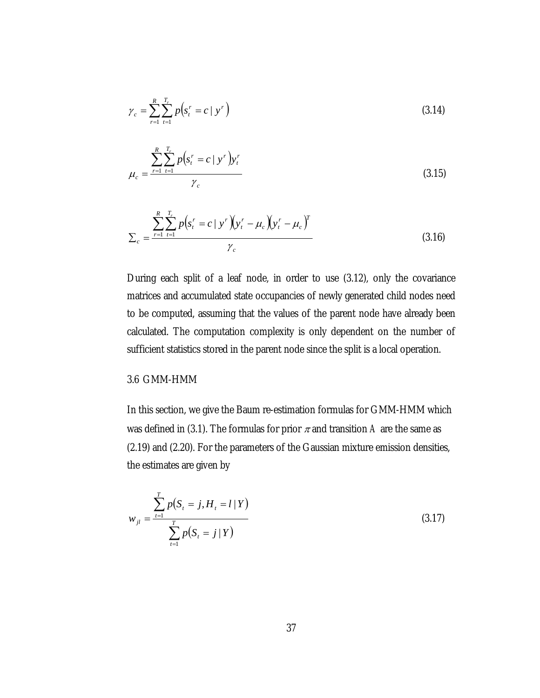$$
\gamma_c = \sum_{r=1}^{R} \sum_{t=1}^{T_r} p(s_t^r = c \mid y^r)
$$
\n(3.14)

$$
\mu_c = \frac{\sum_{r=1}^{R} \sum_{t=1}^{T_r} p(s_t^r = c \mid y^r) y_t^r}{\gamma_c}
$$
\n(3.15)

$$
\sum_{c} \frac{\sum_{r=1}^{R} \sum_{t=1}^{T_r} p(s_t^r = c \mid y^r)(y_t^r - \mu_c)(y_t^r - \mu_c)^T}{\gamma_c}
$$
(3.16)

During each split of a leaf node, in order to use (3.12), only the covariance matrices and accumulated state occupancies of newly generated child nodes need to be computed, assuming that the values of the parent node have already been calculated. The computation complexity is only dependent on the number of sufficient statistics stored in the parent node since the split is a local operation.

## 3.6 GMM-HMM

In this section, we give the Baum re-estimation formulas for GMM-HMM which was defined in (3.1). The formulas for prior  $\pi$  and transition A are the same as (2.19) and (2.20). For the parameters of the Gaussian mixture emission densities, the estimates are given by

$$
w_{jl} = \frac{\sum_{t=1}^{T} p(S_t = j, H_t = l | Y)}{\sum_{t=1}^{T} p(S_t = j | Y)}
$$
(3.17)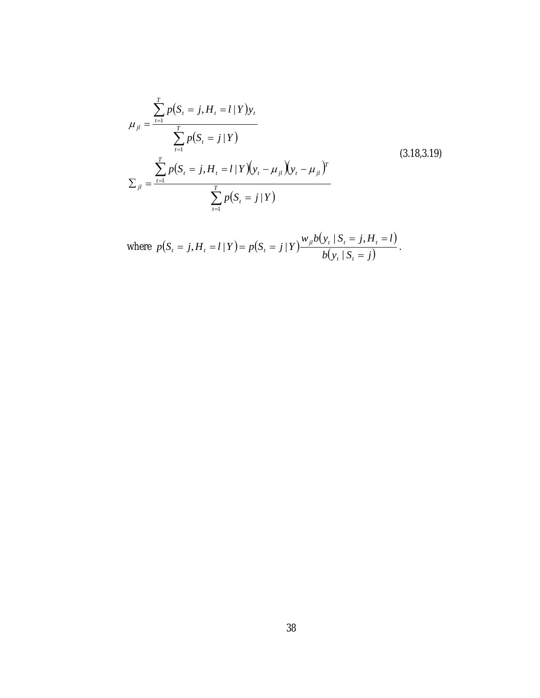$$
\mu_{jl} = \frac{\sum_{t=1}^{T} p(S_t = j, H_t = l | Y) y_t}{\sum_{t=1}^{T} p(S_t = j | Y)}
$$
\n
$$
\sum_{jl} = \frac{\sum_{t=1}^{T} p(S_t = j, H_t = l | Y) (y_t - \mu_{jl}) (3.18, 3.19)}{\sum_{t=1}^{T} p(S_t = j | Y)}
$$
\n(3.18, 3.19)

where 
$$
p(S_t = j, H_t = l | Y) = p(S_t = j | Y) \frac{w_{jl}b(y_t | S_t = j, H_t = l)}{b(y_t | S_t = j)}
$$
.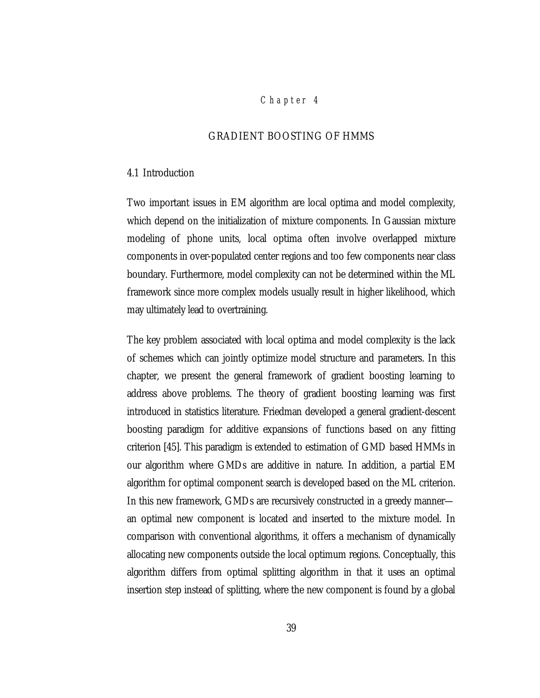## *Chap ter 4*

## GRADIENT BOOSTING OF HMMS

#### 4.1 Introduction

Two important issues in EM algorithm are local optima and model complexity, which depend on the initialization of mixture components. In Gaussian mixture modeling of phone units, local optima often involve overlapped mixture components in over-populated center regions and too few components near class boundary. Furthermore, model complexity can not be determined within the ML framework since more complex models usually result in higher likelihood, which may ultimately lead to overtraining.

The key problem associated with local optima and model complexity is the lack of schemes which can jointly optimize model structure and parameters. In this chapter, we present the general framework of gradient boosting learning to address above problems. The theory of gradient boosting learning was first introduced in statistics literature. Friedman developed a general gradient-descent boosting paradigm for additive expansions of functions based on any fitting criterion [45]. This paradigm is extended to estimation of GMD based HMMs in our algorithm where GMDs are additive in nature. In addition, a partial EM algorithm for optimal component search is developed based on the ML criterion. In this new framework, GMDs are recursively constructed in a greedy manner an optimal new component is located and inserted to the mixture model. In comparison with conventional algorithms, it offers a mechanism of dynamically allocating new components outside the local optimum regions. Conceptually, this algorithm differs from optimal splitting algorithm in that it uses an optimal insertion step instead of splitting, where the new component is found by a global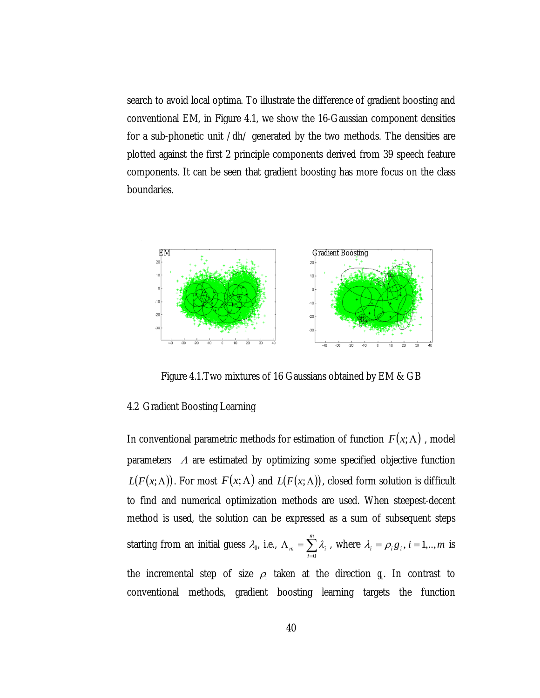search to avoid local optima. To illustrate the difference of gradient boosting and conventional EM, in Figure 4.1, we show the 16-Gaussian component densities for a sub-phonetic unit /dh/ generated by the two methods. The densities are plotted against the first 2 principle components derived from 39 speech feature components. It can be seen that gradient boosting has more focus on the class boundaries.



Figure 4.1.Two mixtures of 16 Gaussians obtained by EM & GB

### 4.2 Gradient Boosting Learning

In conventional parametric methods for estimation of function  $F(x; \Lambda)$ , model parameters  $\Lambda$  are estimated by optimizing some specified objective function  $L(F(x; \Lambda))$ . For most  $F(x; \Lambda)$  and  $L(F(x; \Lambda))$ , closed form solution is difficult to find and numerical optimization methods are used. When steepest-decent method is used, the solution can be expressed as a sum of subsequent steps starting from an initial guess  $\lambda_{\varphi}$  i.e.,  $\Lambda_{m} = \sum_{i=0}^{m} \lambda_{i}$ , where *i*  $_m$  -  $\angle$   $\sim_i$ 0  $\lambda_i$ , where  $\lambda_i = \rho_i g_i$ ,  $i = 1, ..., m$  is the incremental step of size  $\rho_i$  taken at the direction  $g_i$ . In contrast to conventional methods, gradient boosting learning targets the function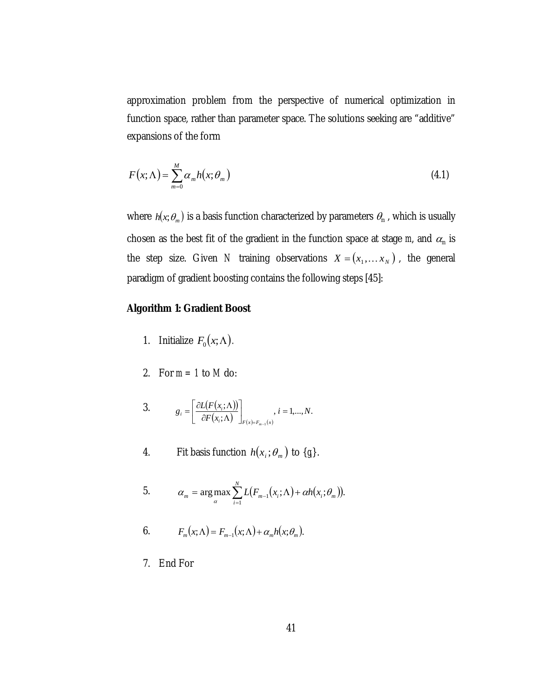approximation problem from the perspective of numerical optimization in function space, rather than parameter space. The solutions seeking are "additive" expansions of the form

$$
F(x; \Lambda) = \sum_{m=0}^{M} \alpha_m h(x; \theta_m)
$$
\n(4.1)

where  $h(x; \theta_m)$  is a basis function characterized by parameters  $\theta_m$  , which is usually chosen as the best fit of the gradient in the function space at stage  $m$ , and  $\alpha_m$  is the step size. Given *N* training observations  $X = (x_1, \ldots, x_N)$ , the general paradigm of gradient boosting contains the following steps [45]:

# **Algorithm 1: Gradient Boost**

- 1. Initialize  $F_0(x; \Lambda)$ .
- 2. For  $m = 1$  to  $M$  do:
- 3.  $q_i = \left| \frac{\partial L(F(x_i; \Lambda))}{\partial \Lambda} \right|$  $\frac{\overline{F}(x_i;\Lambda))}{(x_i;\Lambda)}\Biggr\rvert_{F(x)=F_{m-1}(x)},\ i=1,...,N.$ 1  $g_i = \left| \frac{\partial L(F(x_i; \Lambda))}{\partial F(x_i; \Lambda)} \right|_{F(x) = F(x_i; \Lambda)}$ ,  $i = 1,...,N$  $F^{I \mathbf{A}}$   $\mathbf{F}$   $\mathbf{F}$   $\mathbf{F}_{m-1}$   $(x)$  $\sum_{i}$  =  $\frac{GL(T(x_i))}{2E(T(x_i))}$ *m*  $\left[ \left. \frac{\partial L(F(x_i;\Lambda))}{\partial F(x_i;\Lambda)} \right|_{F(x)=F_{m-1}(x)}, i=$  $\mathsf{L}$  $=\frac{\partial L(F(x_i;\Lambda))}{\partial F(x_i;\Lambda)}$  $=F_{m-}$
- 4. Fit basis function  $h(x_i; \theta_m)$  to  $\{g_i\}$ .

5. 
$$
\alpha_m = \argmax_{\alpha} \sum_{i=1}^N L(F_{m-1}(x_i; \Lambda) + \alpha h(x_i; \theta_m)).
$$

6. 
$$
F_m(x; \Lambda) = F_{m-1}(x; \Lambda) + \alpha_m h(x; \theta_m).
$$

7. End For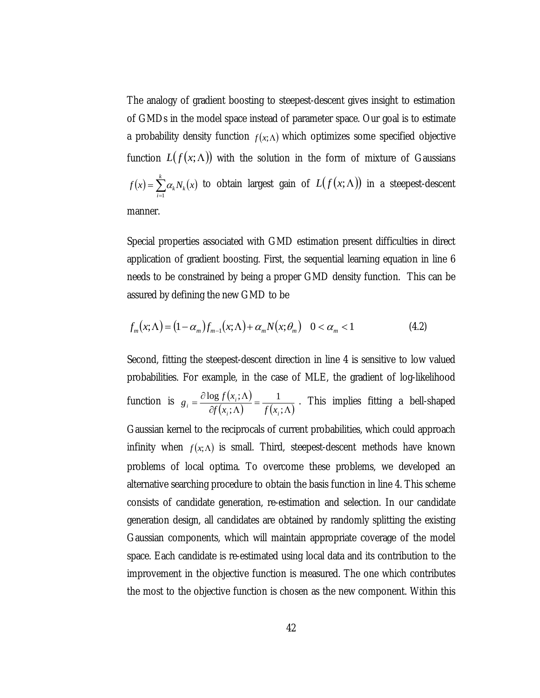The analogy of gradient boosting to steepest-descent gives insight to estimation of GMDs in the model space instead of parameter space. Our goal is to estimate a probability density function  $f(x; \Lambda)$  which optimizes some specified objective function  $L(f(x; \Lambda))$  with the solution in the form of mixture of Gaussians  $f(x) = \sum_{i=1}^{k} \alpha_k N_k(x)$  to obtain largest gain of  $f(x) = \sum_{i=1}^n \alpha_k N_k(x)$  $\alpha_k N_k(x)$  to obtain largest gain of  $L(f(x; \Lambda))$  in a steepest-descent manner.

Special properties associated with GMD estimation present difficulties in direct application of gradient boosting. First, the sequential learning equation in line 6 needs to be constrained by being a proper GMD density function. This can be assured by defining the new GMD to be

$$
f_m(x;\Lambda) = (1 - \alpha_m)f_{m-1}(x;\Lambda) + \alpha_m N(x;\theta_m) \quad 0 < \alpha_m < 1 \tag{4.2}
$$

Second, fitting the steepest-descent direction in line 4 is sensitive to low valued probabilities. For example, in the case of MLE, the gradient of log-likelihood function is  $g_i = \frac{\partial \log f(x_i; \Lambda)}{\partial f(x_i; \Lambda)} = \frac{1}{f(x_i; \Lambda)}$ ;  $\log f(x_i;$  $\iota^{i,j}$   $\iota^{i,j}$  $i = \frac{\partial \log f(x_i, \Lambda)}{\partial f(x_i, \Lambda)} = \frac{f(x_i, \Lambda)}{f(x_i, \Lambda)}$  $g_i = \frac{\partial \log f(x_i; \Lambda)}{\partial \Omega} = \frac{1}{\partial \Omega}$ . This implies fitting a bell-shaped Gaussian kernel to the reciprocals of current probabilities, which could approach infinity when  $f(x; \Lambda)$  is small. Third, steepest-descent methods have known problems of local optima. To overcome these problems, we developed an alternative searching procedure to obtain the basis function in line 4. This scheme consists of candidate generation, re-estimation and selection. In our candidate generation design, all candidates are obtained by randomly splitting the existing Gaussian components, which will maintain appropriate coverage of the model

improvement in the objective function is measured. The one which contributes the most to the objective function is chosen as the new component. Within this

space. Each candidate is re-estimated using local data and its contribution to the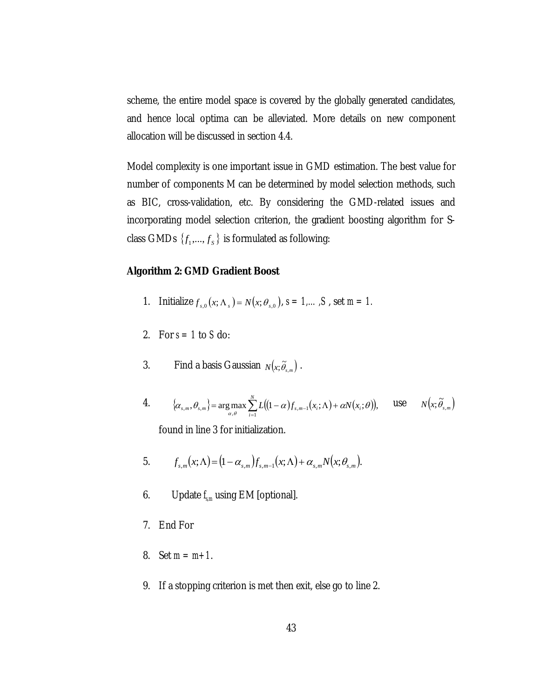scheme, the entire model space is covered by the globally generated candidates, and hence local optima can be alleviated. More details on new component allocation will be discussed in section 4.4.

Model complexity is one important issue in GMD estimation. The best value for number of components M can be determined by model selection methods, such as BIC, cross-validation, etc. By considering the GMD-related issues and incorporating model selection criterion, the gradient boosting algorithm for Sclass GMDs  $\{f_1, ..., f_s\}$  is formulated as following:

## **Algorithm 2: GMD Gradient Boost**

- 1. Initialize  $f_{s,0}(x; \Lambda_s) = N(x; \theta_{s,0}), s = 1, ..., S$ , set  $m = 1$ .
- 2. For  $s = 1$  to  $S$  do:
- 3. Find a basis Gaussian  $N(x; \tilde{\theta}_{s,m})$ .
- 4.  $\{\alpha_{\varsigma,m}, \theta_{\varsigma,m}\} = \arg \max \sum L((1-\alpha)f_{\varsigma,m-1}(x;\Lambda) + \alpha N(x;\theta)),$  use  $\{\Theta_{s,m}\} = \arg \max_{\alpha,\theta} \sum_{i=1}^{N} L((1-\alpha)f_{s,m-1}(x_i;\Lambda))$  $\left\{\alpha_{s,m}, \theta_{s,m}\right\} = \arg \max_{\alpha,\theta} \sum_{i=1}^{N} L((1-\alpha)f_{s,m-1}(x_i;\Lambda) + \alpha N(x_i;\theta)), \quad \text{use} \quad N(x;\tilde{\theta}_{s,m})$ found in line 3 for initialization.
- 5.  $f_{s,m}(x; \Lambda) = (1 \alpha_{s,m}) f_{s,m-1}(x; \Lambda) + \alpha_{s,m} N(x; \theta_{s,m}).$
- 6. Update *fs,m* using EM [optional].
- 7. End For
- 8. Set *m = m+1*.
- 9. If a stopping criterion is met then exit, else go to line 2.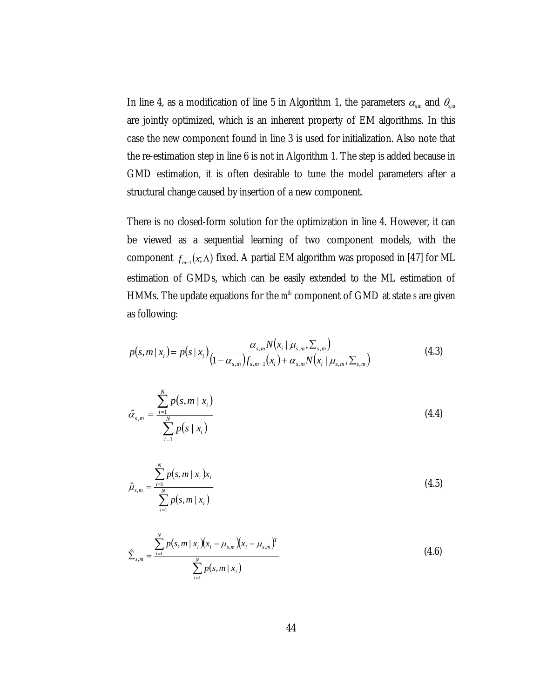In line 4, as a modification of line 5 in Algorithm 1, the parameters  $\alpha_{s,m}$  and  $\theta_{s,m}$ are jointly optimized, which is an inherent property of EM algorithms. In this case the new component found in line 3 is used for initialization. Also note that the re-estimation step in line 6 is not in Algorithm 1. The step is added because in GMD estimation, it is often desirable to tune the model parameters after a structural change caused by insertion of a new component.

There is no closed-form solution for the optimization in line 4. However, it can be viewed as a sequential learning of two component models, with the  $f_{m-1}(x; \Lambda)$  fixed. A partial EM algorithm was proposed in [47] for ML estimation of GMDs, which can be easily extended to the ML estimation of HMMs. The update equations for the  $m<sup>th</sup>$  component of GMD at state *s* are given as following:

$$
p(s,m|x_i) = p(s|x_i) \frac{\alpha_{s,m} N(x_i | \mu_{s,m}, \Sigma_{s,m})}{(1 - \alpha_{s,m}) f_{s,m-1}(x_i) + \alpha_{s,m} N(x_i | \mu_{s,m}, \Sigma_{s,m})}
$$
(4.3)

$$
\hat{\alpha}_{s,m} = \frac{\sum_{i=1}^{N} p(s,m \mid x_i)}{\sum_{i=1}^{N} p(s \mid x_i)}
$$
(4.4)

$$
\hat{\mu}_{s,m} = \frac{\sum_{i=1}^{N} p(s,m \mid x_i) x_i}{\sum_{i=1}^{N} p(s,m \mid x_i)}
$$
(4.5)

$$
\hat{\Sigma}_{s,m} = \frac{\sum_{i=1}^{N} p(s,m \mid x_i)(x_i - \mu_{s,m})(x_i - \mu_{s,m})^T}{\sum_{i=1}^{N} p(s,m \mid x_i)}
$$
(4.6)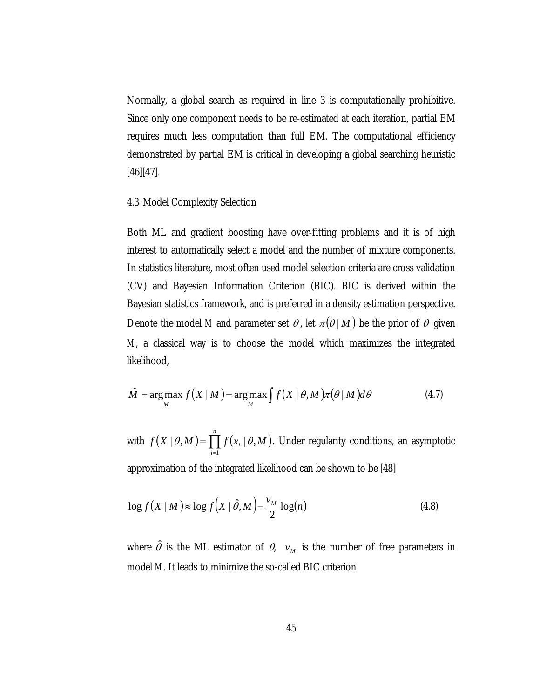Normally, a global search as required in line 3 is computationally prohibitive. Since only one component needs to be re-estimated at each iteration, partial EM requires much less computation than full EM. The computational efficiency demonstrated by partial EM is critical in developing a global searching heuristic [46][47].

#### 4.3 Model Complexity Selection

Both ML and gradient boosting have over-fitting problems and it is of high interest to automatically select a model and the number of mixture components. In statistics literature, most often used model selection criteria are cross validation (CV) and Bayesian Information Criterion (BIC). BIC is derived within the Bayesian statistics framework, and is preferred in a density estimation perspective. Denote the model *M* and parameter set  $\theta$ , let  $\pi(\theta | M)$  be the prior of  $\theta$  given *M*, a classical way is to choose the model which maximizes the integrated likelihood,

$$
\hat{M} = \underset{M}{\arg \max} f(X \mid M) = \underset{M}{\arg \max} \int f(X \mid \theta, M) \pi(\theta \mid M) d\theta \tag{4.7}
$$

with  $f(X | \theta, M) = \prod_{i=1}^n f(x_i | \theta, M)$ . Under regularity conditions, an asymptotic approximation of the integrated likelihood can be shown to be [48] *n i*  $f(X | \theta, M) = \prod f(x_i | \theta, M)$ 1  $|\theta, M\rangle = \prod f(x_i | \theta, M)$ 

$$
\log f(X \mid M) \approx \log f\left(X \mid \hat{\theta}, M\right) - \frac{\nu_M}{2} \log(n) \tag{4.8}
$$

where  $\hat{\theta}$  is the ML estimator of  $\theta$ ,  $v_M$  is the number of free parameters in model *M*. It leads to minimize the so-called BIC criterion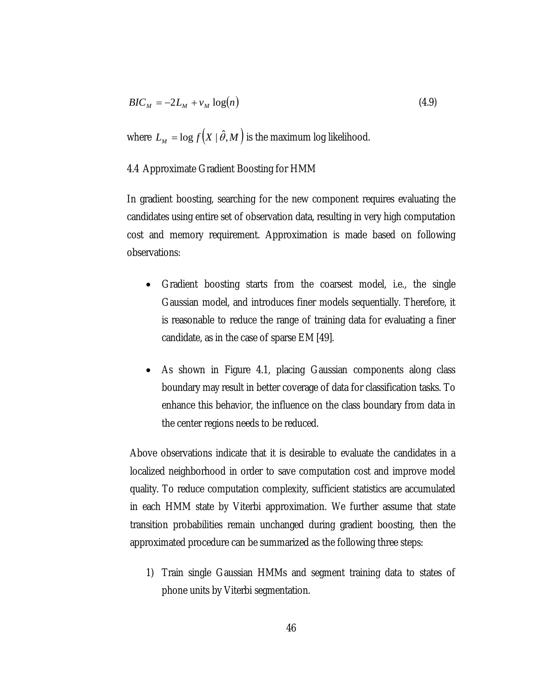$$
BIC_M = -2L_M + v_M \log(n) \tag{4.9}
$$

where  $L_M = \log f(X | \hat{\theta}, M)$  is the maximum log likelihood.

## 4.4 Approximate Gradient Boosting for HMM

In gradient boosting, searching for the new component requires evaluating the candidates using entire set of observation data, resulting in very high computation cost and memory requirement. Approximation is made based on following observations:

- Gradient boosting starts from the coarsest model, i.e., the single Gaussian model, and introduces finer models sequentially. Therefore, it is reasonable to reduce the range of training data for evaluating a finer candidate, as in the case of sparse EM [49].
- As shown in Figure 4.1, placing Gaussian components along class boundary may result in better coverage of data for classification tasks. To enhance this behavior, the influence on the class boundary from data in the center regions needs to be reduced.

Above observations indicate that it is desirable to evaluate the candidates in a localized neighborhood in order to save computation cost and improve model quality. To reduce computation complexity, sufficient statistics are accumulated in each HMM state by Viterbi approximation. We further assume that state transition probabilities remain unchanged during gradient boosting, then the approximated procedure can be summarized as the following three steps:

1) Train single Gaussian HMMs and segment training data to states of phone units by Viterbi segmentation.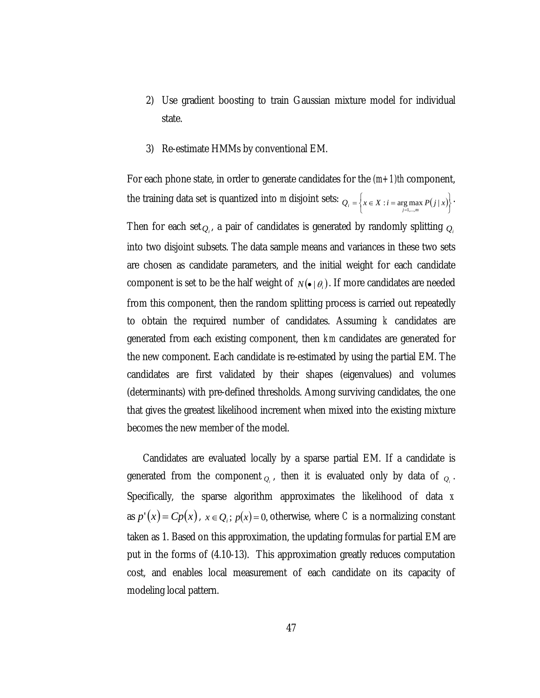- 2) Use gradient boosting to train Gaussian mixture model for individual state.
- 3) Re-estimate HMMs by conventional EM.

For each phone state, in order to generate candidates for the *(m+1)th* component, the training data set is quantized into *m* disjoint sets:  $Q_i = \left\{ x \in X : i = \arg \max_{j=1,\dots,m} P(j \mid x) \right\}$ . Then for each set $_{\mathcal{Q}_i}$ , a pair of candidates is generated by randomly splitting  $_{\mathcal{Q}_i}$ into two disjoint subsets. The data sample means and variances in these two sets are chosen as candidate parameters, and the initial weight for each candidate component is set to be the half weight of  $N(\bullet | \theta_i)$ . If more candidates are needed  $Q_i = \left\{ x \in X : i = \arg \max_{j=1,...,m} P(j \mid x) \right\}$ from this component, then the random splitting process is carried out repeatedly to obtain the required number of candidates. Assuming *k* candidates are generated from each existing component, then *km* candidates are generated for the new component. Each candidate is re-estimated by using the partial EM. The candidates are first validated by their shapes (eigenvalues) and volumes (determinants) with pre-defined thresholds. Among surviving candidates, the one that gives the greatest likelihood increment when mixed into the existing mixture becomes the new member of the model.

Candidates are evaluated locally by a sparse partial EM. If a candidate is generated from the component  $_{Q_i}$ , then it is evaluated only by data of  $_{Q_i}$ . Specifically, the sparse algorithm approximates the likelihood of data *x* as  $p'(x) = Cp(x)$ ,  $x \in Q_i$ ;  $p(x) = 0$ , otherwise, where *C* is a normalizing constant taken as 1. Based on this approximation, the updating formulas for partial EM are put in the forms of (4.10-13). This approximation greatly reduces computation cost, and enables local measurement of each candidate on its capacity of modeling local pattern.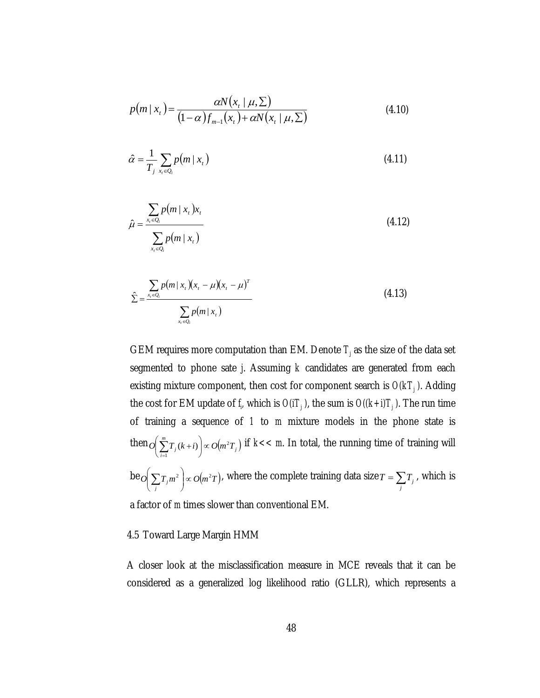$$
p(m \mid x_t) = \frac{\alpha N(x_t \mid \mu, \Sigma)}{(1 - \alpha) f_{m-1}(x_t) + \alpha N(x_t \mid \mu, \Sigma)}
$$
(4.10)

$$
\hat{\alpha} = \frac{1}{T_j} \sum_{x_t \in Q_i} p(m \mid x_t)
$$
\n(4.11)

$$
\hat{\mu} = \frac{\sum_{x_t \in Q_i} p(m \mid x_t) x_t}{\sum_{x_t \in Q_i} p(m \mid x_t)}
$$
\n(4.12)

$$
\hat{\Sigma} = \frac{\sum_{x_i \in Q_i} p(m \mid x_i)(x_i - \mu)(x_i - \mu)^T}{\sum_{x_i \in Q_i} p(m \mid x_i)}
$$
(4.13)

GEM requires more computation than EM. Denote  $T_j$  as the size of the data set segmented to phone sate *j*. Assuming *k* candidates are generated from each existing mixture component, then cost for component search is  $O(kT_j)$ . Adding the cost for EM update of  $f<sub>i</sub>$  which is  $O(iT<sub>j</sub>)$ , the sum is  $O((k+i)T<sub>j</sub>)$ . The run time of training a sequence of *1* to *m* mixture models in the phone state is  $\hbox{then}\, \overline{O}\Big(\sum\limits_{i=1}^{m}T_{j}(k+i)\Big)\!\propto\! O\!\big(m^2T_{j}\big) \hbox{ if } k\!<\! In total, the running time of training will$ be  $o(\sum T_i m^2 \mid \propto o(m^2T))$ , where the complete training data size  $T = \sum T_i$ , which is a factor of *m* times slower than conventional EM.  $O\left(\sum_{i=1}^{n} T_j(k+i)\right) \propto O(m^2 T)$ 1  $(k + i) \mid \infty$ ⎠  $\left(\sum_{i=1}^{m}T_i(k+i)\right)$ ⎝  $\left(\sum_{i=1}^m T_j(k+i)\right) \propto O(m^2T_j)$  $\sum_j T_j m^2 \int \propto O(m^2)$ ⎠ ⎞  $\parallel$ ⎝  $\left(\sum_j T_j m^2\right) \propto O(m^2 T)$ , where the complete training data size  $T = \sum_j T_j$ 

# 4.5 Toward Large Margin HMM

A closer look at the misclassification measure in MCE reveals that it can be considered as a generalized log likelihood ratio (GLLR), which represents a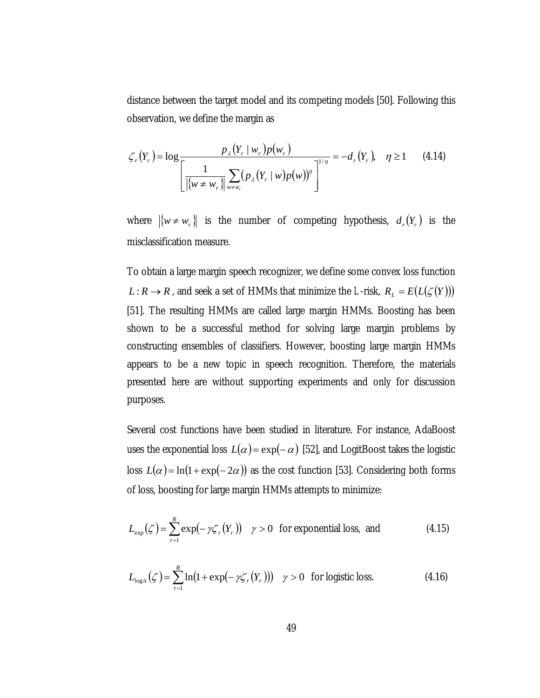distance between the target model and its competing models [50]. Following this observation, we define the margin as

$$
\zeta_r(Y_r) = \log \frac{p_{\lambda}(Y_r \mid w_r) p(w_r)}{\left[ \frac{1}{|\{w \neq w_r\}|} \sum_{w \neq w_r} (p_{\lambda}(Y_r \mid w) p(w))^{\eta} \right]^{1/\eta}} = -d_r(Y_r), \quad \eta \ge 1 \quad (4.14)
$$

where  $\{w \neq w_r\}$  is the number of competing hypothesis,  $d_r(Y_r)$  is the misclassification measure.

To obtain a large margin speech recognizer, we define some convex loss function *L* : *R*  $\rightarrow$  *R*, and seek a set of HMMs that minimize the *L*-risk,  $R_L = E(L(\zeta(Y)))$ [51]. The resulting HMMs are called large margin HMMs. Boosting has been shown to be a successful method for solving large margin problems by constructing ensembles of classifiers. However, boosting large margin HMMs appears to be a new topic in speech recognition. Therefore, the materials presented here are without supporting experiments and only for discussion purposes.

Several cost functions have been studied in literature. For instance, AdaBoost uses the exponential loss  $L(\alpha) = \exp(-\alpha)$  [52], and LogitBoost takes the logistic loss  $L(\alpha) = \ln(1 + \exp(-2\alpha))$  as the cost function [53]. Considering both forms of loss, boosting for large margin HMMs attempts to minimize:

$$
L_{\exp}(\zeta) = \sum_{r=1}^{R} \exp(-\gamma \zeta_r(Y_r)) \quad \gamma > 0 \quad \text{for exponential loss, and} \tag{4.15}
$$

$$
L_{\log it}(\zeta) = \sum_{r=1}^{R} \ln(1 + \exp(-\gamma \zeta_r(Y_r))) \quad \gamma > 0 \quad \text{for logistic loss.} \tag{4.16}
$$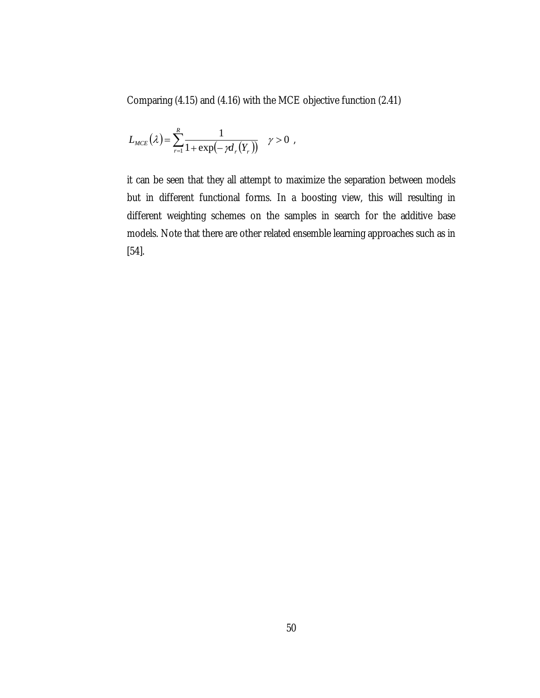Comparing (4.15) and (4.16) with the MCE objective function (2.41)

$$
L_{MCE}(\lambda) = \sum_{r=1}^{R} \frac{1}{1 + \exp(-\gamma d_r(Y_r))} \quad \gamma > 0 ,
$$

it can be seen that they all attempt to maximize the separation between models but in different functional forms. In a boosting view, this will resulting in different weighting schemes on the samples in search for the additive base models. Note that there are other related ensemble learning approaches such as in [54].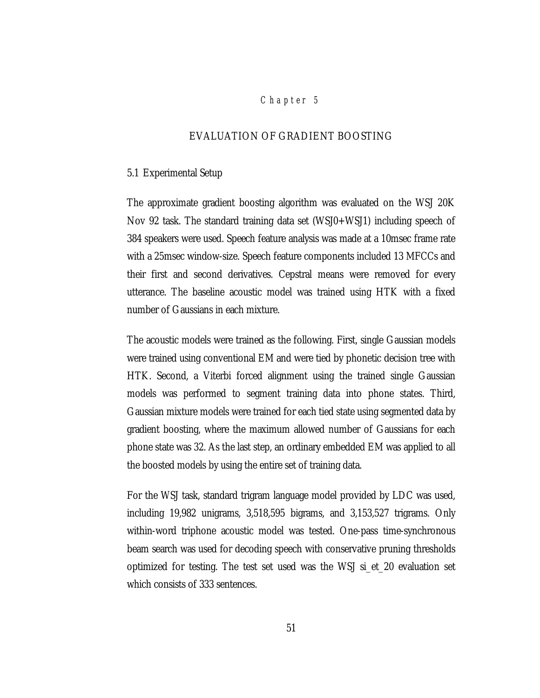## *Chap ter 5*

## EVALUATION OF GRADIENT BOOSTING

#### 5.1 Experimental Setup

The approximate gradient boosting algorithm was evaluated on the WSJ 20K Nov 92 task. The standard training data set (WSJ0+WSJ1) including speech of 384 speakers were used. Speech feature analysis was made at a 10msec frame rate with a 25msec window-size. Speech feature components included 13 MFCCs and their first and second derivatives. Cepstral means were removed for every utterance. The baseline acoustic model was trained using HTK with a fixed number of Gaussians in each mixture.

The acoustic models were trained as the following. First, single Gaussian models were trained using conventional EM and were tied by phonetic decision tree with HTK. Second, a Viterbi forced alignment using the trained single Gaussian models was performed to segment training data into phone states. Third, Gaussian mixture models were trained for each tied state using segmented data by gradient boosting, where the maximum allowed number of Gaussians for each phone state was 32. As the last step, an ordinary embedded EM was applied to all the boosted models by using the entire set of training data.

For the WSJ task, standard trigram language model provided by LDC was used, including 19,982 unigrams, 3,518,595 bigrams, and 3,153,527 trigrams. Only within-word triphone acoustic model was tested. One-pass time-synchronous beam search was used for decoding speech with conservative pruning thresholds optimized for testing. The test set used was the WSJ si\_et\_20 evaluation set which consists of 333 sentences.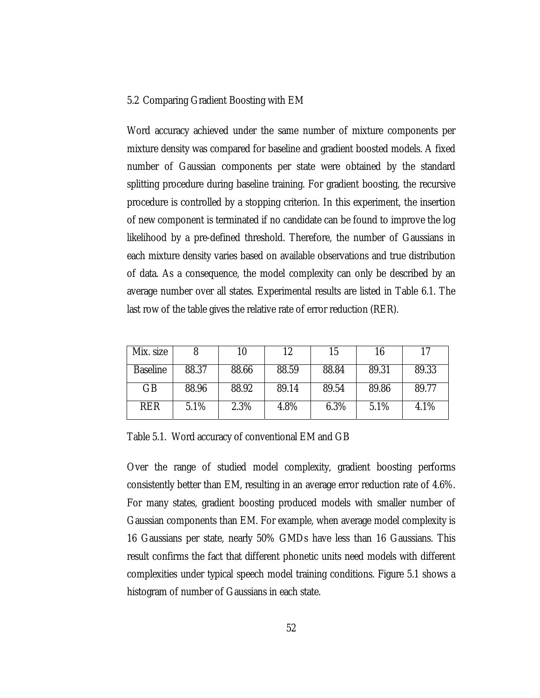### 5.2 Comparing Gradient Boosting with EM

Word accuracy achieved under the same number of mixture components per mixture density was compared for baseline and gradient boosted models. A fixed number of Gaussian components per state were obtained by the standard splitting procedure during baseline training. For gradient boosting, the recursive procedure is controlled by a stopping criterion. In this experiment, the insertion of new component is terminated if no candidate can be found to improve the log likelihood by a pre-defined threshold. Therefore, the number of Gaussians in each mixture density varies based on available observations and true distribution of data. As a consequence, the model complexity can only be described by an average number over all states. Experimental results are listed in Table 6.1. The last row of the table gives the relative rate of error reduction (RER).

| Mix. size       |       |       | 12    | 15    | 16    |       |
|-----------------|-------|-------|-------|-------|-------|-------|
| <b>Baseline</b> | 88.37 | 88.66 | 88.59 | 88.84 | 89.31 | 89.33 |
| GB              | 88.96 | 88.92 | 89.14 | 89.54 | 89.86 | 89.77 |
| <b>RER</b>      | 5.1%  | 2.3%  | 4.8%  | 6.3%  | 5.1%  | 4.1%  |

Table 5.1. Word accuracy of conventional EM and GB

Over the range of studied model complexity, gradient boosting performs consistently better than EM, resulting in an average error reduction rate of 4.6%. For many states, gradient boosting produced models with smaller number of Gaussian components than EM. For example, when average model complexity is 16 Gaussians per state, nearly 50% GMDs have less than 16 Gaussians. This result confirms the fact that different phonetic units need models with different complexities under typical speech model training conditions. Figure 5.1 shows a histogram of number of Gaussians in each state.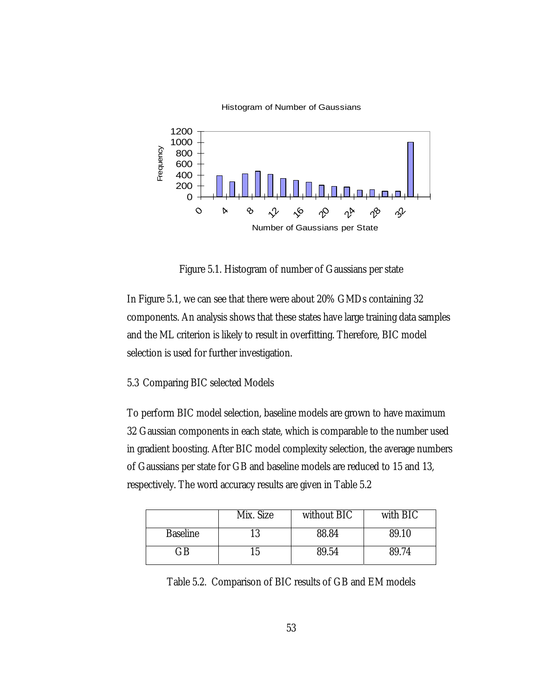

Histogram of Number of Gaussians

Figure 5.1. Histogram of number of Gaussians per state

In Figure 5.1, we can see that there were about 20% GMDs containing 32 components. An analysis shows that these states have large training data samples and the ML criterion is likely to result in overfitting. Therefore, BIC model selection is used for further investigation.

### 5.3 Comparing BIC selected Models

To perform BIC model selection, baseline models are grown to have maximum 32 Gaussian components in each state, which is comparable to the number used in gradient boosting. After BIC model complexity selection, the average numbers of Gaussians per state for GB and baseline models are reduced to 15 and 13, respectively. The word accuracy results are given in Table 5.2

|                 | Mix. Size | without BIC | with BIC |
|-----------------|-----------|-------------|----------|
| <b>Baseline</b> |           | 88.84       | 89.10    |
| GВ              |           | 89.54       | 89.74    |

Table 5.2. Comparison of BIC results of GB and EM models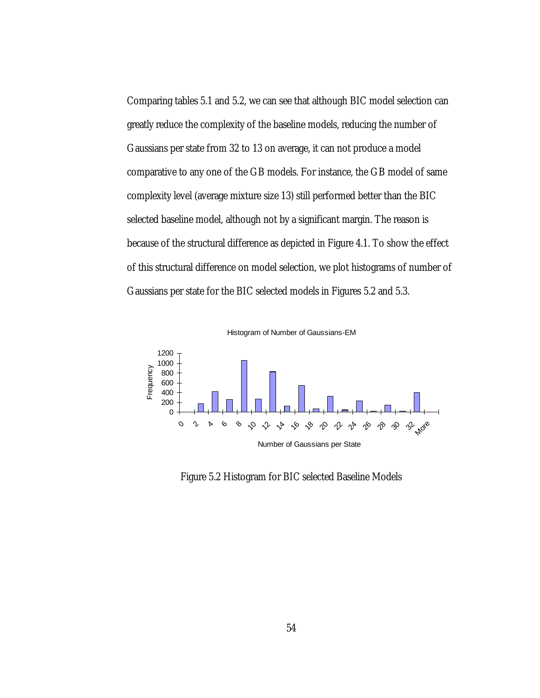Comparing tables 5.1 and 5.2, we can see that although BIC model selection can greatly reduce the complexity of the baseline models, reducing the number of Gaussians per state from 32 to 13 on average, it can not produce a model comparative to any one of the GB models. For instance, the GB model of same complexity level (average mixture size 13) still performed better than the BIC selected baseline model, although not by a significant margin. The reason is because of the structural difference as depicted in Figure 4.1. To show the effect of this structural difference on model selection, we plot histograms of number of Gaussians per state for the BIC selected models in Figures 5.2 and 5.3.

Histogram of Number of Gaussians-EM



Figure 5.2 Histogram for BIC selected Baseline Models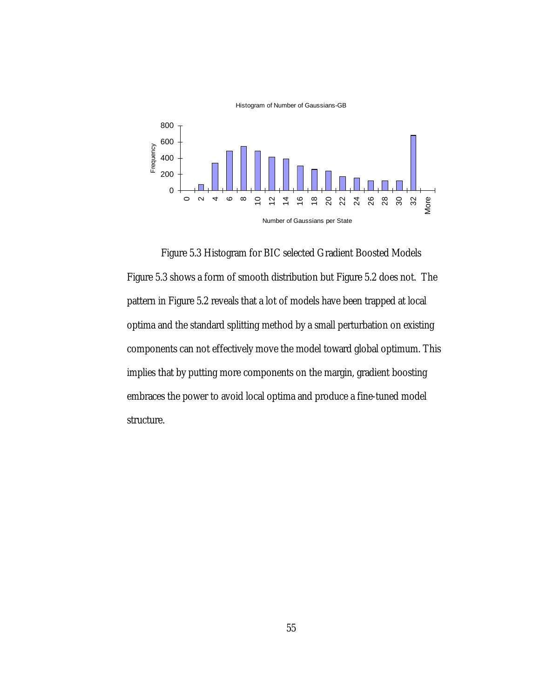

Histogram of Number of Gaussians-GB

Figure 5.3 Histogram for BIC selected Gradient Boosted Models Figure 5.3 shows a form of smooth distribution but Figure 5.2 does not. The pattern in Figure 5.2 reveals that a lot of models have been trapped at local optima and the standard splitting method by a small perturbation on existing components can not effectively move the model toward global optimum. This implies that by putting more components on the margin, gradient boosting embraces the power to avoid local optima and produce a fine-tuned model structure.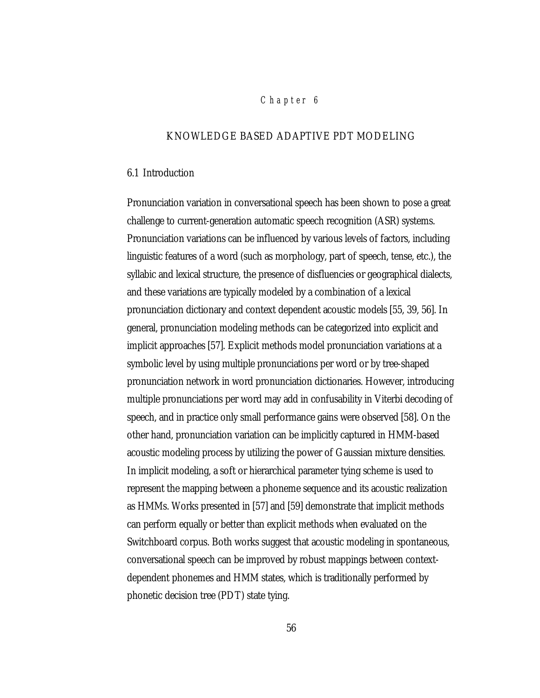## *Chap ter 6*

## KNOWLEDGE BASED ADAPTIVE PDT MODELING

#### 6.1 Introduction

Pronunciation variation in conversational speech has been shown to pose a great challenge to current-generation automatic speech recognition (ASR) systems. Pronunciation variations can be influenced by various levels of factors, including linguistic features of a word (such as morphology, part of speech, tense, etc.), the syllabic and lexical structure, the presence of disfluencies or geographical dialects, and these variations are typically modeled by a combination of a lexical pronunciation dictionary and context dependent acoustic models [55, 39, 56]. In general, pronunciation modeling methods can be categorized into explicit and implicit approaches [57]. Explicit methods model pronunciation variations at a symbolic level by using multiple pronunciations per word or by tree-shaped pronunciation network in word pronunciation dictionaries. However, introducing multiple pronunciations per word may add in confusability in Viterbi decoding of speech, and in practice only small performance gains were observed [58]. On the other hand, pronunciation variation can be implicitly captured in HMM-based acoustic modeling process by utilizing the power of Gaussian mixture densities. In implicit modeling, a soft or hierarchical parameter tying scheme is used to represent the mapping between a phoneme sequence and its acoustic realization as HMMs. Works presented in [57] and [59] demonstrate that implicit methods can perform equally or better than explicit methods when evaluated on the Switchboard corpus. Both works suggest that acoustic modeling in spontaneous, conversational speech can be improved by robust mappings between contextdependent phonemes and HMM states, which is traditionally performed by phonetic decision tree (PDT) state tying.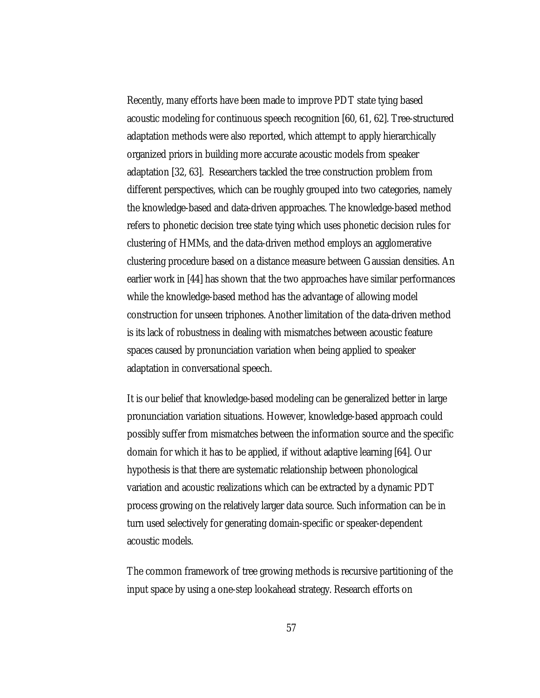Recently, many efforts have been made to improve PDT state tying based acoustic modeling for continuous speech recognition [60, 61, 62]. Tree-structured adaptation methods were also reported, which attempt to apply hierarchically organized priors in building more accurate acoustic models from speaker adaptation [32, 63]. Researchers tackled the tree construction problem from different perspectives, which can be roughly grouped into two categories, namely the knowledge-based and data-driven approaches. The knowledge-based method refers to phonetic decision tree state tying which uses phonetic decision rules for clustering of HMMs, and the data-driven method employs an agglomerative clustering procedure based on a distance measure between Gaussian densities. An earlier work in [44] has shown that the two approaches have similar performances while the knowledge-based method has the advantage of allowing model construction for unseen triphones. Another limitation of the data-driven method is its lack of robustness in dealing with mismatches between acoustic feature spaces caused by pronunciation variation when being applied to speaker adaptation in conversational speech.

It is our belief that knowledge-based modeling can be generalized better in large pronunciation variation situations. However, knowledge-based approach could possibly suffer from mismatches between the information source and the specific domain for which it has to be applied, if without adaptive learning [64]. Our hypothesis is that there are systematic relationship between phonological variation and acoustic realizations which can be extracted by a dynamic PDT process growing on the relatively larger data source. Such information can be in turn used selectively for generating domain-specific or speaker-dependent acoustic models.

The common framework of tree growing methods is recursive partitioning of the input space by using a one-step lookahead strategy. Research efforts on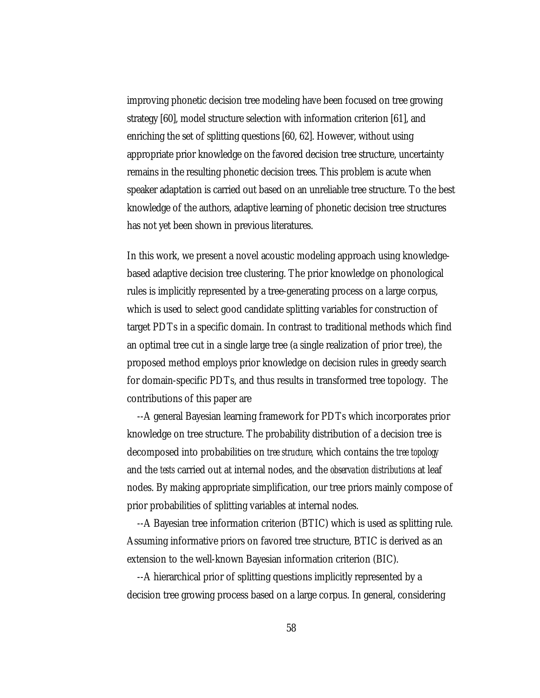improving phonetic decision tree modeling have been focused on tree growing strategy [60], model structure selection with information criterion [61], and enriching the set of splitting questions [60, 62]. However, without using appropriate prior knowledge on the favored decision tree structure, uncertainty remains in the resulting phonetic decision trees. This problem is acute when speaker adaptation is carried out based on an unreliable tree structure. To the best knowledge of the authors, adaptive learning of phonetic decision tree structures has not yet been shown in previous literatures.

In this work, we present a novel acoustic modeling approach using knowledgebased adaptive decision tree clustering. The prior knowledge on phonological rules is implicitly represented by a tree-generating process on a large corpus, which is used to select good candidate splitting variables for construction of target PDTs in a specific domain. In contrast to traditional methods which find an optimal tree cut in a single large tree (a single realization of prior tree), the proposed method employs prior knowledge on decision rules in greedy search for domain-specific PDTs, and thus results in transformed tree topology. The contributions of this paper are

--A general Bayesian learning framework for PDTs which incorporates prior knowledge on tree structure. The probability distribution of a decision tree is decomposed into probabilities on *tree structure,* which contains the *tree topology* and the *tests* carried out at internal nodes, and the *observation distributions* at leaf nodes. By making appropriate simplification, our tree priors mainly compose of prior probabilities of splitting variables at internal nodes.

--A Bayesian tree information criterion (BTIC) which is used as splitting rule. Assuming informative priors on favored tree structure, BTIC is derived as an extension to the well-known Bayesian information criterion (BIC).

--A hierarchical prior of splitting questions implicitly represented by a decision tree growing process based on a large corpus. In general, considering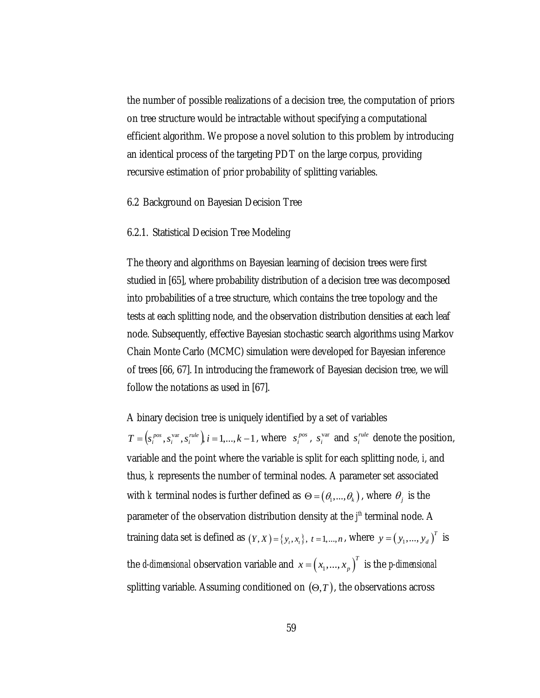the number of possible realizations of a decision tree, the computation of priors on tree structure would be intractable without specifying a computational efficient algorithm. We propose a novel solution to this problem by introducing an identical process of the targeting PDT on the large corpus, providing recursive estimation of prior probability of splitting variables.

6.2 Background on Bayesian Decision Tree

### 6.2.1. Statistical Decision Tree Modeling

The theory and algorithms on Bayesian learning of decision trees were first studied in [65], where probability distribution of a decision tree was decomposed into probabilities of a tree structure, which contains the tree topology and the tests at each splitting node, and the observation distribution densities at each leaf node. Subsequently, effective Bayesian stochastic search algorithms using Markov Chain Monte Carlo (MCMC) simulation were developed for Bayesian inference of trees [66, 67]. In introducing the framework of Bayesian decision tree, we will follow the notations as used in [67].

A binary decision tree is uniquely identified by a set of variables  $T = (s_i^{pos}, s_i^{var}, s_i^{rule})$ ,  $i = 1,..., k - 1$ , where  $s_i^{pos}, s_i^{var}$  and  $s_i^{rule}$  denote the position, variable and the point where the variable is split for each splitting node, *i*, and thus, *k* represents the number of terminal nodes. A parameter set associated with *k* terminal nodes is further defined as  $\Theta = (\theta_1, ..., \theta_k)$ , where  $\theta_j$  is the parameter of the observation distribution density at the  $f^h$  terminal node. A training data set is defined as  $(Y, X) = \{y_t, x_t\}$ ,  $t = 1, ..., n$ , where  $y = (y_1, ..., y_d)^T$  is the *d-dimensional* observation variable and  $x = (x_1,...,x_p)^T$  is the *p-dimensional* splitting variable. Assuming conditioned on  $(\Theta, T)$ , the observations across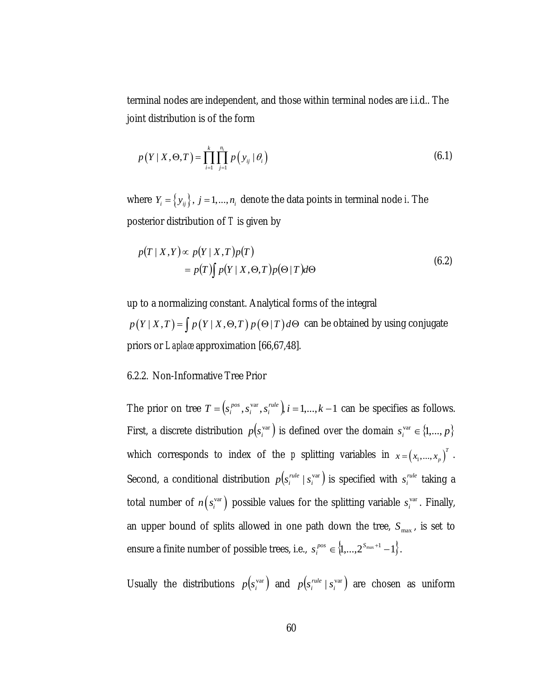terminal nodes are independent, and those within terminal nodes are i.i.d.. The joint distribution is of the form

$$
p(Y | X, \Theta, T) = \prod_{i=1}^{k} \prod_{j=1}^{n_i} p(y_{ij} | \theta_i)
$$
 (6.1)

where  $Y_i = \{y_{ij}\}\$ ,  $j = 1,..., n_i$  denote the data points in terminal node *i*. The posterior distribution of *T* is given by

$$
p(T \mid X, Y) \propto p(Y \mid X, T)p(T)
$$
  
=  $p(T) \int p(Y \mid X, \Theta, T)p(\Theta \mid T) d\Theta$  (6.2)

up to a normalizing constant. Analytical forms of the integral  $p(Y | X, T) = \int p(Y | X, \Theta, T) p(\Theta | T) d\Theta$  can be obtained by using conjugate priors or *Laplace* approximation [66,67,48].

## 6.2.2. Non-Informative Tree Prior

The prior on tree  $T = (s_i^{pos}, s_i^{var}, s_i^{rule})$ ,  $i = 1,..., k - 1$  $e_i^{pos}$ ,  $s_i^{var}$ ,  $s_i^{rule}$ ,  $i = 1,...,k-1$  can be specifies as follows. First, a discrete distribution  $p(s_i^{\text{var}})$  is defined over the domain  $s_i^{\text{var}} \in \{1,...,p\}$ which corresponds to index of the *p* splitting variables in  $x = (x_1, ..., x_p)^T$ . Second, a conditional distribution  $p(s_i^{rule} | s_i^{var})$  is specified with  $s_i^{rule}$  taking a total number of  $n(s_i^{\text{var}})$  possible values for the splitting variable  $s_i^{\text{var}}$ . Finally, an upper bound of splits allowed in one path down the tree,  $S_{\text{max}}$ , is set to ensure a finite number of possible trees, i.e.,  $s_i^{pos} \in \{1,...,2^{S_{\text{max}}+1}-1\}$ .

Usually the distributions  $p(s_i^{var})$  and  $p(s_i^{rule} | s_i^{var})$  are chosen as uniform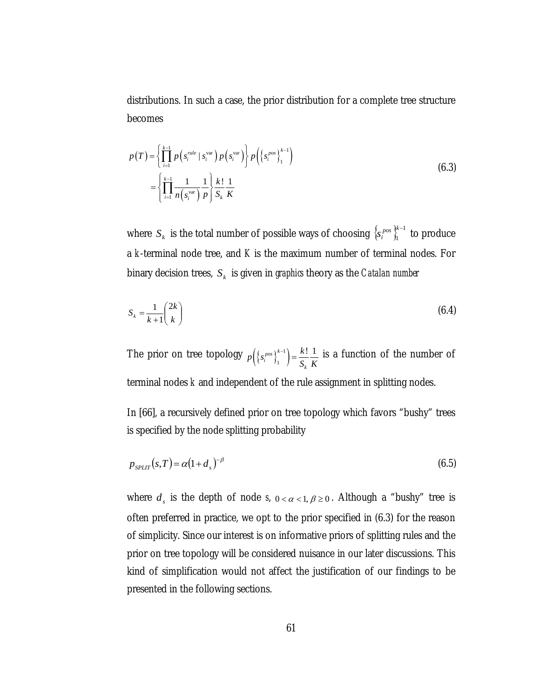distributions. In such a case, the prior distribution for a complete tree structure becomes

$$
p(T) = \left\{ \prod_{i=1}^{k-1} p\left(s_i^{rule} \mid s_i^{var}\right) p\left(s_i^{var}\right) \right\} p\left(\left\{s_i^{pos}\right\}_{1}^{k-1}\right)
$$
  

$$
= \left\{ \prod_{i=1}^{k-1} \frac{1}{n\left(s_i^{var}\right)} \frac{1}{p} \right\} \frac{k!}{S_k} \frac{1}{K}
$$
 (6.3)

where  $\,S_{\,\kappa}\,$  is the total number of possible ways of choosing  $\, \left\{ S_{i}^{\, pos} \right\}_{\hbox{\scriptsize l}}^{\hbox{\scriptsize k}-1}$  $\left\{ s_i^{pos} \right\}_{i=1}^{k-1}$  to produce a *k*-terminal node tree, and *K* is the maximum number of terminal nodes. For binary decision trees,  $S_k$  is given in *graphics* theory as the *Catalan number* 

$$
S_k = \frac{1}{k+1} \binom{2k}{k} \tag{6.4}
$$

The prior on tree topology  $p\left(\left\{s_i^{pos}\right\}_{1}^{k-1}\right)$ 1  $\binom{pos}{i}^{k-1}$  =  $\frac{k!}{s} \frac{1}{k}$ *k*  $p\left(\left\{s_i^{pos}\right\}_{1}^{k-1}\right) = \frac{k!}{S_k} \frac{1}{K}$  is a function of the number of terminal nodes *k* and independent of the rule assignment in splitting nodes.

In [66], a recursively defined prior on tree topology which favors "bushy" trees is specified by the node splitting probability

$$
p_{SPLIT}(s,T) = \alpha (1 + d_s)^{-\beta} \tag{6.5}
$$

where  $d_s$  is the depth of node *s*,  $0 < \alpha < 1, \beta \ge 0$ . Although a "bushy" tree is often preferred in practice, we opt to the prior specified in (6.3) for the reason of simplicity. Since our interest is on informative priors of splitting rules and the prior on tree topology will be considered nuisance in our later discussions. This kind of simplification would not affect the justification of our findings to be presented in the following sections.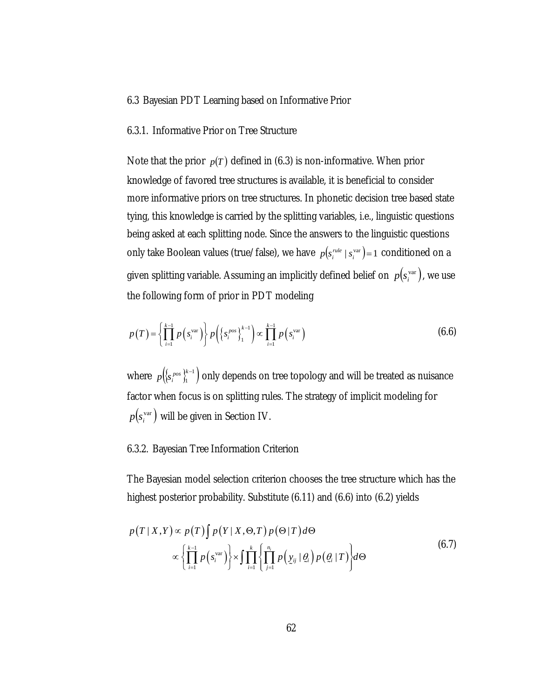### 6.3 Bayesian PDT Learning based on Informative Prior

## 6.3.1. Informative Prior on Tree Structure

Note that the prior  $p(T)$  defined in (6.3) is non-informative. When prior knowledge of favored tree structures is available, it is beneficial to consider more informative priors on tree structures. In phonetic decision tree based state tying, this knowledge is carried by the splitting variables, i.e., linguistic questions being asked at each splitting node. Since the answers to the linguistic questions only take Boolean values (true/false), we have  $p(s_i^{rule} \mid s_i^{vare}) = 1$  conditioned on a given splitting variable. Assuming an implicitly defined belief on  $p(s^{\text{var}}_{i}),$  we use the following form of prior in PDT modeling

$$
p(T) = \left\{ \prod_{i=1}^{k-1} p\left(s_i^{\text{var}}\right) \right\} p\left(\left\{s_i^{pos}\right\}_{1}^{k-1}\right) \propto \prod_{i=1}^{k-1} p\left(s_i^{\text{var}}\right)
$$
 (6.6)

where  $p\left(\left\{ \mathbf{s}_{i}^{pos}\right\} \right\} _{1}^{k-1}\right)$ *p*({ $s_i^{pos}$ }}, only depends on tree topology and will be treated as nuisance factor when focus is on splitting rules. The strategy of implicit modeling for  $p(s_i^{\text{var}})$  will be given in Section IV.

## 6.3.2. Bayesian Tree Information Criterion

The Bayesian model selection criterion chooses the tree structure which has the highest posterior probability. Substitute (6.11) and (6.6) into (6.2) yields

$$
p(T \mid X, Y) \propto p(T) \int p(Y \mid X, \Theta, T) p(\Theta \mid T) d\Theta
$$
  
 
$$
\propto \left\{ \prod_{i=1}^{k-1} p(s_i^{\text{var}}) \right\} \times \int \prod_{i=1}^{k} \left\{ \prod_{j=1}^{n_i} p(\underline{y}_{ij} \mid \underline{\theta}_i) p(\underline{\theta}_i \mid T) \right\} d\Theta
$$
(6.7)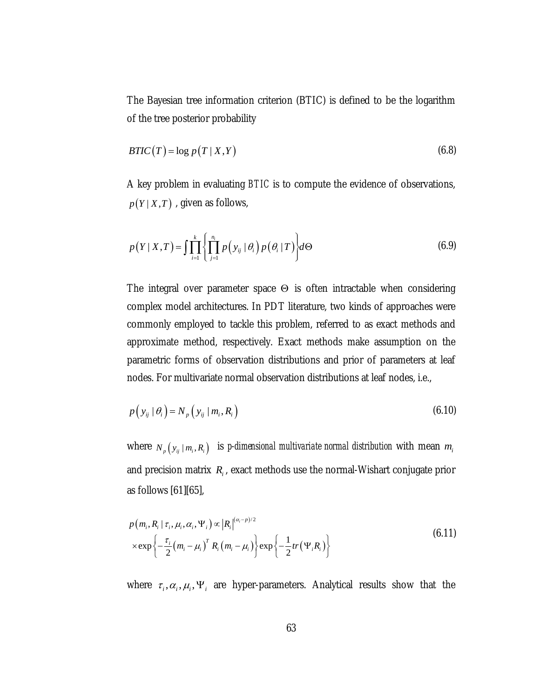The Bayesian tree information criterion (BTIC) is defined to be the logarithm of the tree posterior probability

$$
BTIC(T) = \log p(T \mid X, Y) \tag{6.8}
$$

A key problem in evaluating *BTIC* is to compute the evidence of observations,  $p(Y|X,T)$ , given as follows,

$$
p(Y \mid X, T) = \int \prod_{i=1}^{k} \left\{ \prod_{j=1}^{n_i} p(y_{ij} \mid \theta_i) p(\theta_i \mid T) \right\} d\Theta
$$
 (6.9)

The integral over parameter space Θ is often intractable when considering complex model architectures. In PDT literature, two kinds of approaches were commonly employed to tackle this problem, referred to as exact methods and approximate method, respectively. Exact methods make assumption on the parametric forms of observation distributions and prior of parameters at leaf nodes. For multivariate normal observation distributions at leaf nodes, i.e.,

$$
p\left(y_{ij} \mid \theta_i\right) = N_p\left(y_{ij} \mid m_i, R_i\right) \tag{6.10}
$$

where  $N_p(y_{ij} | m_i, R_i)$  is p-dimensional multivariate normal distribution with mean  $m_i$ and precision matrix  $R_i$ , exact methods use the normal-Wishart conjugate prior as follows [61][65],

$$
p(m_i, R_i | \tau_i, \mu_i, \alpha_i, \Psi_i) \propto |R_i|^{(\alpha_i - p)/2}
$$
  
 
$$
\times \exp\left\{-\frac{\tau_i}{2}(m_i - \mu_i)^T R_i (m_i - \mu_i)\right\} \exp\left\{-\frac{1}{2}tr(\Psi_i R_i)\right\}
$$
(6.11)

where  $\tau_i$ ,  $\alpha_i$ ,  $\mu_i$ ,  $\Psi_i$  are hyper-parameters. Analytical results show that the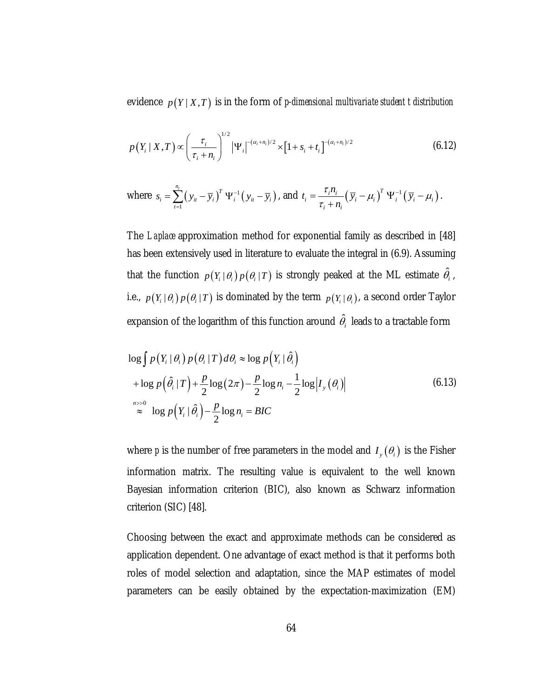evidence  $p(Y|X,T)$  is in the form of *p-dimensional multivariate student t distribution* 

$$
p(Y_i \mid X, T) \propto \left(\frac{\tau_i}{\tau_i + n_i}\right)^{1/2} |\Psi_i|^{-(\alpha_i + n_i)/2} \times [1 + s_i + t_i]^{-(\alpha_i + n_i)/2}
$$
(6.12)

where 
$$
s_i = \sum_{t=1}^{n_i} (y_{it} - \overline{y}_i)^T \Psi_i^{-1} (y_{it} - \overline{y}_i)
$$
, and  $t_i = \frac{\tau_i n_i}{\tau_i + n_i} (\overline{y}_i - \mu_i)^T \Psi_i^{-1} (\overline{y}_i - \mu_i)$ .

The *Laplace* approximation method for exponential family as described in [48] has been extensively used in literature to evaluate the integral in (6.9). Assuming that the function  $p(Y_i | \theta_i) p(\theta_i | T)$  is strongly peaked at the ML estimate  $\hat{\theta}_i$ , i.e.,  $p(Y_i | \theta_i) p(\theta_i | T)$  is dominated by the term  $p(Y_i | \theta_i)$ , a second order Taylor expansion of the logarithm of this function around  $\hat{\theta}_i$  leads to a tractable form

$$
\log \int p(Y_i | \theta_i) p(\theta_i | T) d\theta_i \approx \log p(Y_i | \hat{\theta}_i)
$$
  
+ 
$$
\log p(\hat{\theta}_i | T) + \frac{p}{2} \log(2\pi) - \frac{p}{2} \log n_i - \frac{1}{2} \log |I_{y}(\theta_i)|
$$
  

$$
\approx \log p(Y_i | \hat{\theta}_i) - \frac{p}{2} \log n_i = BIC
$$
 (6.13)

where *p* is the number of free parameters in the model and  $I_{y}(\theta_{i})$  is the Fisher information matrix. The resulting value is equivalent to the well known Bayesian information criterion (BIC), also known as Schwarz information criterion (SIC) [48].

Choosing between the exact and approximate methods can be considered as application dependent. One advantage of exact method is that it performs both roles of model selection and adaptation, since the MAP estimates of model parameters can be easily obtained by the expectation-maximization (EM)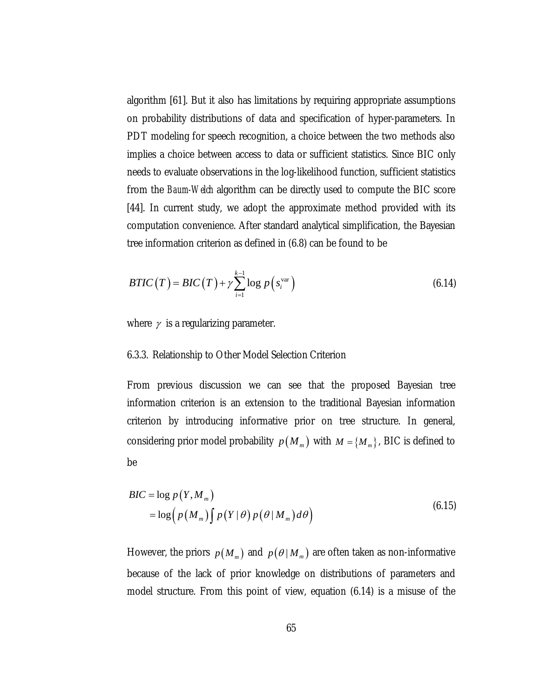algorithm [61]. But it also has limitations by requiring appropriate assumptions on probability distributions of data and specification of hyper-parameters. In PDT modeling for speech recognition, a choice between the two methods also implies a choice between access to data or sufficient statistics. Since BIC only needs to evaluate observations in the log-likelihood function, sufficient statistics from the *Baum-Welch* algorithm can be directly used to compute the BIC score [44]. In current study, we adopt the approximate method provided with its computation convenience. After standard analytical simplification, the Bayesian tree information criterion as defined in (6.8) can be found to be

$$
BTIC(T) = BIC(T) + \gamma \sum_{i=1}^{k-1} \log p\left(s_i^{\text{var}}\right)
$$
\n(6.14)

where  $\gamma$  is a regularizing parameter.

## 6.3.3. Relationship to Other Model Selection Criterion

From previous discussion we can see that the proposed Bayesian tree information criterion is an extension to the traditional Bayesian information criterion by introducing informative prior on tree structure. In general, considering prior model probability  $p(M_m)$  with  $M = \{M_m\}$ , BIC is defined to be

$$
BIC = \log p(Y, M_m)
$$
  
=  $\log (p(M_m) \int p(Y|\theta) p(\theta|M_m) d\theta)$  (6.15)

However, the priors  $p(M_m)$  and  $p(\theta | M_m)$  are often taken as non-informative because of the lack of prior knowledge on distributions of parameters and model structure. From this point of view, equation (6.14) is a misuse of the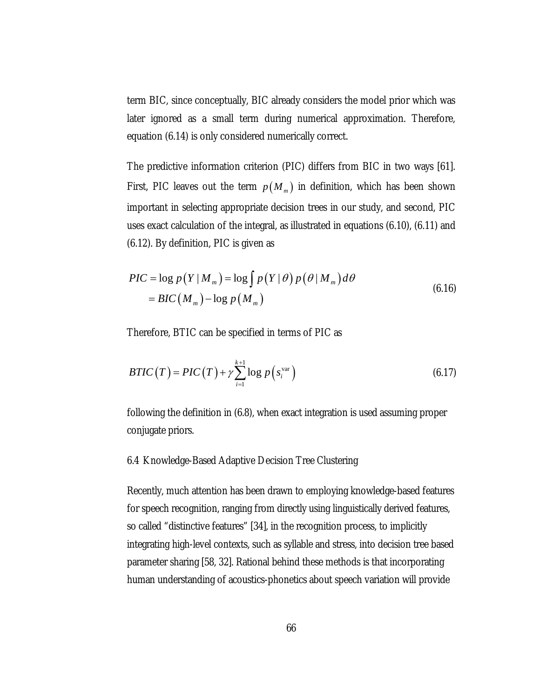term BIC, since conceptually, BIC already considers the model prior which was later ignored as a small term during numerical approximation. Therefore, equation (6.14) is only considered numerically correct.

The predictive information criterion (PIC) differs from BIC in two ways [61]. First, PIC leaves out the term  $p(M_m)$  in definition, which has been shown important in selecting appropriate decision trees in our study, and second, PIC uses exact calculation of the integral, as illustrated in equations (6.10), (6.11) and (6.12). By definition, PIC is given as

$$
PIC = \log p(Y|M_m) = \log \int p(Y|\theta) p(\theta|M_m) d\theta
$$
  
= 
$$
BIC(M_m) - \log p(M_m)
$$
 (6.16)

Therefore, BTIC can be specified in terms of PIC as

$$
BTIC(T) = PIC(T) + \gamma \sum_{i=1}^{k+1} \log p\left(s_i^{\text{var}}\right)
$$
\n(6.17)

following the definition in (6.8), when exact integration is used assuming proper conjugate priors.

### 6.4 Knowledge-Based Adaptive Decision Tree Clustering

Recently, much attention has been drawn to employing knowledge-based features for speech recognition, ranging from directly using linguistically derived features, so called "distinctive features" [34], in the recognition process, to implicitly integrating high-level contexts, such as syllable and stress, into decision tree based parameter sharing [58, 32]. Rational behind these methods is that incorporating human understanding of acoustics-phonetics about speech variation will provide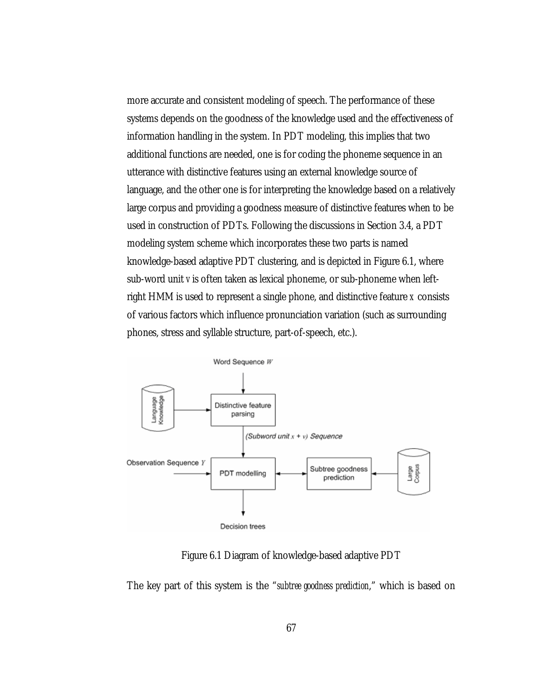more accurate and consistent modeling of speech. The performance of these systems depends on the goodness of the knowledge used and the effectiveness of information handling in the system. In PDT modeling, this implies that two additional functions are needed, one is for coding the phoneme sequence in an utterance with distinctive features using an external knowledge source of language, and the other one is for interpreting the knowledge based on a relatively large corpus and providing a goodness measure of distinctive features when to be used in construction of PDTs. Following the discussions in Section 3.4, a PDT modeling system scheme which incorporates these two parts is named knowledge-based adaptive PDT clustering, and is depicted in Figure 6.1, where sub-word unit *v* is often taken as lexical phoneme, or sub-phoneme when leftright HMM is used to represent a single phone, and distinctive feature *x* consists of various factors which influence pronunciation variation (such as surrounding phones, stress and syllable structure, part-of-speech, etc.).



Figure 6.1 Diagram of knowledge-based adaptive PDT

The key part of this system is the "*subtree goodness prediction*," which is based on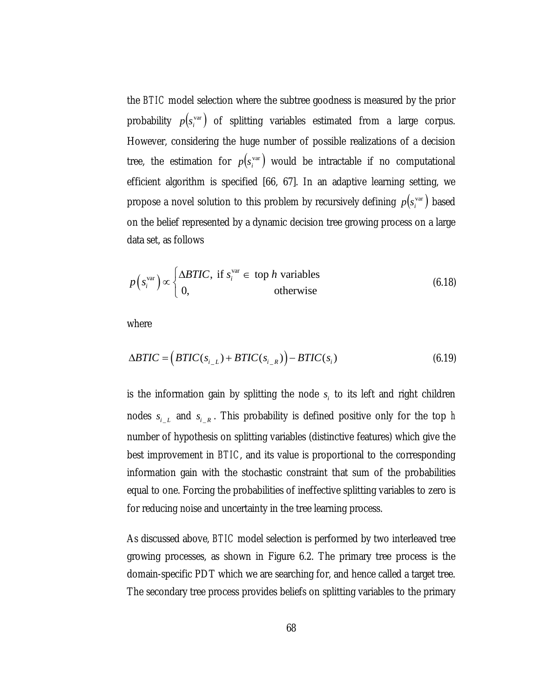the *BTIC* model selection where the subtree goodness is measured by the prior probability  $p(s_i^{\text{var}})$  of splitting variables estimated from a large corpus. However, considering the huge number of possible realizations of a decision tree, the estimation for  $p(s_i^{\text{var}})$  would be intractable if no computational efficient algorithm is specified [66, 67]. In an adaptive learning setting, we propose a novel solution to this problem by recursively defining  $p(s_i^{\text{var}})$  based on the belief represented by a dynamic decision tree growing process on a large data set, as follows

$$
p(s_i^{\text{var}}) \propto \begin{cases} \Delta B TIC, & \text{if } s_i^{\text{var}} \in \text{ top } h \text{ variables} \\ 0, & \text{otherwise} \end{cases}
$$
 (6.18)

where

$$
\Delta B TIC = \left(BTIC(s_{i\_L}) + BTIC(s_{i\_R})\right) - BTIC(s_i)
$$
\n(6.19)

is the information gain by splitting the node  $s_i$  to its left and right children nodes  $s_{i\_{L}}$  and  $s_{i\_{R}}$ . This probability is defined positive only for the top *h* number of hypothesis on splitting variables (distinctive features) which give the best improvement in *BTIC*, and its value is proportional to the corresponding information gain with the stochastic constraint that sum of the probabilities equal to one. Forcing the probabilities of ineffective splitting variables to zero is for reducing noise and uncertainty in the tree learning process.

As discussed above, *BTIC* model selection is performed by two interleaved tree growing processes, as shown in Figure 6.2. The primary tree process is the domain-specific PDT which we are searching for, and hence called a target tree. The secondary tree process provides beliefs on splitting variables to the primary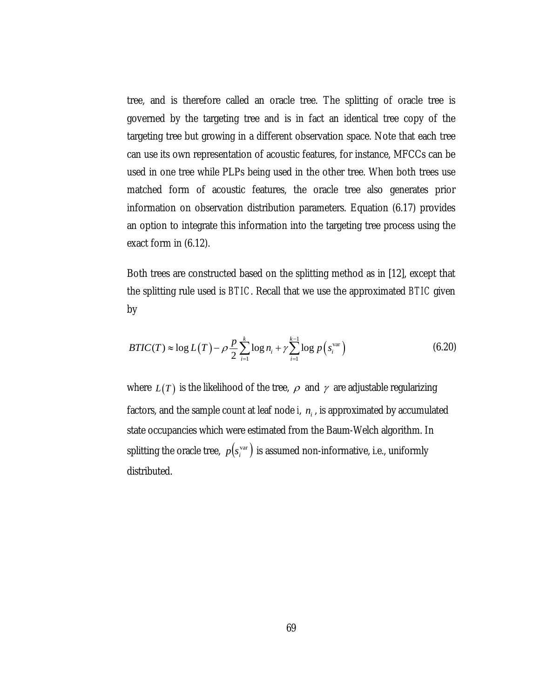tree, and is therefore called an oracle tree. The splitting of oracle tree is governed by the targeting tree and is in fact an identical tree copy of the targeting tree but growing in a different observation space. Note that each tree can use its own representation of acoustic features, for instance, MFCCs can be used in one tree while PLPs being used in the other tree. When both trees use matched form of acoustic features, the oracle tree also generates prior information on observation distribution parameters. Equation (6.17) provides an option to integrate this information into the targeting tree process using the exact form in (6.12).

Both trees are constructed based on the splitting method as in [12], except that the splitting rule used is *BTIC*. Recall that we use the approximated *BTIC* given by

$$
BTIC(T) \approx \log L(T) - \rho \frac{p}{2} \sum_{i=1}^{k} \log n_i + \gamma \sum_{i=1}^{k-1} \log p(s_i^{\text{var}})
$$
(6.20)

where  $L(T)$  is the likelihood of the tree,  $\rho$  and  $\gamma$  are adjustable regularizing factors, and the sample count at leaf node  $i$ ,  $n_i$  , is approximated by accumulated state occupancies which were estimated from the Baum-Welch algorithm. In splitting the oracle tree,  $p(s_i^{\text{var}})$  is assumed non-informative, i.e., uniformly distributed.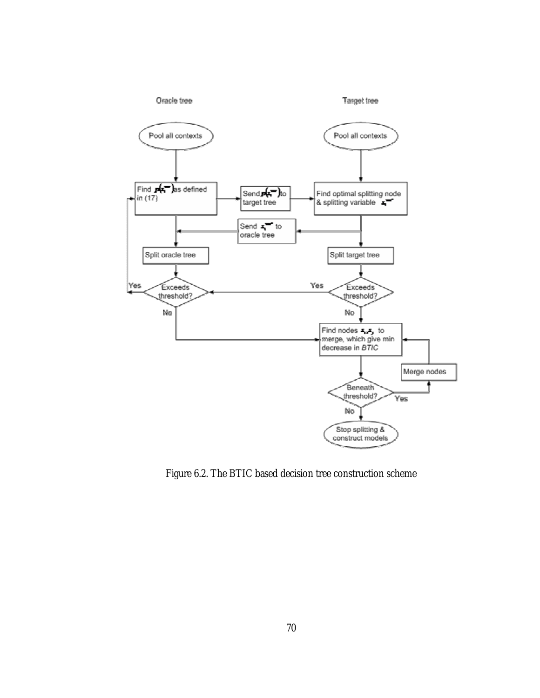

Figure 6.2. The BTIC based decision tree construction scheme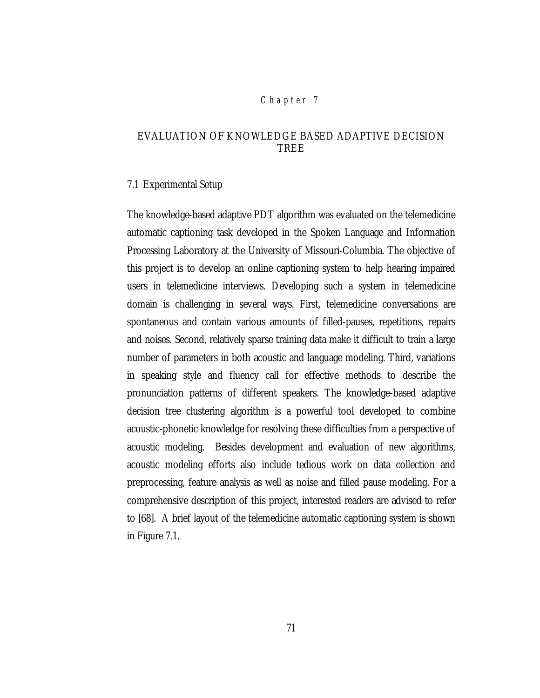# *Chap ter 7*

# EVALUATION OF KNOWLEDGE BASED ADAPTIVE DECISION TREE

#### 7.1 Experimental Setup

The knowledge-based adaptive PDT algorithm was evaluated on the telemedicine automatic captioning task developed in the Spoken Language and Information Processing Laboratory at the University of Missouri-Columbia. The objective of this project is to develop an online captioning system to help hearing impaired users in telemedicine interviews. Developing such a system in telemedicine domain is challenging in several ways. First, telemedicine conversations are spontaneous and contain various amounts of filled-pauses, repetitions, repairs and noises. Second, relatively sparse training data make it difficult to train a large number of parameters in both acoustic and language modeling. Third, variations in speaking style and fluency call for effective methods to describe the pronunciation patterns of different speakers. The knowledge-based adaptive decision tree clustering algorithm is a powerful tool developed to combine acoustic-phonetic knowledge for resolving these difficulties from a perspective of acoustic modeling. Besides development and evaluation of new algorithms, acoustic modeling efforts also include tedious work on data collection and preprocessing, feature analysis as well as noise and filled pause modeling. For a comprehensive description of this project, interested readers are advised to refer to [68]. A brief layout of the telemedicine automatic captioning system is shown in Figure 7.1.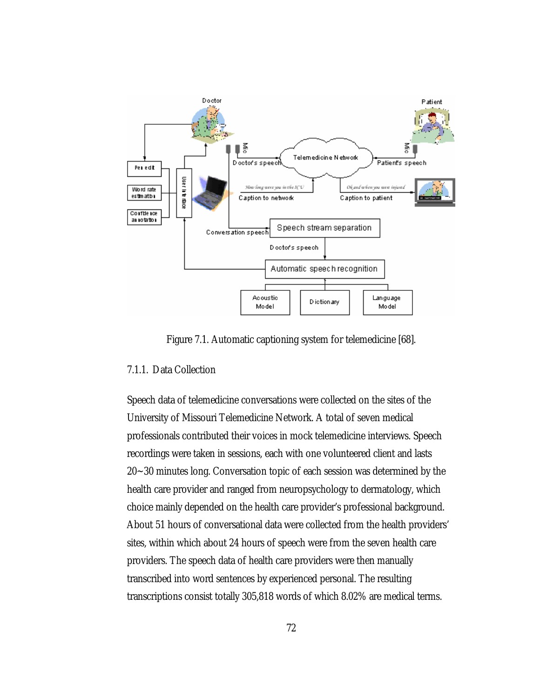

Figure 7.1. Automatic captioning system for telemedicine [68].

## 7.1.1. Data Collection

Speech data of telemedicine conversations were collected on the sites of the University of Missouri Telemedicine Network. A total of seven medical professionals contributed their voices in mock telemedicine interviews. Speech recordings were taken in sessions, each with one volunteered client and lasts 20~30 minutes long. Conversation topic of each session was determined by the health care provider and ranged from neuropsychology to dermatology, which choice mainly depended on the health care provider's professional background. About 51 hours of conversational data were collected from the health providers' sites, within which about 24 hours of speech were from the seven health care providers. The speech data of health care providers were then manually transcribed into word sentences by experienced personal. The resulting transcriptions consist totally 305,818 words of which 8.02% are medical terms.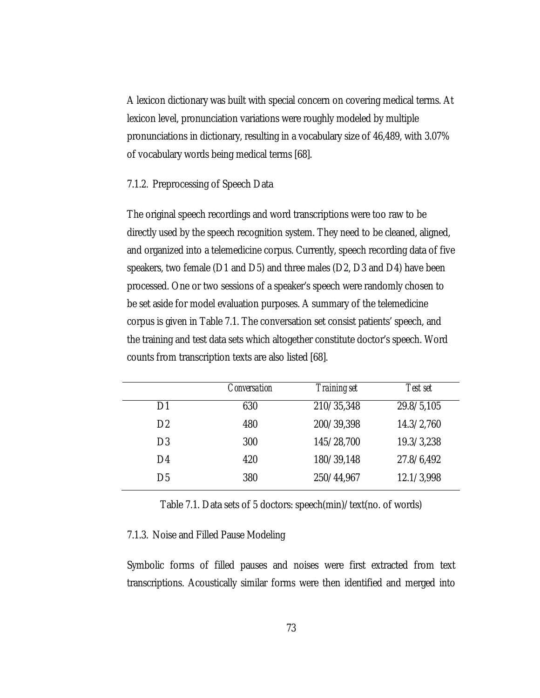A lexicon dictionary was built with special concern on covering medical terms. At lexicon level, pronunciation variations were roughly modeled by multiple pronunciations in dictionary, resulting in a vocabulary size of 46,489, with 3.07% of vocabulary words being medical terms [68].

### 7.1.2. Preprocessing of Speech Data

The original speech recordings and word transcriptions were too raw to be directly used by the speech recognition system. They need to be cleaned, aligned, and organized into a telemedicine corpus. Currently, speech recording data of five speakers, two female (D1 and D5) and three males (D2, D3 and D4) have been processed. One or two sessions of a speaker's speech were randomly chosen to be set aside for model evaluation purposes. A summary of the telemedicine corpus is given in Table 7.1. The conversation set consist patients' speech, and the training and test data sets which altogether constitute doctor's speech. Word counts from transcription texts are also listed [68].

|                | Conversation | <i>Training set</i> | Test set   |
|----------------|--------------|---------------------|------------|
| 1)1            | 630          | 210/35,348          | 29.8/5,105 |
| D <sub>2</sub> | 480          | 200/39,398          | 14.3/2,760 |
| D <sub>3</sub> | 300          | 145/28,700          | 19.3/3,238 |
| D4             | 420          | 180/39,148          | 27.8/6,492 |
| D5             | 380          | 250/44,967          | 12.1/3,998 |

Table 7.1. Data sets of 5 doctors: speech(min)/text(no. of words)

### 7.1.3. Noise and Filled Pause Modeling

Symbolic forms of filled pauses and noises were first extracted from text transcriptions. Acoustically similar forms were then identified and merged into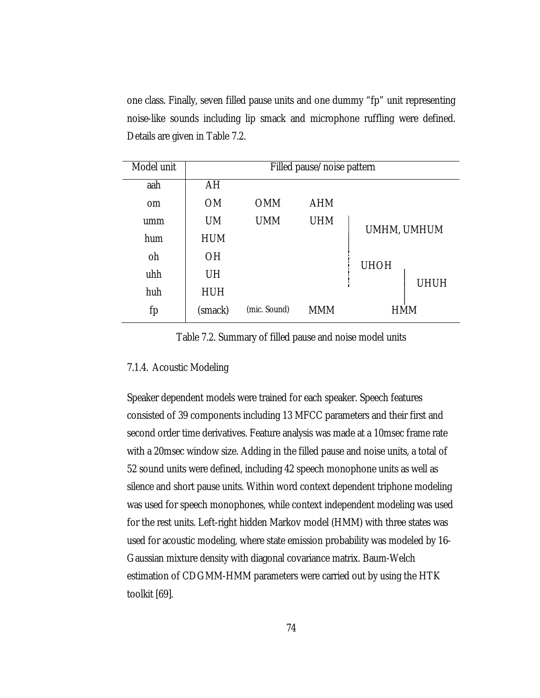one class. Finally, seven filled pause units and one dummy "fp" unit representing noise-like sounds including lip smack and microphone ruffling were defined. Details are given in Table 7.2.

| Model unit    | Filled pause/noise pattern |              |            |             |  |
|---------------|----------------------------|--------------|------------|-------------|--|
| aah           | AH                         |              |            |             |  |
| <sub>om</sub> | <b>OM</b>                  | <b>OMM</b>   | <b>AHM</b> |             |  |
| umm           | <b>UM</b>                  | <b>UMM</b>   | <b>UHM</b> | UMHM, UMHUM |  |
| hum           | <b>HUM</b>                 |              |            |             |  |
| oh            | <b>OH</b>                  |              |            | <b>UHOH</b> |  |
| uhh           | UH                         |              |            |             |  |
| huh           | <b>HUH</b>                 |              |            | <b>UHUH</b> |  |
| fp            | (smack)                    | (mic. Sound) | <b>MMM</b> | HMM         |  |

Table 7.2. Summary of filled pause and noise model units

#### 7.1.4. Acoustic Modeling

Speaker dependent models were trained for each speaker. Speech features consisted of 39 components including 13 MFCC parameters and their first and second order time derivatives. Feature analysis was made at a 10msec frame rate with a 20msec window size. Adding in the filled pause and noise units, a total of 52 sound units were defined, including 42 speech monophone units as well as silence and short pause units. Within word context dependent triphone modeling was used for speech monophones, while context independent modeling was used for the rest units. Left-right hidden Markov model (HMM) with three states was used for acoustic modeling, where state emission probability was modeled by 16- Gaussian mixture density with diagonal covariance matrix. Baum-Welch estimation of CDGMM-HMM parameters were carried out by using the HTK toolkit [69].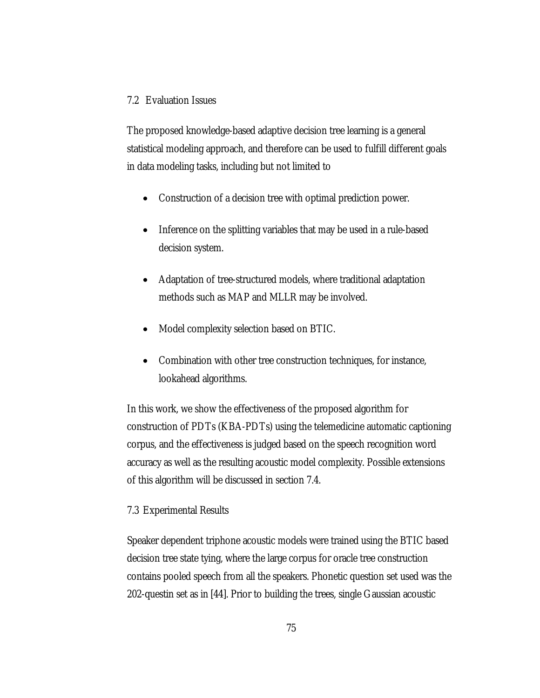# 7.2 Evaluation Issues

The proposed knowledge-based adaptive decision tree learning is a general statistical modeling approach, and therefore can be used to fulfill different goals in data modeling tasks, including but not limited to

- Construction of a decision tree with optimal prediction power.
- Inference on the splitting variables that may be used in a rule-based decision system.
- Adaptation of tree-structured models, where traditional adaptation methods such as MAP and MLLR may be involved.
- Model complexity selection based on BTIC.
- Combination with other tree construction techniques, for instance, lookahead algorithms.

In this work, we show the effectiveness of the proposed algorithm for construction of PDTs (KBA-PDTs) using the telemedicine automatic captioning corpus, and the effectiveness is judged based on the speech recognition word accuracy as well as the resulting acoustic model complexity. Possible extensions of this algorithm will be discussed in section 7.4.

# 7.3 Experimental Results

Speaker dependent triphone acoustic models were trained using the BTIC based decision tree state tying, where the large corpus for oracle tree construction contains pooled speech from all the speakers. Phonetic question set used was the 202-questin set as in [44]. Prior to building the trees, single Gaussian acoustic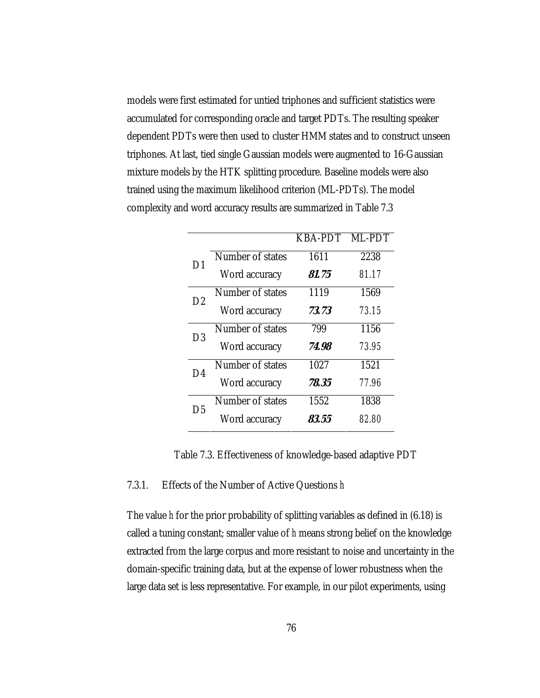models were first estimated for untied triphones and sufficient statistics were accumulated for corresponding oracle and target PDTs. The resulting speaker dependent PDTs were then used to cluster HMM states and to construct unseen triphones. At last, tied single Gaussian models were augmented to 16-Gaussian mixture models by the HTK splitting procedure. Baseline models were also trained using the maximum likelihood criterion (ML-PDTs). The model complexity and word accuracy results are summarized in Table 7.3

|                |                  | <b>KBA-PDT</b> | ML-PDT |
|----------------|------------------|----------------|--------|
| D1             | Number of states | 1611           | 2238   |
|                | Word accuracy    | <i>81.75</i>   | 81.17  |
| D <sub>2</sub> | Number of states | 1119           | 1569   |
|                | Word accuracy    | 73.73          | 73.15  |
| D3             | Number of states | 799            | 1156   |
|                | Word accuracy    | 74.98          | 73.95  |
| D4             | Number of states | 1027           | 1521   |
|                | Word accuracy    | 78.35          | 77.96  |
| D5             | Number of states | 1552           | 1838   |
|                | Word accuracy    | 83.55          | 82.80  |

Table 7.3. Effectiveness of knowledge-based adaptive PDT

### 7.3.1. Effects of the Number of Active Questions *h*

The value *h* for the prior probability of splitting variables as defined in (6.18) is called a tuning constant; smaller value of *h* means strong belief on the knowledge extracted from the large corpus and more resistant to noise and uncertainty in the domain-specific training data, but at the expense of lower robustness when the large data set is less representative. For example, in our pilot experiments, using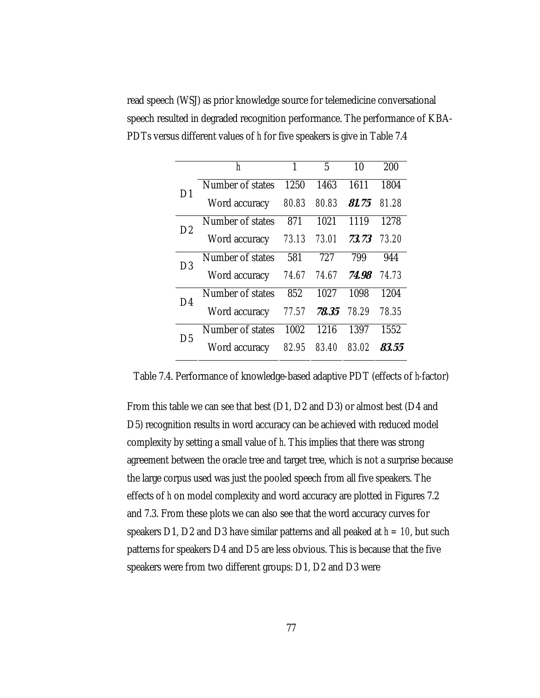read speech (WSJ) as prior knowledge source for telemedicine conversational speech resulted in degraded recognition performance. The performance of KBA-PDTs versus different values of *h* for five speakers is give in Table 7.4

|                | h                | 1     | 5     | 10    | 200   |
|----------------|------------------|-------|-------|-------|-------|
| 1)1            | Number of states | 1250  | 1463  | 1611  | 1804  |
|                | Word accuracy    | 80.83 | 80.83 | 81.75 | 81 28 |
| D2             | Number of states | 871   | 1021  | 1119  | 1278  |
|                | Word accuracy    | 73.13 | 73.01 | 73.73 | 73.20 |
| D3             | Number of states | 581   | 727   | 799   | 944   |
|                | Word accuracy    | 74.67 | 74.67 | 74.98 | 74 73 |
| D <sub>4</sub> | Number of states | 852   | 1027  | 1098  | 1204  |
|                | Word accuracy    | 77.57 | 78.35 | 78.29 | 78.35 |
| D5             | Number of states | 1002  | 1216  | 1397  | 1552  |
|                | Word accuracy    | 82 95 | 83.40 | 83.02 | 83.55 |

Table 7.4. Performance of knowledge-based adaptive PDT (effects of *h-*factor)

From this table we can see that best (D1, D2 and D3) or almost best (D4 and D5) recognition results in word accuracy can be achieved with reduced model complexity by setting a small value of *h*. This implies that there was strong agreement between the oracle tree and target tree, which is not a surprise because the large corpus used was just the pooled speech from all five speakers. The effects of *h* on model complexity and word accuracy are plotted in Figures 7.2 and 7.3. From these plots we can also see that the word accuracy curves for speakers D1, D2 and D3 have similar patterns and all peaked at *h = 10*, but such patterns for speakers D4 and D5 are less obvious. This is because that the five speakers were from two different groups: D1, D2 and D3 were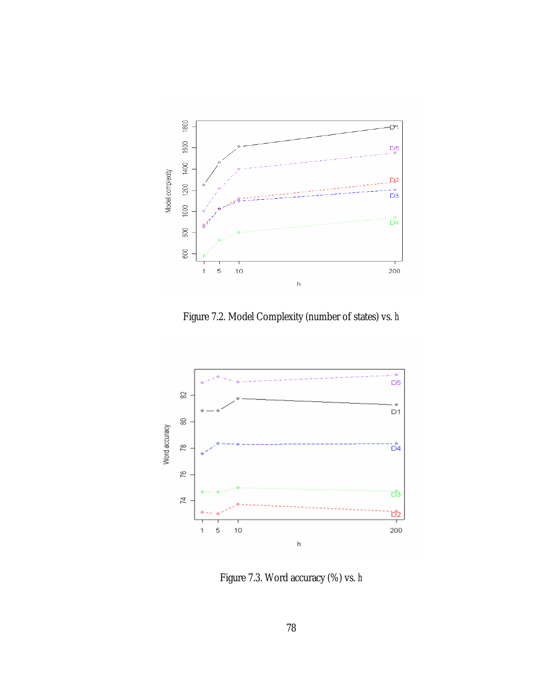

Figure 7.2. Model Complexity (number of states) vs. *h* 



Figure 7.3. Word accuracy (%) vs. *h*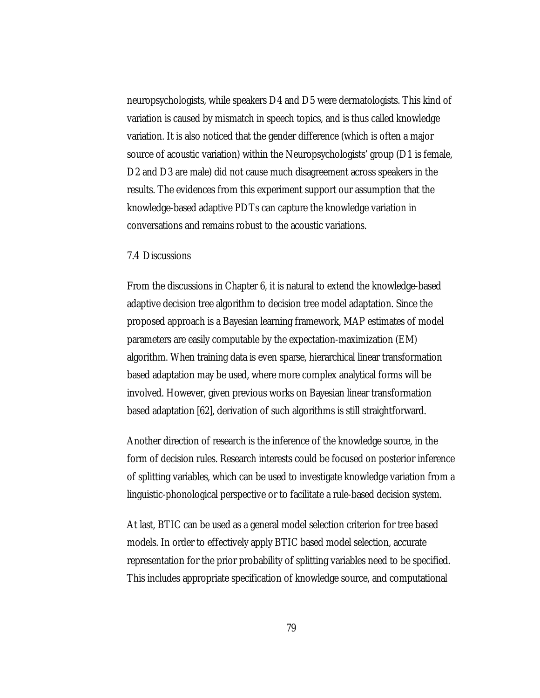neuropsychologists, while speakers D4 and D5 were dermatologists. This kind of variation is caused by mismatch in speech topics, and is thus called knowledge variation. It is also noticed that the gender difference (which is often a major source of acoustic variation) within the Neuropsychologists' group (D1 is female, D2 and D3 are male) did not cause much disagreement across speakers in the results. The evidences from this experiment support our assumption that the knowledge-based adaptive PDTs can capture the knowledge variation in conversations and remains robust to the acoustic variations.

#### 7.4 Discussions

From the discussions in Chapter 6, it is natural to extend the knowledge-based adaptive decision tree algorithm to decision tree model adaptation. Since the proposed approach is a Bayesian learning framework, MAP estimates of model parameters are easily computable by the expectation-maximization (EM) algorithm. When training data is even sparse, hierarchical linear transformation based adaptation may be used, where more complex analytical forms will be involved. However, given previous works on Bayesian linear transformation based adaptation [62], derivation of such algorithms is still straightforward.

Another direction of research is the inference of the knowledge source, in the form of decision rules. Research interests could be focused on posterior inference of splitting variables, which can be used to investigate knowledge variation from a linguistic-phonological perspective or to facilitate a rule-based decision system.

At last, BTIC can be used as a general model selection criterion for tree based models. In order to effectively apply BTIC based model selection, accurate representation for the prior probability of splitting variables need to be specified. This includes appropriate specification of knowledge source, and computational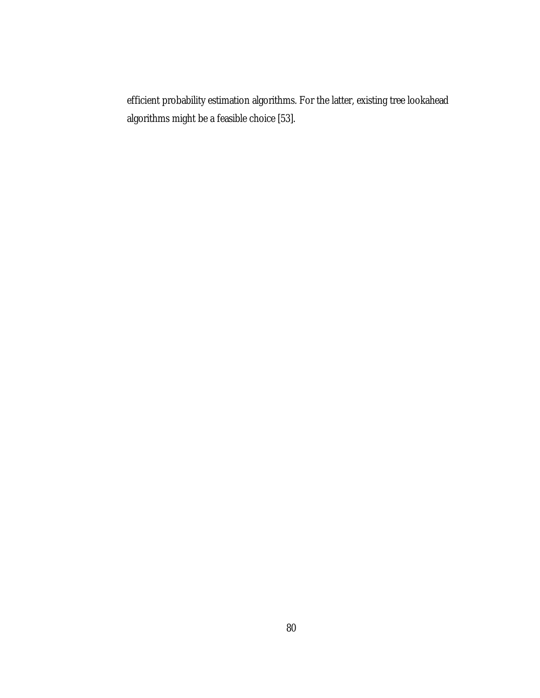efficient probability estimation algorithms. For the latter, existing tree lookahead algorithms might be a feasible choice [53].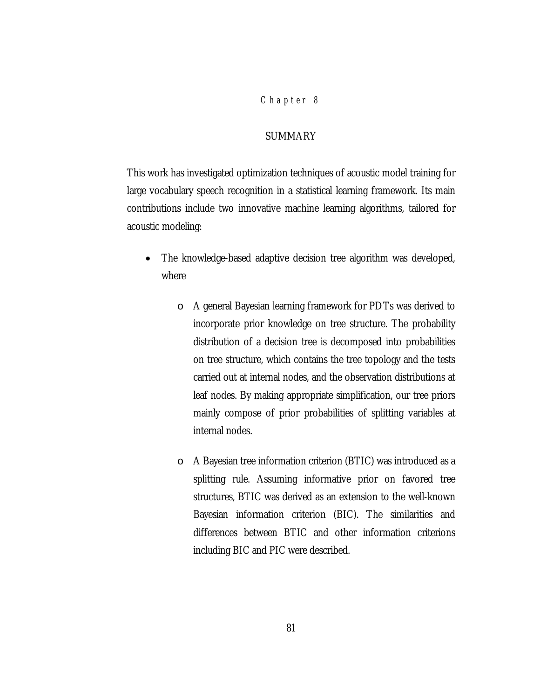### *Chap ter 8*

# SUMMARY

This work has investigated optimization techniques of acoustic model training for large vocabulary speech recognition in a statistical learning framework. Its main contributions include two innovative machine learning algorithms, tailored for acoustic modeling:

- The knowledge-based adaptive decision tree algorithm was developed, where
	- o A general Bayesian learning framework for PDTs was derived to incorporate prior knowledge on tree structure. The probability distribution of a decision tree is decomposed into probabilities on tree structure, which contains the tree topology and the tests carried out at internal nodes, and the observation distributions at leaf nodes. By making appropriate simplification, our tree priors mainly compose of prior probabilities of splitting variables at internal nodes.
	- o A Bayesian tree information criterion (BTIC) was introduced as a splitting rule. Assuming informative prior on favored tree structures, BTIC was derived as an extension to the well-known Bayesian information criterion (BIC). The similarities and differences between BTIC and other information criterions including BIC and PIC were described.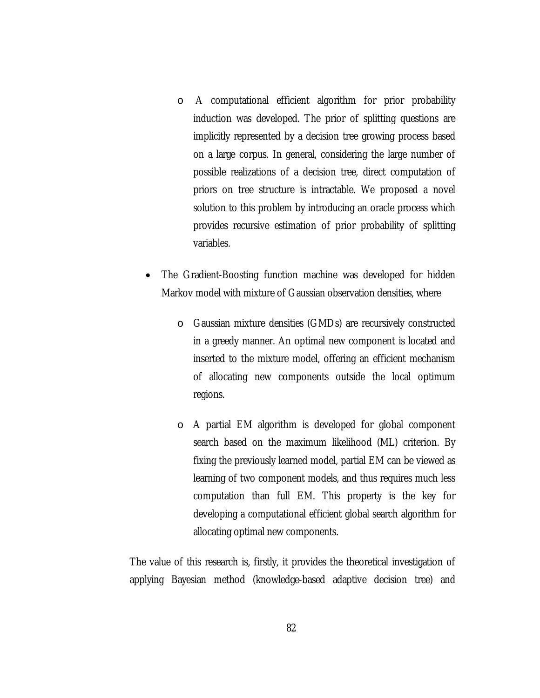- o A computational efficient algorithm for prior probability induction was developed. The prior of splitting questions are implicitly represented by a decision tree growing process based on a large corpus. In general, considering the large number of possible realizations of a decision tree, direct computation of priors on tree structure is intractable. We proposed a novel solution to this problem by introducing an oracle process which provides recursive estimation of prior probability of splitting variables.
- The Gradient-Boosting function machine was developed for hidden Markov model with mixture of Gaussian observation densities, where
	- o Gaussian mixture densities (GMDs) are recursively constructed in a greedy manner. An optimal new component is located and inserted to the mixture model, offering an efficient mechanism of allocating new components outside the local optimum regions.
	- o A partial EM algorithm is developed for global component search based on the maximum likelihood (ML) criterion. By fixing the previously learned model, partial EM can be viewed as learning of two component models, and thus requires much less computation than full EM. This property is the key for developing a computational efficient global search algorithm for allocating optimal new components.

The value of this research is, firstly, it provides the theoretical investigation of applying Bayesian method (knowledge-based adaptive decision tree) and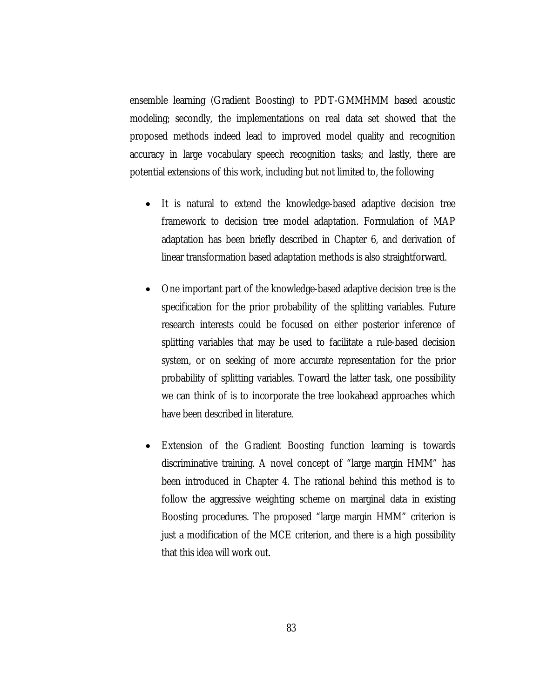ensemble learning (Gradient Boosting) to PDT-GMMHMM based acoustic modeling; secondly, the implementations on real data set showed that the proposed methods indeed lead to improved model quality and recognition accuracy in large vocabulary speech recognition tasks; and lastly, there are potential extensions of this work, including but not limited to, the following

- It is natural to extend the knowledge-based adaptive decision tree framework to decision tree model adaptation. Formulation of MAP adaptation has been briefly described in Chapter 6, and derivation of linear transformation based adaptation methods is also straightforward.
- One important part of the knowledge-based adaptive decision tree is the specification for the prior probability of the splitting variables. Future research interests could be focused on either posterior inference of splitting variables that may be used to facilitate a rule-based decision system, or on seeking of more accurate representation for the prior probability of splitting variables. Toward the latter task, one possibility we can think of is to incorporate the tree lookahead approaches which have been described in literature.
- Extension of the Gradient Boosting function learning is towards discriminative training. A novel concept of "large margin HMM" has been introduced in Chapter 4. The rational behind this method is to follow the aggressive weighting scheme on marginal data in existing Boosting procedures. The proposed "large margin HMM" criterion is just a modification of the MCE criterion, and there is a high possibility that this idea will work out.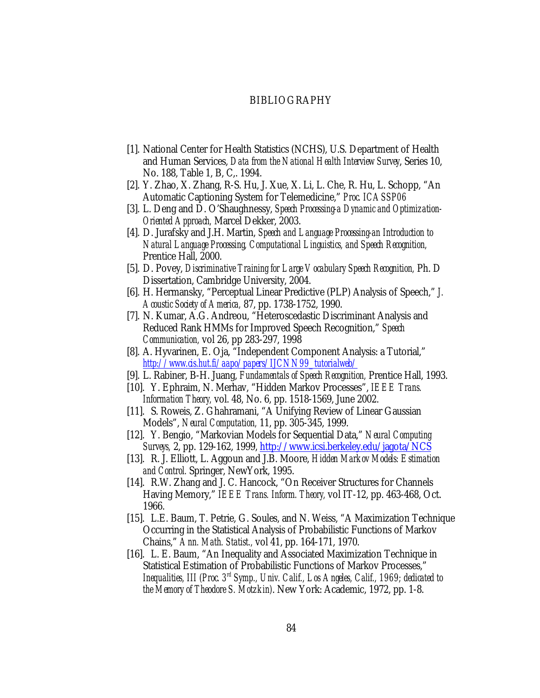#### BIBLIOGRAPHY

- [1]. National Center for Health Statistics (NCHS), U.S. Department of Health and Human Services, *Data from the National Health Interview Survey*, Series 10, No. 188, Table 1, B, C,. 1994.
- [2]. Y. Zhao, X. Zhang, R-S. Hu, J. Xue, X. Li, L. Che, R. Hu, L. Schopp, "An Automatic Captioning System for Telemedicine," *Proc. ICASSP06*
- [3]. L. Deng and D. O'Shaughnessy, *Speech Processing-a Dynamic and Optimization-Oriented Approach,* Marcel Dekker, 2003.
- [4]. D. Jurafsky and J.H. Martin, *Speech and Language Processing-an Introduction to Natural Language Processing, Computational Linguistics, and Speech Recognition,* Prentice Hall, 2000.
- [5]. D. Povey, *Discriminative Training for Large Vocabulary Speech Recognition*, Ph. D Dissertation, Cambridge University, 2004.
- [6]. H. Hermansky, "Perceptual Linear Predictive (PLP) Analysis of Speech," *J. Acoustic Society of America,* 87, pp. 1738-1752, 1990.
- [7]. N. Kumar, A.G. Andreou, "Heteroscedastic Discriminant Analysis and Reduced Rank HMMs for Improved Speech Recognition," *Speech Communication,* vol 26, pp 283-297, 1998
- [8]. A. Hyvarinen, E. Oja, "Independent Component Analysis: a Tutorial," *[http://www.cis.hut.fi/aapo/papers/IJCNN99\\_tutorialweb/](http://www.cis.hut.fi/aapo/papers/IJCNN99_tutorialweb/)*
- [9]. L. Rabiner, B-H. Juang, *Fundamentals of Speech Recognition,* Prentice Hall, 1993.
- [10]. Y. Ephraim, N. Merhav, "Hidden Markov Processes", *IEEE Trans. Information Theory,* vol. 48, No. 6, pp. 1518-1569, June 2002.
- [11]. S. Roweis, Z. Ghahramani, "A Unifying Review of Linear Gaussian Models", *Neural Computation,* 11, pp. 305-345, 1999.
- [12]. Y. Bengio, "Markovian Models for Sequential Data," *Neural Computing Surveys,* 2, pp. 129-162, 1999, <http://www.icsi.berkeley.edu/jagota/NCS>
- [13]. R. J. Elliott, L. Aggoun and J.B. Moore, *Hidden Markov Models: Estimation and Control.* Springer, NewYork, 1995.
- [14]. R.W. Zhang and J. C. Hancock, "On Receiver Structures for Channels Having Memory," *IEEE Trans. Inform. Theory,* vol IT-12, pp. 463-468, Oct. 1966.
- [15]. L.E. Baum, T. Petrie, G. Soules, and N. Weiss, "A Maximization Technique Occurring in the Statistical Analysis of Probabilistic Functions of Markov Chains," *Ann. Math. Statist.,* vol 41, pp. 164-171, 1970.
- [16]. L. E. Baum, "An Inequality and Associated Maximization Technique in Statistical Estimation of Probabilistic Functions of Markov Processes," *Inequalities, III (Proc. 3rd Symp., Univ. Calif., Los Angeles, Calif., 1969; dedicated to the Memory of Theodore S. Motzkin)*. New York: Academic, 1972, pp. 1-8.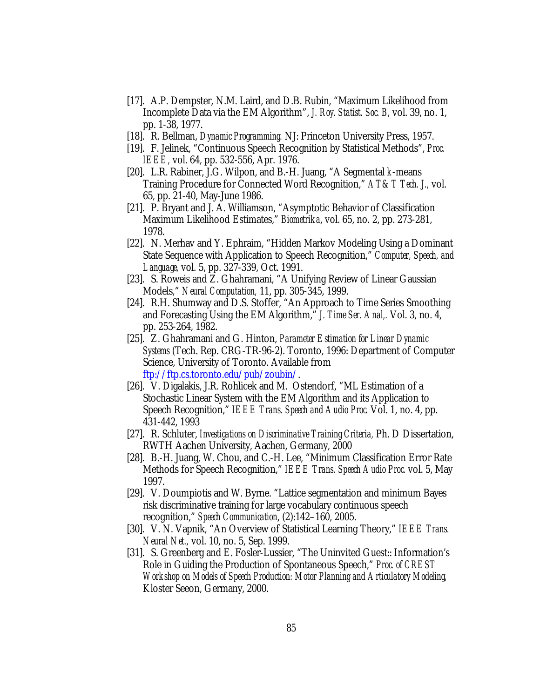- [17]. A.P. Dempster, N.M. Laird, and D.B. Rubin, "Maximum Likelihood from Incomplete Data via the EM Algorithm", *J. Roy. Statist. Soc. B,* vol. 39, no. 1, pp. 1-38, 1977.
- [18]. R. Bellman, *Dynamic Programming.* NJ: Princeton University Press, 1957.
- [19]. F. Jelinek, "Continuous Speech Recognition by Statistical Methods", *Proc. IEEE,* vol. 64, pp. 532-556, Apr. 1976.
- [20]. L.R. Rabiner, J.G. Wilpon, and B.-H. Juang, "A Segmental *k*-means Training Procedure for Connected Word Recognition," *AT&T Tech. J.,* vol. 65, pp. 21-40, May-June 1986.
- [21]. P. Bryant and J. A. Williamson, "Asymptotic Behavior of Classification Maximum Likelihood Estimates," *Biometrika*, vol. 65, no. 2, pp. 273-281, 1978.
- [22]. N. Merhav and Y. Ephraim, "Hidden Markov Modeling Using a Dominant State Sequence with Application to Speech Recognition," *Computer, Speech, and Language,* vol. 5, pp. 327-339, Oct. 1991.
- [23]. S. Roweis and Z. Ghahramani, "A Unifying Review of Linear Gaussian Models," *Neural Computation,* 11, pp. 305-345, 1999.
- [24]. R.H. Shumway and D.S. Stoffer, "An Approach to Time Series Smoothing and Forecasting Using the EM Algorithm," *J. Time Ser. Anal,.* Vol. 3, no. 4, pp. 253-264, 1982.
- [25]. Z. Ghahramani and G. Hinton, *Parameter Estimation for Linear Dynamic Systems* (Tech. Rep. CRG-TR-96-2). Toronto, 1996: Department of Computer Science, University of Toronto. Available from [ftp://ftp.cs.toronto.edu/pub/zoubin/.](ftp://ftp.cs.toronto.edu/pub/zoubin/)
- [26]. V. Digalakis, J.R. Rohlicek and M. Ostendorf, "ML Estimation of a Stochastic Linear System with the EM Algorithm and its Application to Speech Recognition," *IEEE Trans. Speech and Audio Proc.* Vol. 1, no. 4, pp. 431-442, 1993
- [27]. R. Schluter, *Investigations on Discriminative Training Criteria,* Ph. D Dissertation, RWTH Aachen University, Aachen, Germany, 2000
- [28]. B.-H. Juang, W. Chou, and C.-H. Lee, "Minimum Classification Error Rate Methods for Speech Recognition," *IEEE Trans. Speech Audio Proc.* vol. 5, May 1997.
- [29]. V. Doumpiotis and W. Byrne. "Lattice segmentation and minimum Bayes risk discriminative training for large vocabulary continuous speech recognition," *Speech Communication*, (2):142–160, 2005.
- [30]. V. N. Vapnik, "An Overview of Statistical Learning Theory," *IEEE Trans. Neural Net.,* vol. 10, no. 5, Sep. 1999.
- [31]. S. Greenberg and E. Fosler-Lussier, "The Uninvited Guest:: Information's Role in Guiding the Production of Spontaneous Speech," *Proc. of CREST Workshop on Models of Speech Production: Motor Planning and Articulatory Modeling,* Kloster Seeon, Germany, 2000.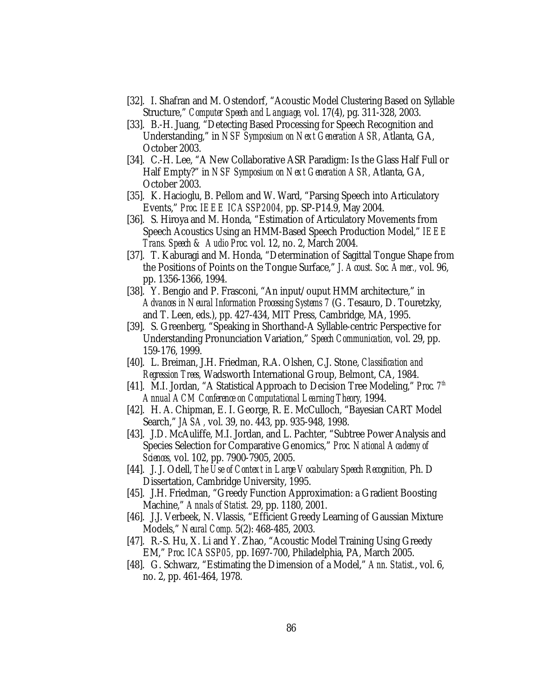- [32]. I. Shafran and M. Ostendorf, "Acoustic Model Clustering Based on Syllable Structure," *Computer Speech and Language,* vol. 17(4), pg. 311-328, 2003.
- [33]. B.-H. Juang, "Detecting Based Processing for Speech Recognition and Understanding," in *NSF Symposium on Next Generation ASR,* Atlanta, GA, October 2003.
- [34]. C.-H. Lee, "A New Collaborative ASR Paradigm: Is the Glass Half Full or Half Empty?" in *NSF Symposium on Next Generation ASR,* Atlanta, GA, October 2003.
- [35]. K. Hacioglu, B. Pellom and W. Ward, "Parsing Speech into Articulatory Events," *Proc. IEEE ICASSP2004,* pp. SP-P14.9, May 2004.
- [36]. S. Hiroya and M. Honda, "Estimation of Articulatory Movements from Speech Acoustics Using an HMM-Based Speech Production Model," *IEEE Trans. Speech & Audio Proc.* vol. 12, no. 2, March 2004.
- [37]. T. Kaburagi and M. Honda, "Determination of Sagittal Tongue Shape from the Positions of Points on the Tongue Surface," *J. Acoust. Soc. Amer.,* vol. 96, pp. 1356-1366, 1994.
- [38]. Y. Bengio and P. Frasconi, "An input/ouput HMM architecture," in *Advances in Neural Information Processing Systems 7* (G. Tesauro, D. Touretzky, and T. Leen, eds.), pp. 427-434, MIT Press, Cambridge, MA, 1995.
- [39]. S. Greenberg, "Speaking in Shorthand-A Syllable-centric Perspective for Understanding Pronunciation Variation," *Speech Communication,* vol. 29, pp. 159-176, 1999.
- [40]. L. Breiman, J.H. Friedman, R.A. Olshen, C.J. Stone, *Classification and Regression Trees,* Wadsworth International Group, Belmont, CA, 1984.
- [41]. M.I. Jordan, "A Statistical Approach to Decision Tree Modeling," *Proc.* 7<sup>th</sup> *Annual ACM Conference on Computational Learning Theory,* 1994.
- [42]. H. A. Chipman, E. I. George, R. E. McCulloch, "Bayesian CART Model Search," *JASA,* vol. 39, no. 443, pp. 935-948, 1998.
- [43]. J.D. McAuliffe, M.I. Jordan, and L. Pachter, "Subtree Power Analysis and Species Selection for Comparative Genomics," *Proc. National Academy of Sciences,* vol. 102, pp. 7900-7905, 2005.
- [44]. J. J. Odell, *The Use of Context in Large Vocabulary Speech Recognition,* Ph. D Dissertation, Cambridge University, 1995.
- [45]. J.H. Friedman, "Greedy Function Approximation: a Gradient Boosting Machine," *Annals of Statist.* 29, pp. 1180, 2001.
- [46]. J.J. Verbeek, N. Vlassis, "Efficient Greedy Learning of Gaussian Mixture Models," *Neural Comp.* 5(2): 468-485, 2003.
- [47]. R.-S. Hu, X. Li and Y. Zhao, "Acoustic Model Training Using Greedy EM," *Proc. ICASSP05,* pp. I697-700, Philadelphia, PA, March 2005.
- [48]. G. Schwarz, "Estimating the Dimension of a Model," *Ann. Statist.*, vol. 6, no. 2, pp. 461-464, 1978.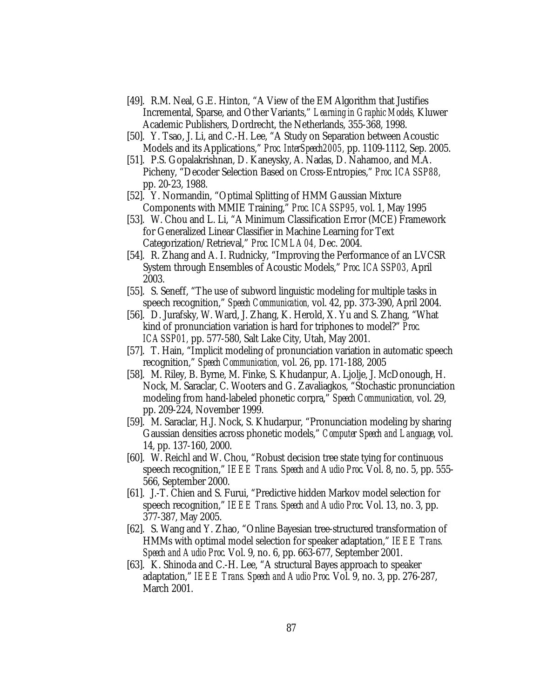- [49]. R.M. Neal, G.E. Hinton, "A View of the EM Algorithm that Justifies Incremental, Sparse, and Other Variants," *Learning in Graphic Models,* Kluwer Academic Publishers, Dordrecht, the Netherlands, 355-368, 1998.
- [50]. Y. Tsao, J. Li, and C.-H. Lee, "A Study on Separation between Acoustic Models and its Applications," *Proc. InterSpeech2005,* pp. 1109-1112, Sep. 2005.
- [51]. P.S. Gopalakrishnan, D. Kaneysky, A. Nadas, D. Nahamoo, and M.A. Picheny, "Decoder Selection Based on Cross-Entropies," *Proc. ICASSP88,* pp. 20-23, 1988.
- [52]. Y. Normandin, "Optimal Splitting of HMM Gaussian Mixture Components with MMIE Training," *Proc. ICASSP95,* vol. 1, May 1995
- [53]. W. Chou and L. Li, "A Minimum Classification Error (MCE) Framework for Generalized Linear Classifier in Machine Learning for Text Categorization/Retrieval," *Proc. ICMLA04,* Dec. 2004.
- [54]. R. Zhang and A. I. Rudnicky, "Improving the Performance of an LVCSR System through Ensembles of Acoustic Models," *Proc. ICASSP03,* April 2003.
- [55]. S. Seneff, "The use of subword linguistic modeling for multiple tasks in speech recognition," *Speech Communication,* vol. 42, pp. 373-390, April 2004.
- [56]. D. Jurafsky, W. Ward, J. Zhang, K. Herold, X. Yu and S. Zhang, "What kind of pronunciation variation is hard for triphones to model?" *Proc. ICASSP01,* pp. 577-580, Salt Lake City, Utah, May 2001.
- [57]. T. Hain, "Implicit modeling of pronunciation variation in automatic speech recognition," *Speech Communication,* vol. 26, pp. 171-188, 2005
- [58]. M. Riley, B. Byrne, M. Finke, S. Khudanpur, A. Ljolje, J. McDonough, H. Nock, M. Saraclar, C. Wooters and G. Zavaliagkos, "Stochastic pronunciation modeling from hand-labeled phonetic corpra," *Speech Communication,* vol. 29, pp. 209-224, November 1999.
- [59]. M. Saraclar, H.J. Nock, S. Khudarpur, "Pronunciation modeling by sharing Gaussian densities across phonetic models," *Computer Speech and Language*, vol. 14, pp. 137-160, 2000.
- [60]. W. Reichl and W. Chou, "Robust decision tree state tying for continuous speech recognition," *IEEE Trans. Speech and Audio Proc.* Vol. 8, no. 5, pp. 555- 566, September 2000.
- [61]. J.-T. Chien and S. Furui, "Predictive hidden Markov model selection for speech recognition," *IEEE Trans. Speech and Audio Proc.* Vol. 13, no. 3, pp. 377-387, May 2005.
- [62]. S. Wang and Y. Zhao, "Online Bayesian tree-structured transformation of HMMs with optimal model selection for speaker adaptation," *IEEE Trans. Speech and Audio Proc.* Vol. 9, no. 6, pp. 663-677, September 2001.
- [63]. K. Shinoda and C.-H. Lee, "A structural Bayes approach to speaker adaptation," *IEEE Trans. Speech and Audio Proc.* Vol. 9, no. 3, pp. 276-287, March 2001.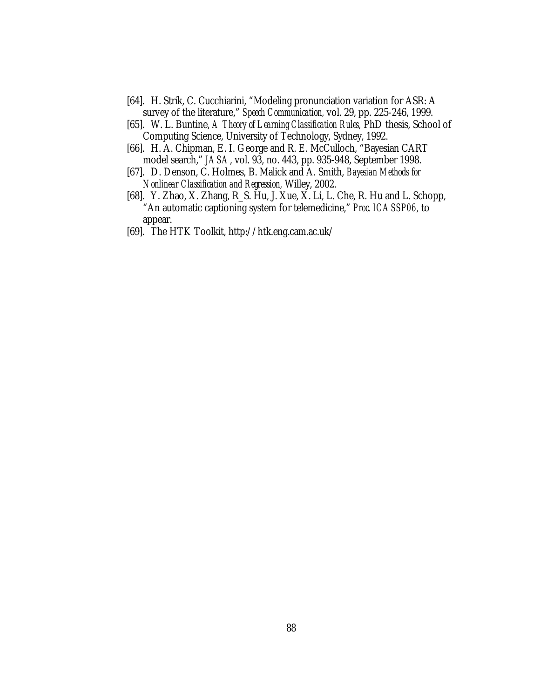- [64]. H. Strik, C. Cucchiarini, "Modeling pronunciation variation for ASR: A survey of the literature," *Speech Communication,* vol. 29, pp. 225-246, 1999.
- [65]. W. L. Buntine, *A Theory of Learning Classification Rules,* PhD thesis, School of Computing Science, University of Technology, Sydney, 1992.
- [66]. H. A. Chipman, E. I. George and R. E. McCulloch, "Bayesian CART model search," *JASA*, vol. 93, no. 443, pp. 935-948, September 1998.
- [67]. D. Denson, C. Holmes, B. Malick and A. Smith, *Bayesian Methods for Nonlinear Classification and Regression,* Willey, 2002.
- [68]. Y. Zhao, X. Zhang, R\_S. Hu, J. Xue, X. Li, L. Che, R. Hu and L. Schopp, "An automatic captioning system for telemedicine," *Proc. ICASSP06,* to appear.
- [69]. The HTK Toolkit, http://htk.eng.cam.ac.uk/